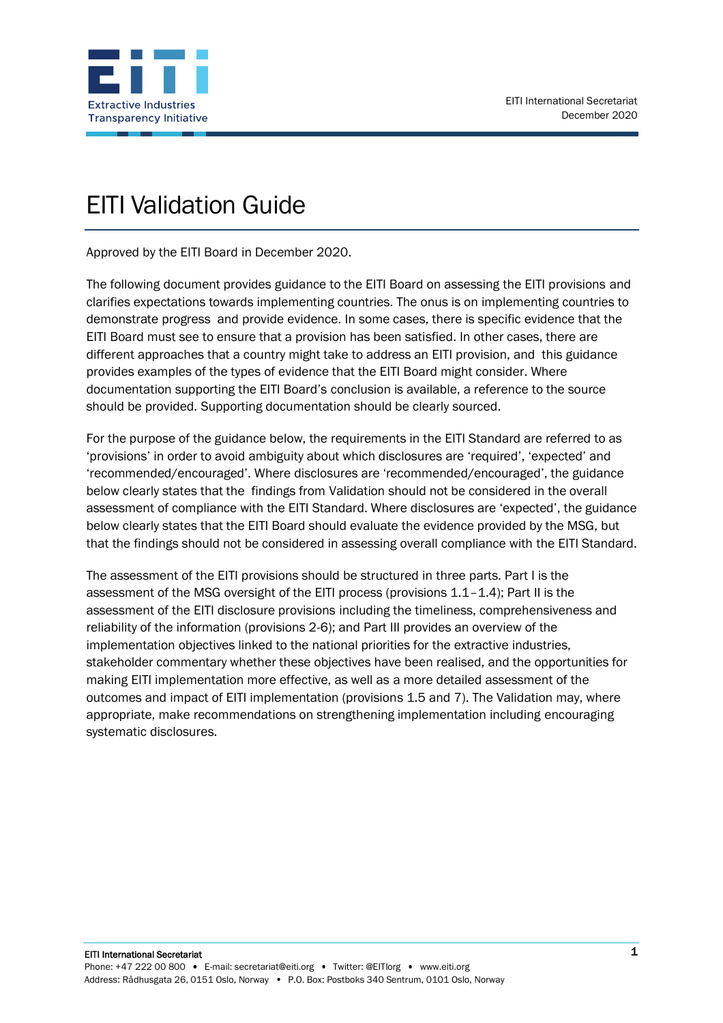

# EITI Validation Guide

Approved by the EITI Board in December 2020.

The following document provides guidance to the EITI Board on assessing the EITI provisions and clarifies expectations towards implementing countries. The onus is on implementing countries to demonstrate progress and provide evidence. In some cases, there is specific evidence that the EITI Board must see to ensure that a provision has been satisfied. In other cases, there are different approaches that a country might take to address an EITI provision, and this guidance provides examples of the types of evidence that the EITI Board might consider. Where documentation supporting the EITI Board's conclusion is available, a reference to the source should be provided. Supporting documentation should be clearly sourced.

For the purpose of the guidance below, the requirements in the EITI Standard are referred to as 'provisions' in order to avoid ambiguity about which disclosures are 'required', 'expected' and 'recommended/encouraged'. Where disclosures are 'recommended/encouraged', the guidance below clearly states that the findings from Validation should not be considered in the overall assessment of compliance with the EITI Standard. Where disclosures are 'expected', the guidance below clearly states that the EITI Board should evaluate the evidence provided by the MSG, but that the findings should not be considered in assessing overall compliance with the EITI Standard.

The assessment of the EITI provisions should be structured in three parts. Part I is the assessment of the MSG oversight of the EITI process (provisions 1.1–1.4); Part II is the assessment of the EITI disclosure provisions including the timeliness, comprehensiveness and reliability of the information (provisions 2-6); and Part III provides an overview of the implementation objectives linked to the national priorities for the extractive industries, stakeholder commentary whether these objectives have been realised, and the opportunities for making EITI implementation more effective, as well as a more detailed assessment of the outcomes and impact of EITI implementation (provisions 1.5 and 7). The Validation may, where appropriate, make recommendations on strengthening implementation including encouraging systematic disclosures.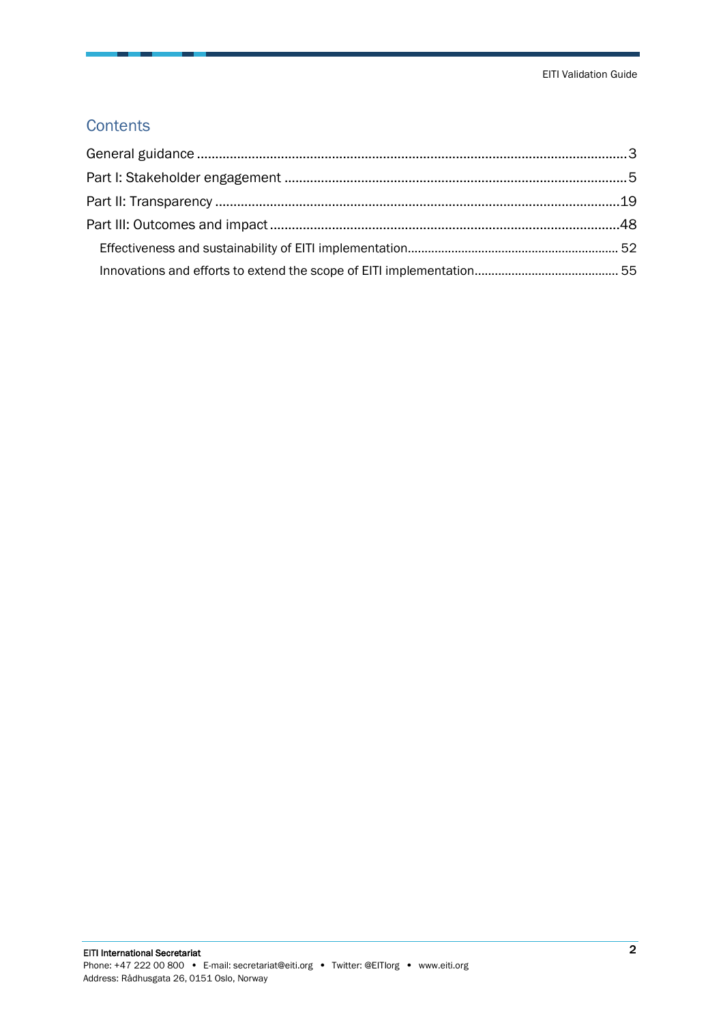#### **Contents**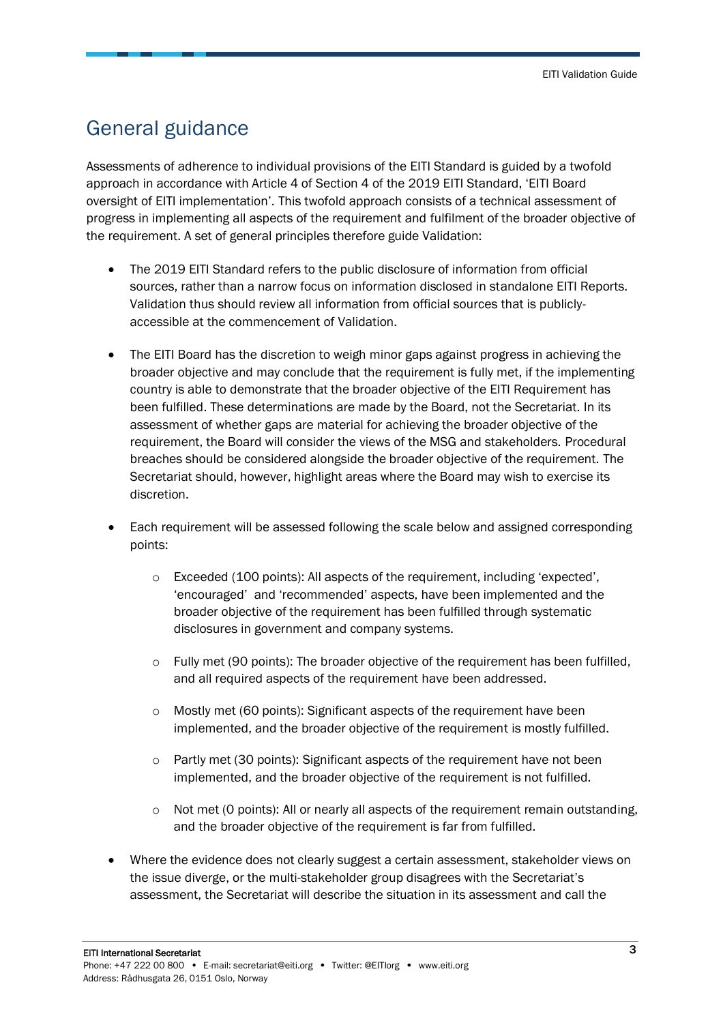### <span id="page-2-0"></span>General guidance

Assessments of adherence to individual provisions of the EITI Standard is guided by a twofold approach in accordance with Article 4 of Section 4 of the 2019 EITI Standard, 'EITI Board oversight of EITI implementation'. This twofold approach consists of a technical assessment of progress in implementing all aspects of the requirement and fulfilment of the broader objective of the requirement. A set of general principles therefore guide Validation:

- The 2019 EITI Standard refers to the public disclosure of information from official sources, rather than a narrow focus on information disclosed in standalone EITI Reports. Validation thus should review all information from official sources that is publiclyaccessible at the commencement of Validation.
- The EITI Board has the discretion to weigh minor gaps against progress in achieving the broader objective and may conclude that the requirement is fully met, if the implementing country is able to demonstrate that the broader objective of the EITI Requirement has been fulfilled. These determinations are made by the Board, not the Secretariat. In its assessment of whether gaps are material for achieving the broader objective of the requirement, the Board will consider the views of the MSG and stakeholders. Procedural breaches should be considered alongside the broader objective of the requirement. The Secretariat should, however, highlight areas where the Board may wish to exercise its discretion.
- Each requirement will be assessed following the scale below and assigned corresponding points:
	- o Exceeded (100 points): All aspects of the requirement, including 'expected', 'encouraged' and 'recommended' aspects, have been implemented and the broader objective of the requirement has been fulfilled through systematic disclosures in government and company systems.
	- $\circ$  Fully met (90 points): The broader objective of the requirement has been fulfilled, and all required aspects of the requirement have been addressed.
	- o Mostly met (60 points): Significant aspects of the requirement have been implemented, and the broader objective of the requirement is mostly fulfilled.
	- $\circ$  Partly met (30 points): Significant aspects of the requirement have not been implemented, and the broader objective of the requirement is not fulfilled.
	- $\circ$  Not met (0 points): All or nearly all aspects of the requirement remain outstanding, and the broader objective of the requirement is far from fulfilled.
- Where the evidence does not clearly suggest a certain assessment, stakeholder views on the issue diverge, or the multi-stakeholder group disagrees with the Secretariat's assessment, the Secretariat will describe the situation in its assessment and call the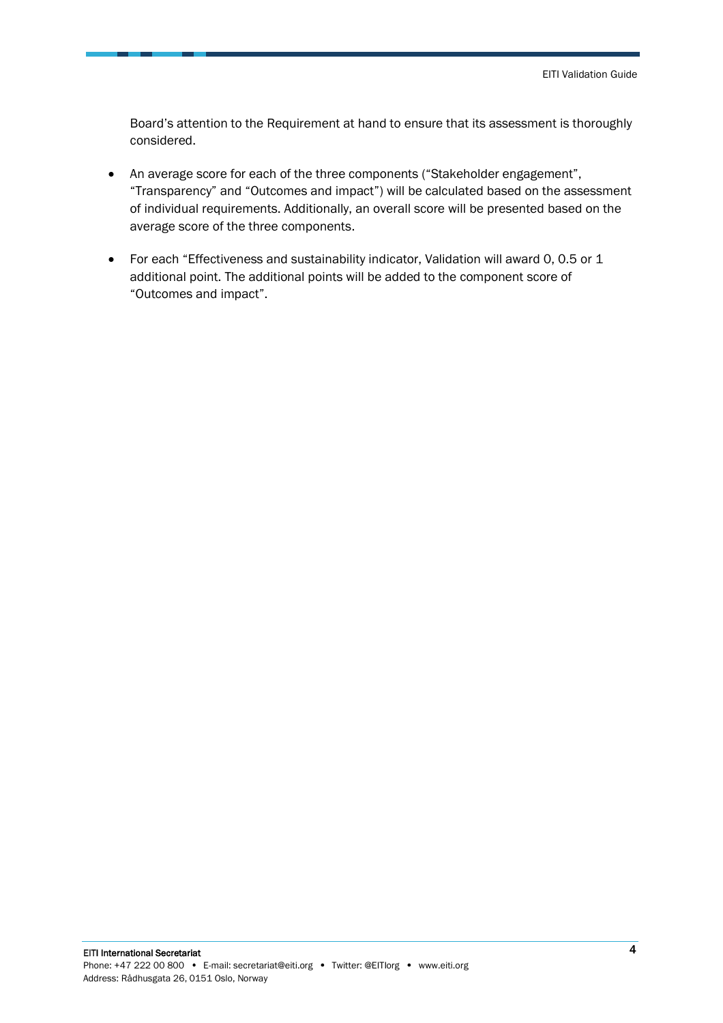Board's attention to the Requirement at hand to ensure that its assessment is thoroughly considered.

- An average score for each of the three components ("Stakeholder engagement", "Transparency" and "Outcomes and impact") will be calculated based on the assessment of individual requirements. Additionally, an overall score will be presented based on the average score of the three components.
- For each "Effectiveness and sustainability indicator, Validation will award 0, 0.5 or 1 additional point. The additional points will be added to the component score of "Outcomes and impact".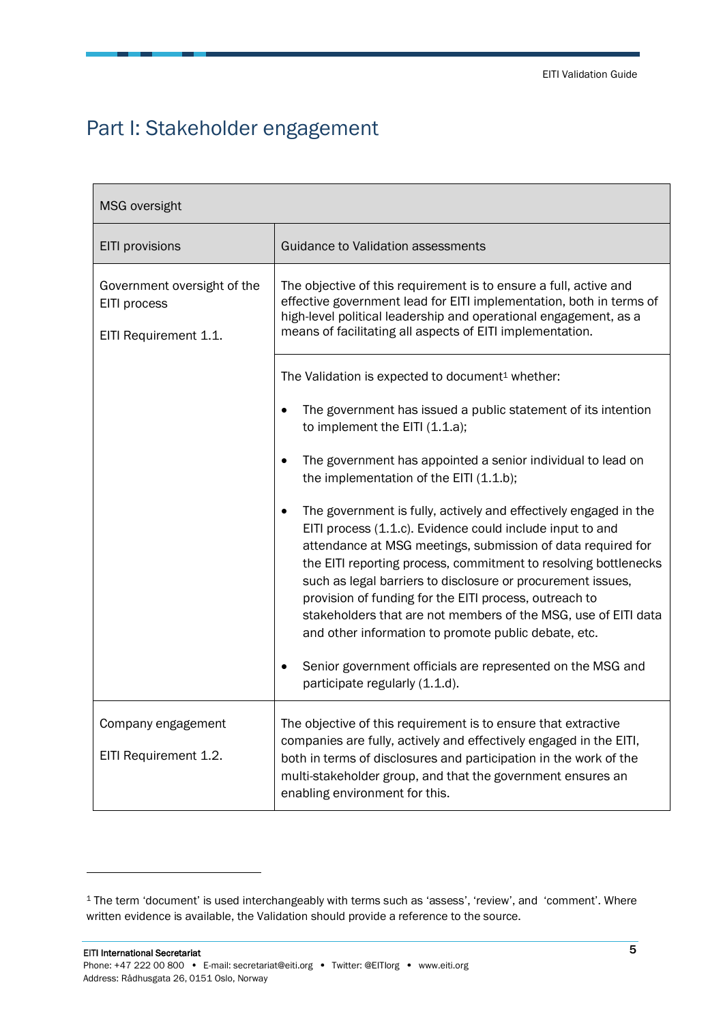### <span id="page-4-0"></span>Part I: Stakeholder engagement

| MSG oversight                                                        |                                                                                                                                                                                                                                                                                                                                                                                                                                                                                                                    |
|----------------------------------------------------------------------|--------------------------------------------------------------------------------------------------------------------------------------------------------------------------------------------------------------------------------------------------------------------------------------------------------------------------------------------------------------------------------------------------------------------------------------------------------------------------------------------------------------------|
| EITI provisions                                                      | Guidance to Validation assessments                                                                                                                                                                                                                                                                                                                                                                                                                                                                                 |
| Government oversight of the<br>EITI process<br>EITI Requirement 1.1. | The objective of this requirement is to ensure a full, active and<br>effective government lead for EITI implementation, both in terms of<br>high-level political leadership and operational engagement, as a<br>means of facilitating all aspects of EITI implementation.                                                                                                                                                                                                                                          |
|                                                                      | The Validation is expected to document <sup>1</sup> whether:<br>The government has issued a public statement of its intention<br>to implement the EITI (1.1.a);                                                                                                                                                                                                                                                                                                                                                    |
|                                                                      | The government has appointed a senior individual to lead on<br>the implementation of the EITI (1.1.b);                                                                                                                                                                                                                                                                                                                                                                                                             |
|                                                                      | The government is fully, actively and effectively engaged in the<br>EITI process (1.1.c). Evidence could include input to and<br>attendance at MSG meetings, submission of data required for<br>the EITI reporting process, commitment to resolving bottlenecks<br>such as legal barriers to disclosure or procurement issues,<br>provision of funding for the EITI process, outreach to<br>stakeholders that are not members of the MSG, use of EITI data<br>and other information to promote public debate, etc. |
|                                                                      | Senior government officials are represented on the MSG and<br>participate regularly (1.1.d).                                                                                                                                                                                                                                                                                                                                                                                                                       |
| Company engagement<br>EITI Requirement 1.2.                          | The objective of this requirement is to ensure that extractive<br>companies are fully, actively and effectively engaged in the EITI,<br>both in terms of disclosures and participation in the work of the<br>multi-stakeholder group, and that the government ensures an<br>enabling environment for this.                                                                                                                                                                                                         |

<sup>&</sup>lt;sup>1</sup> The term 'document' is used interchangeably with terms such as 'assess', 'review', and 'comment'. Where written evidence is available, the Validation should provide a reference to the source.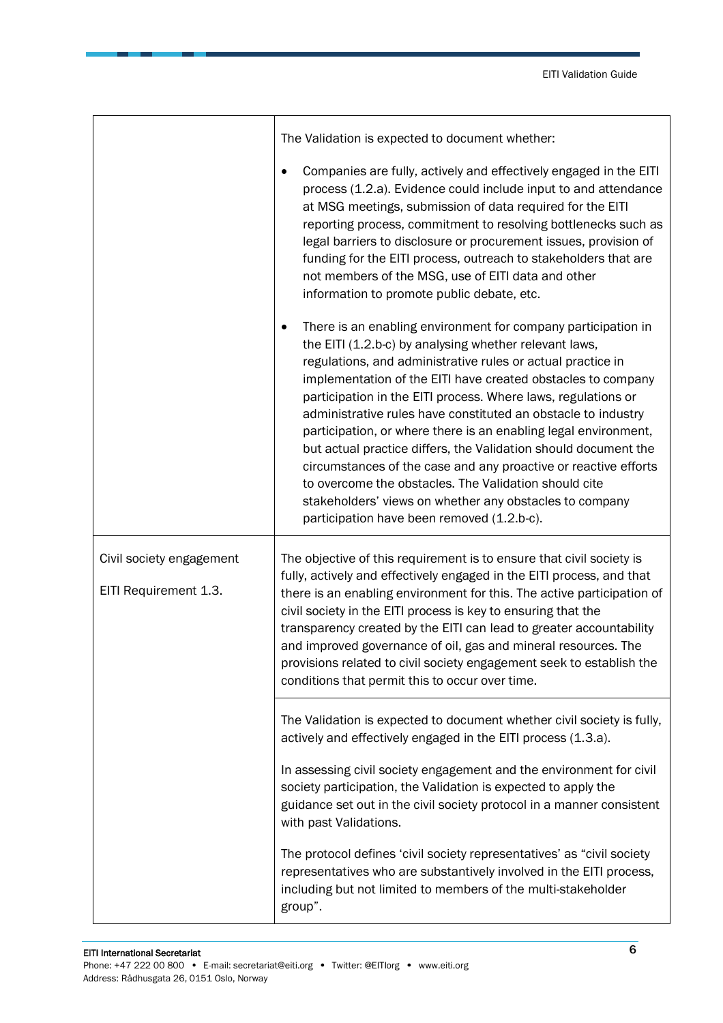|                                                   | The Validation is expected to document whether:                                                                                                                                                                                                                                                                                                                                                                                                                                                                                                                                                                                                                                                                                                                     |
|---------------------------------------------------|---------------------------------------------------------------------------------------------------------------------------------------------------------------------------------------------------------------------------------------------------------------------------------------------------------------------------------------------------------------------------------------------------------------------------------------------------------------------------------------------------------------------------------------------------------------------------------------------------------------------------------------------------------------------------------------------------------------------------------------------------------------------|
|                                                   | Companies are fully, actively and effectively engaged in the EITI<br>process (1.2.a). Evidence could include input to and attendance<br>at MSG meetings, submission of data required for the EITI<br>reporting process, commitment to resolving bottlenecks such as<br>legal barriers to disclosure or procurement issues, provision of<br>funding for the EITI process, outreach to stakeholders that are<br>not members of the MSG, use of EITI data and other<br>information to promote public debate, etc.                                                                                                                                                                                                                                                      |
|                                                   | There is an enabling environment for company participation in<br>the EITI (1.2.b-c) by analysing whether relevant laws,<br>regulations, and administrative rules or actual practice in<br>implementation of the EITI have created obstacles to company<br>participation in the EITI process. Where laws, regulations or<br>administrative rules have constituted an obstacle to industry<br>participation, or where there is an enabling legal environment,<br>but actual practice differs, the Validation should document the<br>circumstances of the case and any proactive or reactive efforts<br>to overcome the obstacles. The Validation should cite<br>stakeholders' views on whether any obstacles to company<br>participation have been removed (1.2.b-c). |
| Civil society engagement<br>EITI Requirement 1.3. | The objective of this requirement is to ensure that civil society is<br>fully, actively and effectively engaged in the EITI process, and that<br>there is an enabling environment for this. The active participation of<br>civil society in the EITI process is key to ensuring that the<br>transparency created by the EITI can lead to greater accountability<br>and improved governance of oil, gas and mineral resources. The<br>provisions related to civil society engagement seek to establish the<br>conditions that permit this to occur over time.                                                                                                                                                                                                        |
|                                                   | The Validation is expected to document whether civil society is fully,<br>actively and effectively engaged in the EITI process (1.3.a).                                                                                                                                                                                                                                                                                                                                                                                                                                                                                                                                                                                                                             |
|                                                   | In assessing civil society engagement and the environment for civil<br>society participation, the Validation is expected to apply the<br>guidance set out in the civil society protocol in a manner consistent<br>with past Validations.                                                                                                                                                                                                                                                                                                                                                                                                                                                                                                                            |
|                                                   | The protocol defines 'civil society representatives' as "civil society<br>representatives who are substantively involved in the EITI process,<br>including but not limited to members of the multi-stakeholder<br>group".                                                                                                                                                                                                                                                                                                                                                                                                                                                                                                                                           |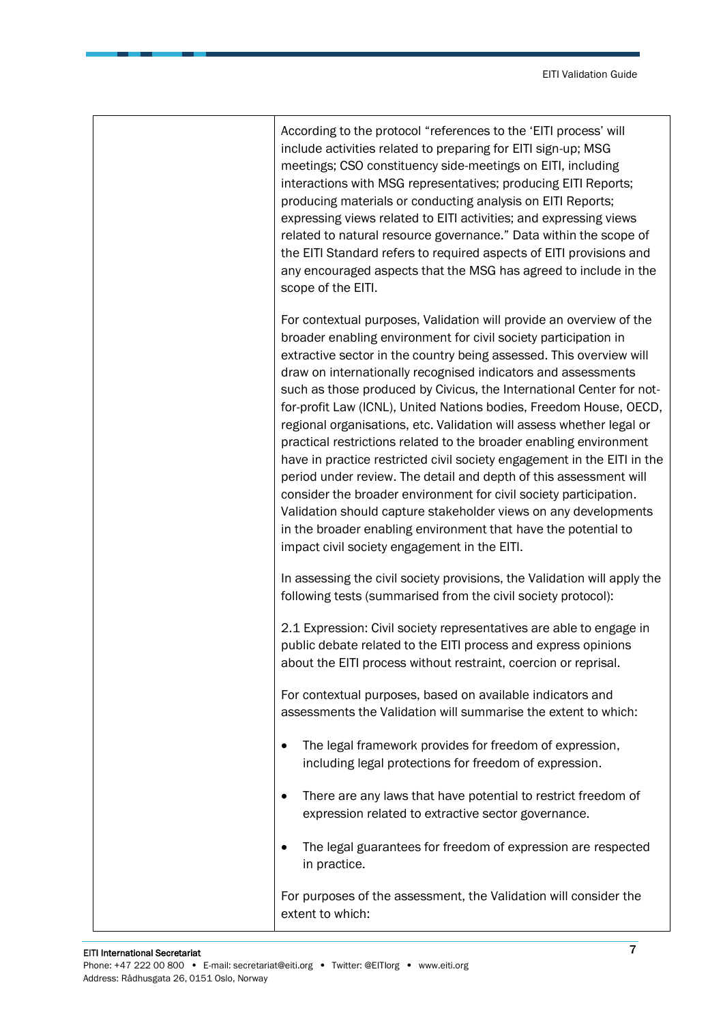| According to the protocol "references to the 'EITI process' will<br>include activities related to preparing for EITI sign-up; MSG<br>meetings; CSO constituency side-meetings on EITI, including<br>interactions with MSG representatives; producing EITI Reports;<br>producing materials or conducting analysis on EITI Reports;<br>expressing views related to EITI activities; and expressing views<br>related to natural resource governance." Data within the scope of<br>the EITI Standard refers to required aspects of EITI provisions and<br>any encouraged aspects that the MSG has agreed to include in the<br>scope of the EITI.                                                                                                                                                                                                                                                                                                                                         |
|--------------------------------------------------------------------------------------------------------------------------------------------------------------------------------------------------------------------------------------------------------------------------------------------------------------------------------------------------------------------------------------------------------------------------------------------------------------------------------------------------------------------------------------------------------------------------------------------------------------------------------------------------------------------------------------------------------------------------------------------------------------------------------------------------------------------------------------------------------------------------------------------------------------------------------------------------------------------------------------|
| For contextual purposes, Validation will provide an overview of the<br>broader enabling environment for civil society participation in<br>extractive sector in the country being assessed. This overview will<br>draw on internationally recognised indicators and assessments<br>such as those produced by Civicus, the International Center for not-<br>for-profit Law (ICNL), United Nations bodies, Freedom House, OECD,<br>regional organisations, etc. Validation will assess whether legal or<br>practical restrictions related to the broader enabling environment<br>have in practice restricted civil society engagement in the EITI in the<br>period under review. The detail and depth of this assessment will<br>consider the broader environment for civil society participation.<br>Validation should capture stakeholder views on any developments<br>in the broader enabling environment that have the potential to<br>impact civil society engagement in the EITI. |
| In assessing the civil society provisions, the Validation will apply the<br>following tests (summarised from the civil society protocol):                                                                                                                                                                                                                                                                                                                                                                                                                                                                                                                                                                                                                                                                                                                                                                                                                                            |
| 2.1 Expression: Civil society representatives are able to engage in<br>public debate related to the EITI process and express opinions<br>about the EITI process without restraint, coercion or reprisal.                                                                                                                                                                                                                                                                                                                                                                                                                                                                                                                                                                                                                                                                                                                                                                             |
| For contextual purposes, based on available indicators and<br>assessments the Validation will summarise the extent to which:                                                                                                                                                                                                                                                                                                                                                                                                                                                                                                                                                                                                                                                                                                                                                                                                                                                         |
| The legal framework provides for freedom of expression,<br>$\bullet$<br>including legal protections for freedom of expression.                                                                                                                                                                                                                                                                                                                                                                                                                                                                                                                                                                                                                                                                                                                                                                                                                                                       |
| There are any laws that have potential to restrict freedom of<br>$\bullet$<br>expression related to extractive sector governance.                                                                                                                                                                                                                                                                                                                                                                                                                                                                                                                                                                                                                                                                                                                                                                                                                                                    |
| The legal guarantees for freedom of expression are respected<br>$\bullet$<br>in practice.                                                                                                                                                                                                                                                                                                                                                                                                                                                                                                                                                                                                                                                                                                                                                                                                                                                                                            |
| For purposes of the assessment, the Validation will consider the<br>extent to which:                                                                                                                                                                                                                                                                                                                                                                                                                                                                                                                                                                                                                                                                                                                                                                                                                                                                                                 |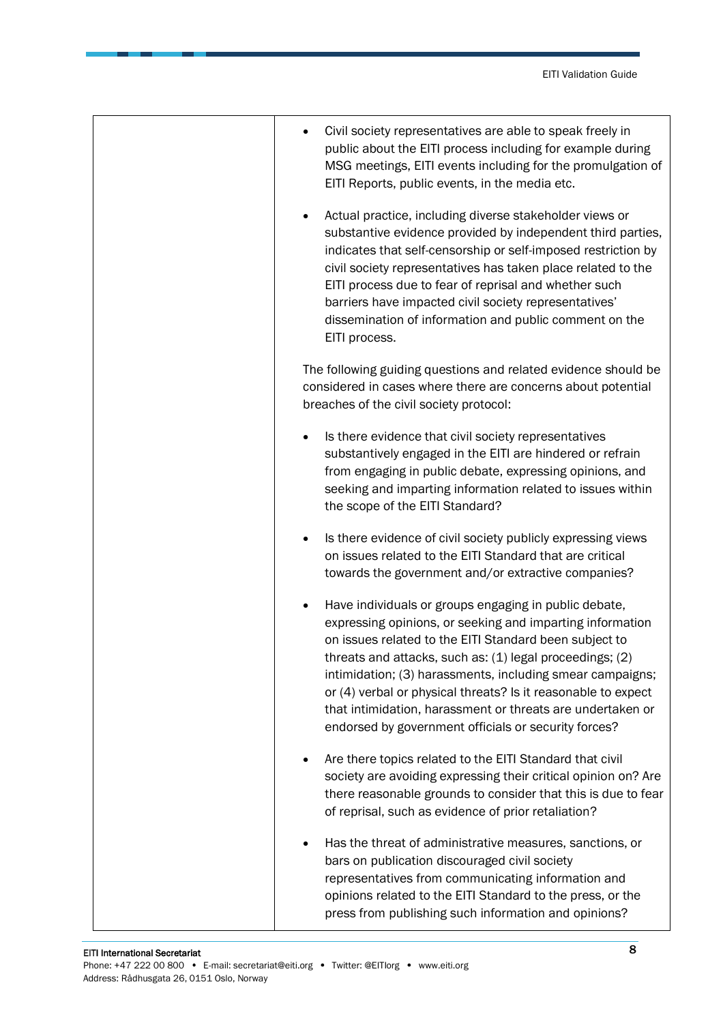| Civil society representatives are able to speak freely in<br>public about the EITI process including for example during<br>MSG meetings, EITI events including for the promulgation of<br>EITI Reports, public events, in the media etc.                                                                                                                                                                                                                                                                  |
|-----------------------------------------------------------------------------------------------------------------------------------------------------------------------------------------------------------------------------------------------------------------------------------------------------------------------------------------------------------------------------------------------------------------------------------------------------------------------------------------------------------|
| Actual practice, including diverse stakeholder views or<br>substantive evidence provided by independent third parties,<br>indicates that self-censorship or self-imposed restriction by<br>civil society representatives has taken place related to the<br>EITI process due to fear of reprisal and whether such<br>barriers have impacted civil society representatives'<br>dissemination of information and public comment on the<br>EITI process.                                                      |
| The following guiding questions and related evidence should be<br>considered in cases where there are concerns about potential<br>breaches of the civil society protocol:                                                                                                                                                                                                                                                                                                                                 |
| Is there evidence that civil society representatives<br>$\bullet$<br>substantively engaged in the EITI are hindered or refrain<br>from engaging in public debate, expressing opinions, and<br>seeking and imparting information related to issues within<br>the scope of the EITI Standard?                                                                                                                                                                                                               |
| Is there evidence of civil society publicly expressing views<br>$\bullet$<br>on issues related to the EITI Standard that are critical<br>towards the government and/or extractive companies?                                                                                                                                                                                                                                                                                                              |
| Have individuals or groups engaging in public debate,<br>$\bullet$<br>expressing opinions, or seeking and imparting information<br>on issues related to the EITI Standard been subject to<br>threats and attacks, such as: (1) legal proceedings; (2)<br>intimidation; (3) harassments, including smear campaigns;<br>or (4) verbal or physical threats? Is it reasonable to expect<br>that intimidation, harassment or threats are undertaken or<br>endorsed by government officials or security forces? |
| Are there topics related to the EITI Standard that civil<br>$\bullet$<br>society are avoiding expressing their critical opinion on? Are<br>there reasonable grounds to consider that this is due to fear<br>of reprisal, such as evidence of prior retaliation?                                                                                                                                                                                                                                           |
| Has the threat of administrative measures, sanctions, or<br>bars on publication discouraged civil society<br>representatives from communicating information and<br>opinions related to the EITI Standard to the press, or the<br>press from publishing such information and opinions?                                                                                                                                                                                                                     |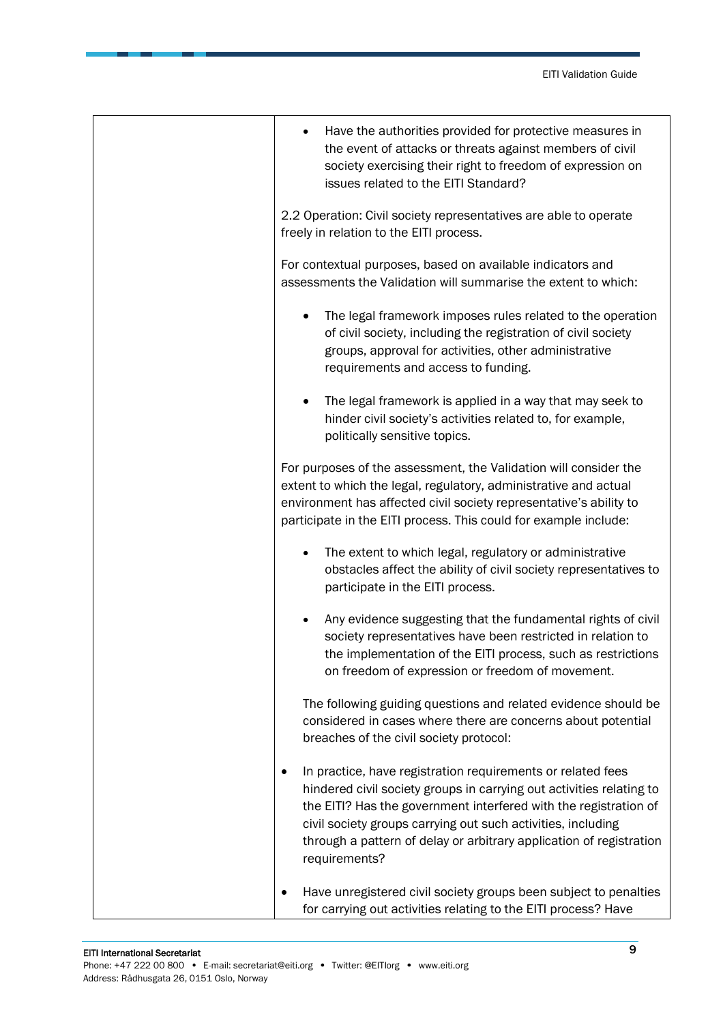| Have the authorities provided for protective measures in<br>the event of attacks or threats against members of civil<br>society exercising their right to freedom of expression on<br>issues related to the EITI Standard?                                                                                                                                      |
|-----------------------------------------------------------------------------------------------------------------------------------------------------------------------------------------------------------------------------------------------------------------------------------------------------------------------------------------------------------------|
| 2.2 Operation: Civil society representatives are able to operate<br>freely in relation to the EITI process.                                                                                                                                                                                                                                                     |
| For contextual purposes, based on available indicators and<br>assessments the Validation will summarise the extent to which:                                                                                                                                                                                                                                    |
| The legal framework imposes rules related to the operation<br>of civil society, including the registration of civil society<br>groups, approval for activities, other administrative<br>requirements and access to funding.                                                                                                                                     |
| The legal framework is applied in a way that may seek to<br>hinder civil society's activities related to, for example,<br>politically sensitive topics.                                                                                                                                                                                                         |
| For purposes of the assessment, the Validation will consider the<br>extent to which the legal, regulatory, administrative and actual<br>environment has affected civil society representative's ability to<br>participate in the EITI process. This could for example include:                                                                                  |
| The extent to which legal, regulatory or administrative<br>obstacles affect the ability of civil society representatives to<br>participate in the EITI process.                                                                                                                                                                                                 |
| Any evidence suggesting that the fundamental rights of civil<br>society representatives have been restricted in relation to<br>the implementation of the EITI process, such as restrictions<br>on freedom of expression or freedom of movement.                                                                                                                 |
| The following guiding questions and related evidence should be<br>considered in cases where there are concerns about potential<br>breaches of the civil society protocol:                                                                                                                                                                                       |
| In practice, have registration requirements or related fees<br>hindered civil society groups in carrying out activities relating to<br>the EITI? Has the government interfered with the registration of<br>civil society groups carrying out such activities, including<br>through a pattern of delay or arbitrary application of registration<br>requirements? |
| Have unregistered civil society groups been subject to penalties<br>for carrying out activities relating to the EITI process? Have                                                                                                                                                                                                                              |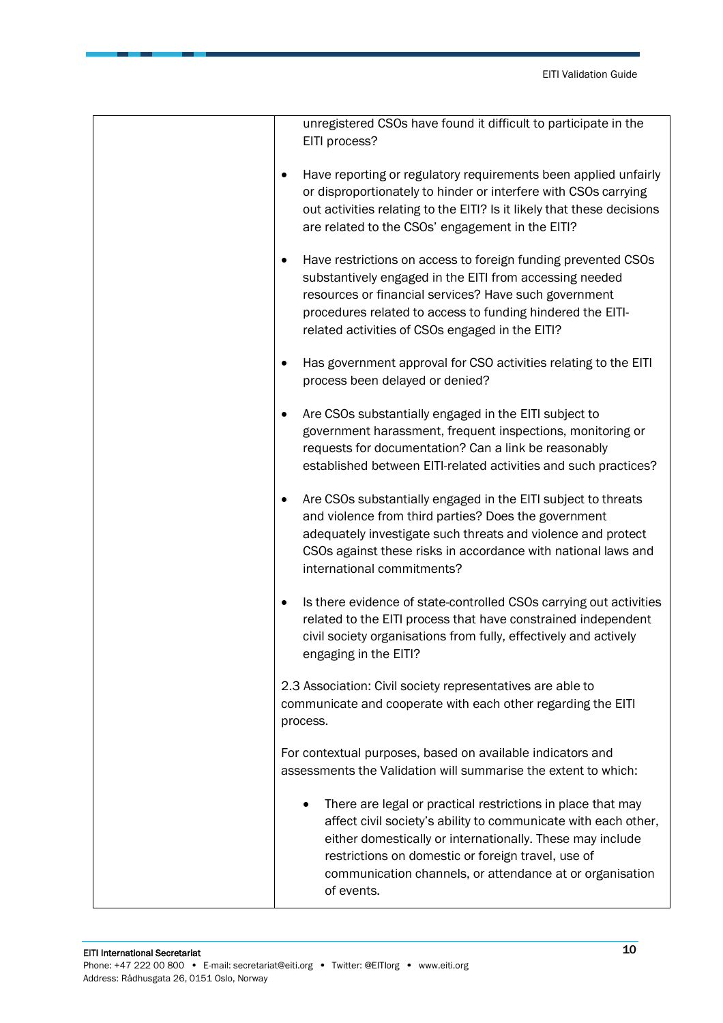| unregistered CSOs have found it difficult to participate in the<br>EITI process?                                                                                                                                                                                                                                           |
|----------------------------------------------------------------------------------------------------------------------------------------------------------------------------------------------------------------------------------------------------------------------------------------------------------------------------|
| Have reporting or regulatory requirements been applied unfairly<br>$\bullet$<br>or disproportionately to hinder or interfere with CSOs carrying<br>out activities relating to the EITI? Is it likely that these decisions<br>are related to the CSOs' engagement in the EITI?                                              |
| Have restrictions on access to foreign funding prevented CSOs<br>substantively engaged in the EITI from accessing needed<br>resources or financial services? Have such government<br>procedures related to access to funding hindered the EITI-<br>related activities of CSOs engaged in the EITI?                         |
| Has government approval for CSO activities relating to the EITI<br>process been delayed or denied?                                                                                                                                                                                                                         |
| Are CSOs substantially engaged in the EITI subject to<br>government harassment, frequent inspections, monitoring or<br>requests for documentation? Can a link be reasonably<br>established between EITI-related activities and such practices?                                                                             |
| Are CSOs substantially engaged in the EITI subject to threats<br>and violence from third parties? Does the government<br>adequately investigate such threats and violence and protect<br>CSOs against these risks in accordance with national laws and<br>international commitments?                                       |
| Is there evidence of state-controlled CSOs carrying out activities<br>related to the EITI process that have constrained independent<br>civil society organisations from fully, effectively and actively<br>engaging in the EITI?                                                                                           |
| 2.3 Association: Civil society representatives are able to<br>communicate and cooperate with each other regarding the EITI<br>process.                                                                                                                                                                                     |
| For contextual purposes, based on available indicators and<br>assessments the Validation will summarise the extent to which:                                                                                                                                                                                               |
| There are legal or practical restrictions in place that may<br>affect civil society's ability to communicate with each other,<br>either domestically or internationally. These may include<br>restrictions on domestic or foreign travel, use of<br>communication channels, or attendance at or organisation<br>of events. |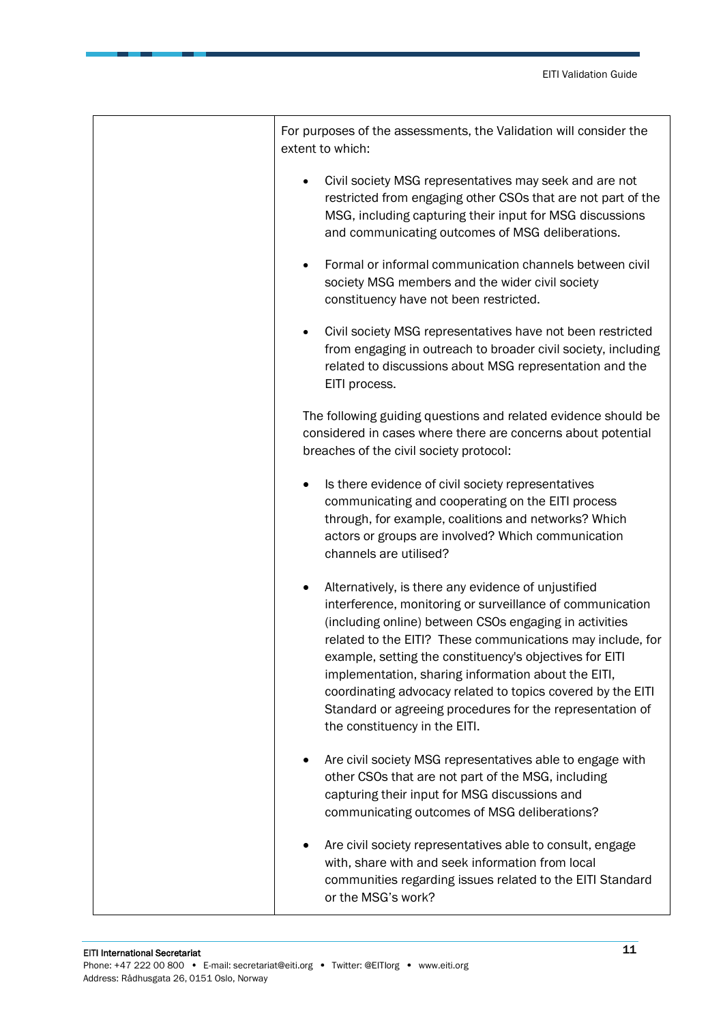| For purposes of the assessments, the Validation will consider the<br>extent to which:                                                                                                                                                                                                                                                                                                                                                                                                                                   |
|-------------------------------------------------------------------------------------------------------------------------------------------------------------------------------------------------------------------------------------------------------------------------------------------------------------------------------------------------------------------------------------------------------------------------------------------------------------------------------------------------------------------------|
| Civil society MSG representatives may seek and are not<br>restricted from engaging other CSOs that are not part of the<br>MSG, including capturing their input for MSG discussions<br>and communicating outcomes of MSG deliberations.                                                                                                                                                                                                                                                                                  |
| Formal or informal communication channels between civil<br>$\bullet$<br>society MSG members and the wider civil society<br>constituency have not been restricted.                                                                                                                                                                                                                                                                                                                                                       |
| Civil society MSG representatives have not been restricted<br>from engaging in outreach to broader civil society, including<br>related to discussions about MSG representation and the<br>EITI process.                                                                                                                                                                                                                                                                                                                 |
| The following guiding questions and related evidence should be<br>considered in cases where there are concerns about potential<br>breaches of the civil society protocol:                                                                                                                                                                                                                                                                                                                                               |
| Is there evidence of civil society representatives<br>communicating and cooperating on the EITI process<br>through, for example, coalitions and networks? Which<br>actors or groups are involved? Which communication<br>channels are utilised?                                                                                                                                                                                                                                                                         |
| Alternatively, is there any evidence of unjustified<br>interference, monitoring or surveillance of communication<br>(including online) between CSOs engaging in activities<br>related to the EITI? These communications may include, for<br>example, setting the constituency's objectives for EITI<br>implementation, sharing information about the EITI,<br>coordinating advocacy related to topics covered by the EITI<br>Standard or agreeing procedures for the representation of<br>the constituency in the EITI. |
| Are civil society MSG representatives able to engage with<br>other CSOs that are not part of the MSG, including<br>capturing their input for MSG discussions and<br>communicating outcomes of MSG deliberations?                                                                                                                                                                                                                                                                                                        |
| Are civil society representatives able to consult, engage<br>with, share with and seek information from local<br>communities regarding issues related to the EITI Standard<br>or the MSG's work?                                                                                                                                                                                                                                                                                                                        |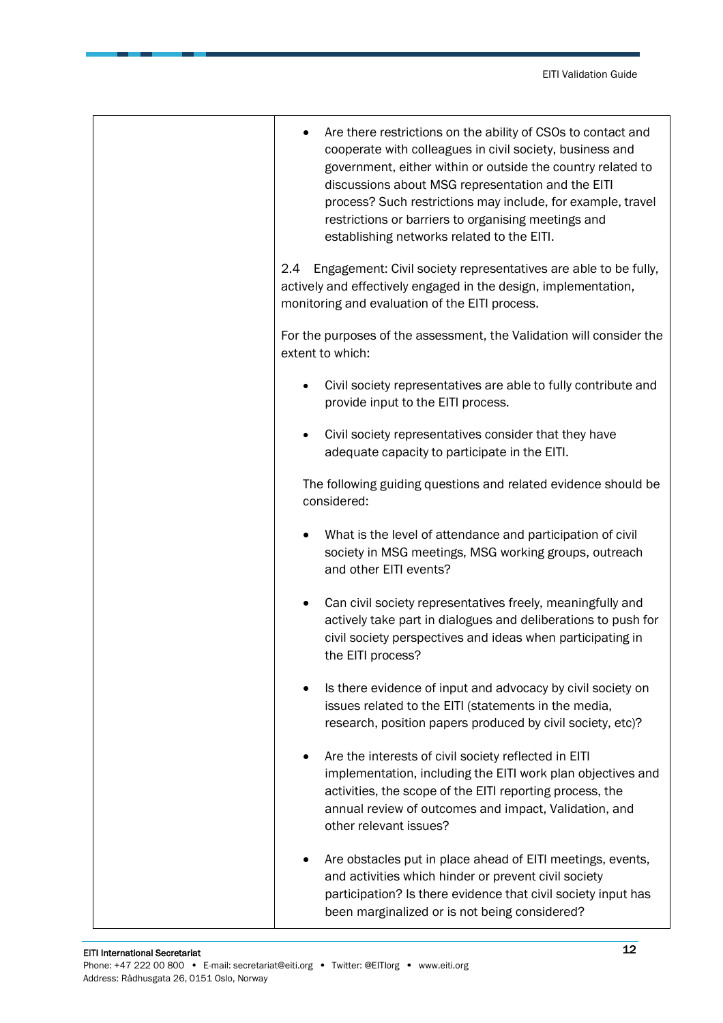| Are there restrictions on the ability of CSOs to contact and<br>cooperate with colleagues in civil society, business and<br>government, either within or outside the country related to<br>discussions about MSG representation and the EITI<br>process? Such restrictions may include, for example, travel<br>restrictions or barriers to organising meetings and<br>establishing networks related to the EITI. |
|------------------------------------------------------------------------------------------------------------------------------------------------------------------------------------------------------------------------------------------------------------------------------------------------------------------------------------------------------------------------------------------------------------------|
| Engagement: Civil society representatives are able to be fully,<br>$2.4\,$<br>actively and effectively engaged in the design, implementation,<br>monitoring and evaluation of the EITI process.                                                                                                                                                                                                                  |
| For the purposes of the assessment, the Validation will consider the<br>extent to which:                                                                                                                                                                                                                                                                                                                         |
| Civil society representatives are able to fully contribute and<br>provide input to the EITI process.                                                                                                                                                                                                                                                                                                             |
| Civil society representatives consider that they have<br>adequate capacity to participate in the EITI.                                                                                                                                                                                                                                                                                                           |
| The following guiding questions and related evidence should be<br>considered:                                                                                                                                                                                                                                                                                                                                    |
| What is the level of attendance and participation of civil<br>$\bullet$<br>society in MSG meetings, MSG working groups, outreach<br>and other EITI events?                                                                                                                                                                                                                                                       |
| Can civil society representatives freely, meaningfully and<br>٠<br>actively take part in dialogues and deliberations to push for<br>civil society perspectives and ideas when participating in<br>the EITI process?                                                                                                                                                                                              |
| Is there evidence of input and advocacy by civil society on<br>issues related to the EITI (statements in the media,<br>research, position papers produced by civil society, etc)?                                                                                                                                                                                                                                |
| Are the interests of civil society reflected in EITI<br>implementation, including the EITI work plan objectives and<br>activities, the scope of the EITI reporting process, the<br>annual review of outcomes and impact, Validation, and<br>other relevant issues?                                                                                                                                               |
| Are obstacles put in place ahead of EITI meetings, events,<br>and activities which hinder or prevent civil society<br>participation? Is there evidence that civil society input has<br>been marginalized or is not being considered?                                                                                                                                                                             |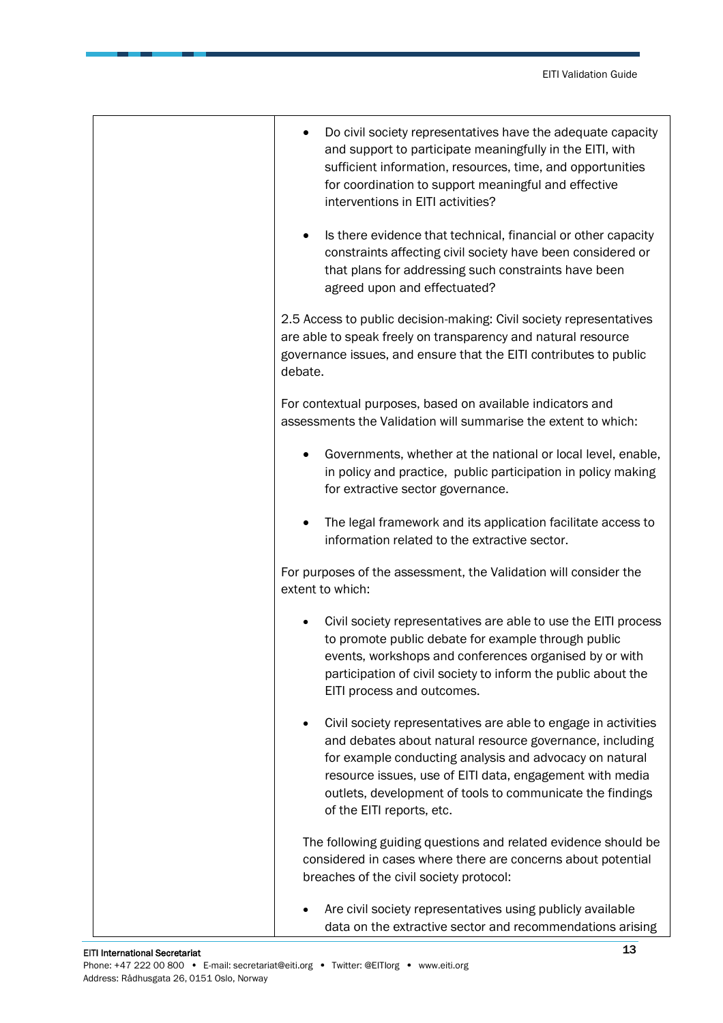| Do civil society representatives have the adequate capacity<br>and support to participate meaningfully in the EITI, with<br>sufficient information, resources, time, and opportunities<br>for coordination to support meaningful and effective<br>interventions in EITI activities?                                                         |
|---------------------------------------------------------------------------------------------------------------------------------------------------------------------------------------------------------------------------------------------------------------------------------------------------------------------------------------------|
| Is there evidence that technical, financial or other capacity<br>constraints affecting civil society have been considered or<br>that plans for addressing such constraints have been<br>agreed upon and effectuated?                                                                                                                        |
| 2.5 Access to public decision-making: Civil society representatives<br>are able to speak freely on transparency and natural resource<br>governance issues, and ensure that the EITI contributes to public<br>debate.                                                                                                                        |
| For contextual purposes, based on available indicators and<br>assessments the Validation will summarise the extent to which:                                                                                                                                                                                                                |
| Governments, whether at the national or local level, enable,<br>in policy and practice, public participation in policy making<br>for extractive sector governance.                                                                                                                                                                          |
| The legal framework and its application facilitate access to<br>information related to the extractive sector.                                                                                                                                                                                                                               |
| For purposes of the assessment, the Validation will consider the<br>extent to which:                                                                                                                                                                                                                                                        |
| Civil society representatives are able to use the EITI process<br>to promote public debate for example through public<br>events, workshops and conferences organised by or with<br>participation of civil society to inform the public about the<br>EITI process and outcomes.                                                              |
| Civil society representatives are able to engage in activities<br>and debates about natural resource governance, including<br>for example conducting analysis and advocacy on natural<br>resource issues, use of EITI data, engagement with media<br>outlets, development of tools to communicate the findings<br>of the EITI reports, etc. |
| The following guiding questions and related evidence should be<br>considered in cases where there are concerns about potential<br>breaches of the civil society protocol:                                                                                                                                                                   |
| Are civil society representatives using publicly available<br>data on the extractive sector and recommendations arising                                                                                                                                                                                                                     |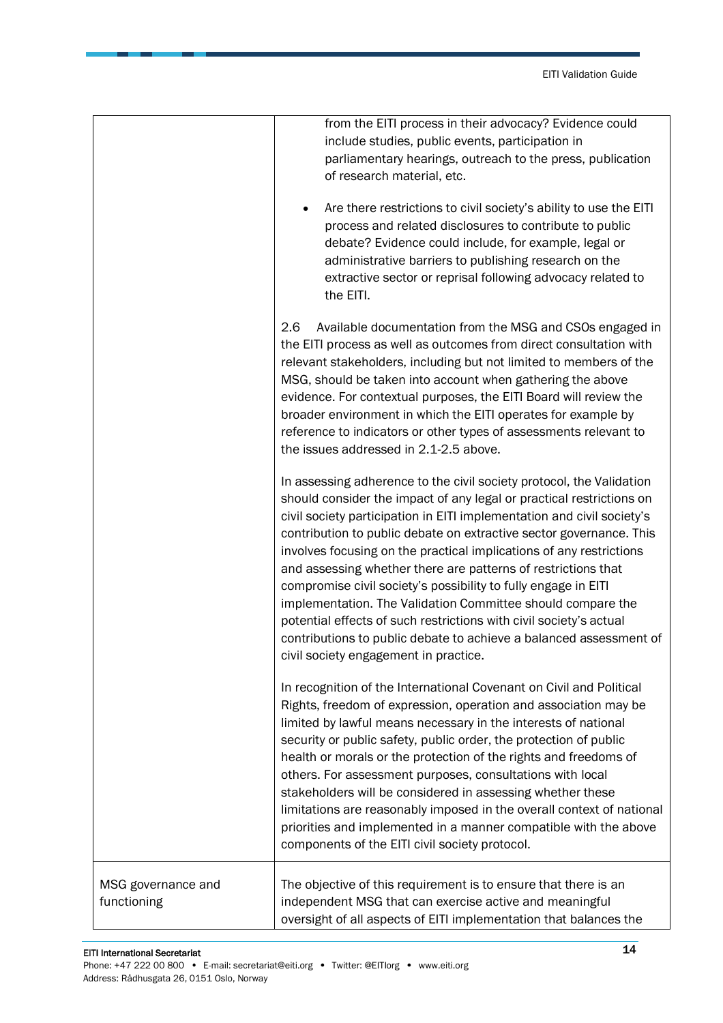|                                   | from the EITI process in their advocacy? Evidence could<br>include studies, public events, participation in<br>parliamentary hearings, outreach to the press, publication<br>of research material, etc.<br>Are there restrictions to civil society's ability to use the EITI<br>process and related disclosures to contribute to public<br>debate? Evidence could include, for example, legal or<br>administrative barriers to publishing research on the<br>extractive sector or reprisal following advocacy related to<br>the EITI.                                                                                                                                                                                                                       |
|-----------------------------------|-------------------------------------------------------------------------------------------------------------------------------------------------------------------------------------------------------------------------------------------------------------------------------------------------------------------------------------------------------------------------------------------------------------------------------------------------------------------------------------------------------------------------------------------------------------------------------------------------------------------------------------------------------------------------------------------------------------------------------------------------------------|
|                                   | 2.6<br>Available documentation from the MSG and CSOs engaged in<br>the EITI process as well as outcomes from direct consultation with<br>relevant stakeholders, including but not limited to members of the<br>MSG, should be taken into account when gathering the above<br>evidence. For contextual purposes, the EITI Board will review the<br>broader environment in which the EITI operates for example by<br>reference to indicators or other types of assessments relevant to<br>the issues addressed in 2.1-2.5 above.                                                                                                                                                                                                                              |
|                                   | In assessing adherence to the civil society protocol, the Validation<br>should consider the impact of any legal or practical restrictions on<br>civil society participation in EITI implementation and civil society's<br>contribution to public debate on extractive sector governance. This<br>involves focusing on the practical implications of any restrictions<br>and assessing whether there are patterns of restrictions that<br>compromise civil society's possibility to fully engage in EITI<br>implementation. The Validation Committee should compare the<br>potential effects of such restrictions with civil society's actual<br>contributions to public debate to achieve a balanced assessment of<br>civil society engagement in practice. |
|                                   | In recognition of the International Covenant on Civil and Political<br>Rights, freedom of expression, operation and association may be<br>limited by lawful means necessary in the interests of national<br>security or public safety, public order, the protection of public<br>health or morals or the protection of the rights and freedoms of<br>others. For assessment purposes, consultations with local<br>stakeholders will be considered in assessing whether these<br>limitations are reasonably imposed in the overall context of national<br>priorities and implemented in a manner compatible with the above<br>components of the EITI civil society protocol.                                                                                 |
| MSG governance and<br>functioning | The objective of this requirement is to ensure that there is an<br>independent MSG that can exercise active and meaningful<br>oversight of all aspects of EITI implementation that balances the                                                                                                                                                                                                                                                                                                                                                                                                                                                                                                                                                             |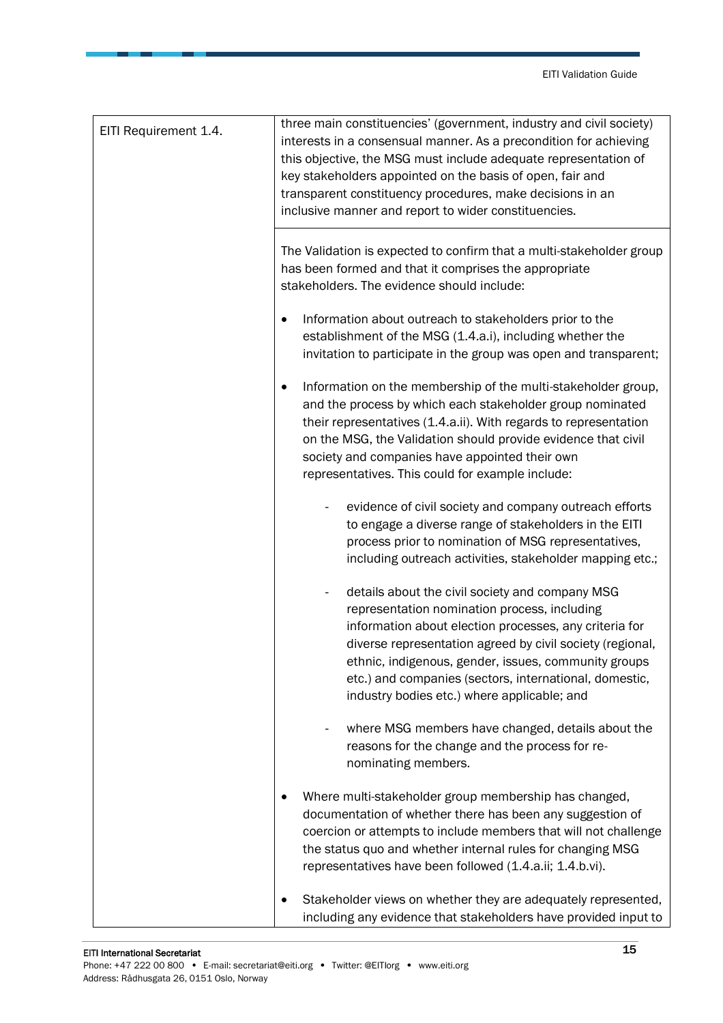| EITI Requirement 1.4. | three main constituencies' (government, industry and civil society)<br>interests in a consensual manner. As a precondition for achieving<br>this objective, the MSG must include adequate representation of<br>key stakeholders appointed on the basis of open, fair and<br>transparent constituency procedures, make decisions in an<br>inclusive manner and report to wider constituencies. |
|-----------------------|-----------------------------------------------------------------------------------------------------------------------------------------------------------------------------------------------------------------------------------------------------------------------------------------------------------------------------------------------------------------------------------------------|
|                       | The Validation is expected to confirm that a multi-stakeholder group<br>has been formed and that it comprises the appropriate<br>stakeholders. The evidence should include:                                                                                                                                                                                                                   |
|                       | Information about outreach to stakeholders prior to the<br>٠<br>establishment of the MSG (1.4.a.i), including whether the<br>invitation to participate in the group was open and transparent;                                                                                                                                                                                                 |
|                       | Information on the membership of the multi-stakeholder group,<br>$\bullet$<br>and the process by which each stakeholder group nominated<br>their representatives (1.4.a.ii). With regards to representation<br>on the MSG, the Validation should provide evidence that civil<br>society and companies have appointed their own<br>representatives. This could for example include:            |
|                       | evidence of civil society and company outreach efforts<br>to engage a diverse range of stakeholders in the EITI<br>process prior to nomination of MSG representatives,<br>including outreach activities, stakeholder mapping etc.;                                                                                                                                                            |
|                       | details about the civil society and company MSG<br>representation nomination process, including<br>information about election processes, any criteria for<br>diverse representation agreed by civil society (regional,<br>ethnic, indigenous, gender, issues, community groups<br>etc.) and companies (sectors, international, domestic,<br>industry bodies etc.) where applicable; and       |
|                       | where MSG members have changed, details about the<br>reasons for the change and the process for re-<br>nominating members.                                                                                                                                                                                                                                                                    |
|                       | Where multi-stakeholder group membership has changed,<br>documentation of whether there has been any suggestion of<br>coercion or attempts to include members that will not challenge<br>the status quo and whether internal rules for changing MSG<br>representatives have been followed (1.4.a.ii; 1.4.b.vi).                                                                               |
|                       | Stakeholder views on whether they are adequately represented,<br>including any evidence that stakeholders have provided input to                                                                                                                                                                                                                                                              |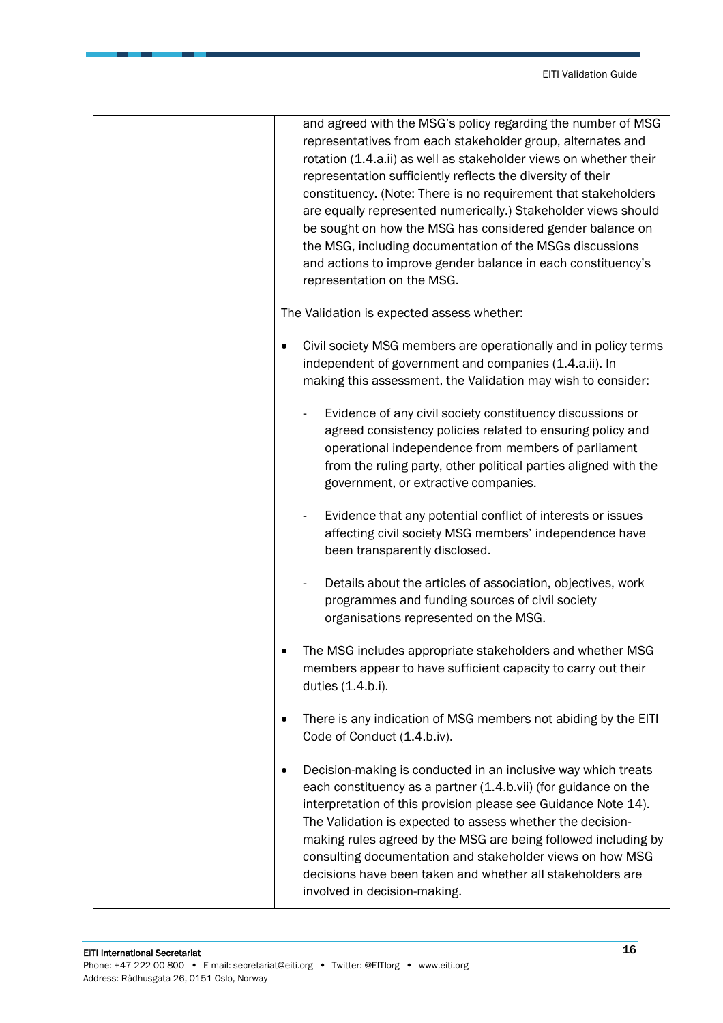| and agreed with the MSG's policy regarding the number of MSG<br>representatives from each stakeholder group, alternates and<br>rotation (1.4.a.ii) as well as stakeholder views on whether their<br>representation sufficiently reflects the diversity of their<br>constituency. (Note: There is no requirement that stakeholders<br>are equally represented numerically.) Stakeholder views should<br>be sought on how the MSG has considered gender balance on<br>the MSG, including documentation of the MSGs discussions<br>and actions to improve gender balance in each constituency's<br>representation on the MSG. |
|----------------------------------------------------------------------------------------------------------------------------------------------------------------------------------------------------------------------------------------------------------------------------------------------------------------------------------------------------------------------------------------------------------------------------------------------------------------------------------------------------------------------------------------------------------------------------------------------------------------------------|
| The Validation is expected assess whether:                                                                                                                                                                                                                                                                                                                                                                                                                                                                                                                                                                                 |
| Civil society MSG members are operationally and in policy terms<br>٠<br>independent of government and companies (1.4.a.ii). In<br>making this assessment, the Validation may wish to consider:                                                                                                                                                                                                                                                                                                                                                                                                                             |
| Evidence of any civil society constituency discussions or<br>agreed consistency policies related to ensuring policy and<br>operational independence from members of parliament<br>from the ruling party, other political parties aligned with the<br>government, or extractive companies.                                                                                                                                                                                                                                                                                                                                  |
| Evidence that any potential conflict of interests or issues<br>affecting civil society MSG members' independence have<br>been transparently disclosed.                                                                                                                                                                                                                                                                                                                                                                                                                                                                     |
| Details about the articles of association, objectives, work<br>programmes and funding sources of civil society<br>organisations represented on the MSG.                                                                                                                                                                                                                                                                                                                                                                                                                                                                    |
| The MSG includes appropriate stakeholders and whether MSG<br>members appear to have sufficient capacity to carry out their<br>duties (1.4.b.i).                                                                                                                                                                                                                                                                                                                                                                                                                                                                            |
| There is any indication of MSG members not abiding by the EITI<br>Code of Conduct (1.4.b.iv).                                                                                                                                                                                                                                                                                                                                                                                                                                                                                                                              |
| Decision-making is conducted in an inclusive way which treats<br>each constituency as a partner (1.4.b.vii) (for guidance on the<br>interpretation of this provision please see Guidance Note 14).<br>The Validation is expected to assess whether the decision-<br>making rules agreed by the MSG are being followed including by<br>consulting documentation and stakeholder views on how MSG<br>decisions have been taken and whether all stakeholders are<br>involved in decision-making.                                                                                                                              |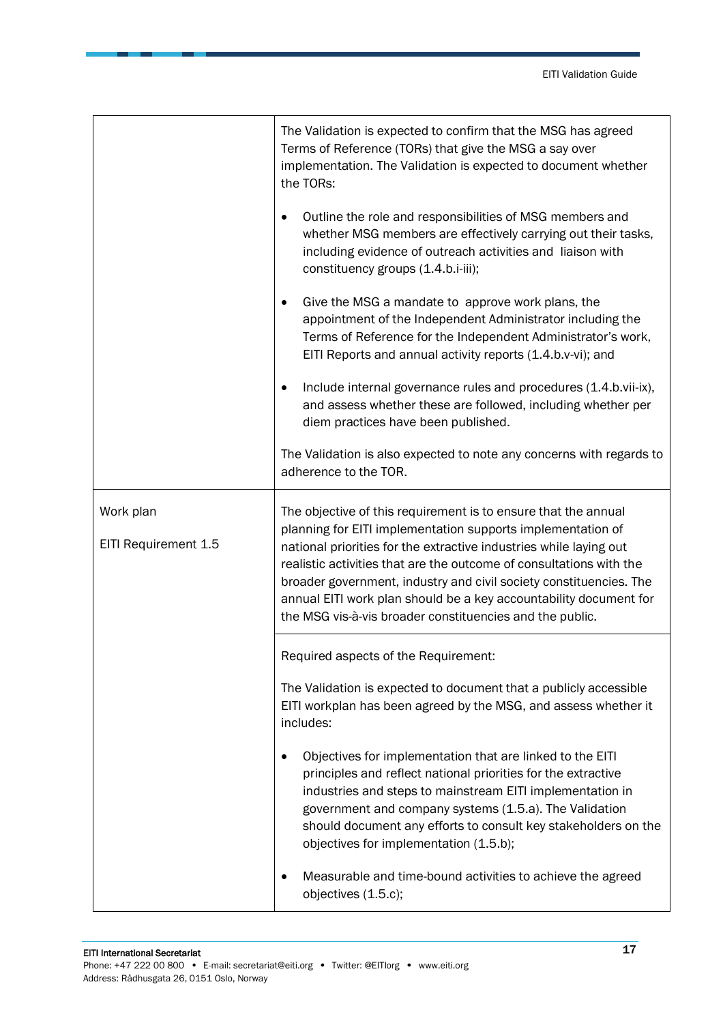|                                   | The Validation is expected to confirm that the MSG has agreed<br>Terms of Reference (TORs) that give the MSG a say over<br>implementation. The Validation is expected to document whether<br>the TORs:                                                                                                                                                                                                                                                                            |
|-----------------------------------|-----------------------------------------------------------------------------------------------------------------------------------------------------------------------------------------------------------------------------------------------------------------------------------------------------------------------------------------------------------------------------------------------------------------------------------------------------------------------------------|
|                                   | Outline the role and responsibilities of MSG members and<br>whether MSG members are effectively carrying out their tasks,<br>including evidence of outreach activities and liaison with<br>constituency groups (1.4.b.i-iii);                                                                                                                                                                                                                                                     |
|                                   | Give the MSG a mandate to approve work plans, the<br>appointment of the Independent Administrator including the<br>Terms of Reference for the Independent Administrator's work,<br>EITI Reports and annual activity reports (1.4.b.v-vi); and                                                                                                                                                                                                                                     |
|                                   | Include internal governance rules and procedures (1.4.b.vii-ix),<br>and assess whether these are followed, including whether per<br>diem practices have been published.                                                                                                                                                                                                                                                                                                           |
|                                   | The Validation is also expected to note any concerns with regards to<br>adherence to the TOR.                                                                                                                                                                                                                                                                                                                                                                                     |
| Work plan<br>EITI Requirement 1.5 | The objective of this requirement is to ensure that the annual<br>planning for EITI implementation supports implementation of<br>national priorities for the extractive industries while laying out<br>realistic activities that are the outcome of consultations with the<br>broader government, industry and civil society constituencies. The<br>annual EITI work plan should be a key accountability document for<br>the MSG vis-à-vis broader constituencies and the public. |
|                                   | Required aspects of the Requirement:                                                                                                                                                                                                                                                                                                                                                                                                                                              |
|                                   | The Validation is expected to document that a publicly accessible<br>EITI workplan has been agreed by the MSG, and assess whether it<br>includes:                                                                                                                                                                                                                                                                                                                                 |
|                                   | Objectives for implementation that are linked to the EITI<br>principles and reflect national priorities for the extractive<br>industries and steps to mainstream EITI implementation in<br>government and company systems (1.5.a). The Validation<br>should document any efforts to consult key stakeholders on the<br>objectives for implementation (1.5.b);                                                                                                                     |
|                                   | Measurable and time-bound activities to achieve the agreed<br>objectives (1.5.c);                                                                                                                                                                                                                                                                                                                                                                                                 |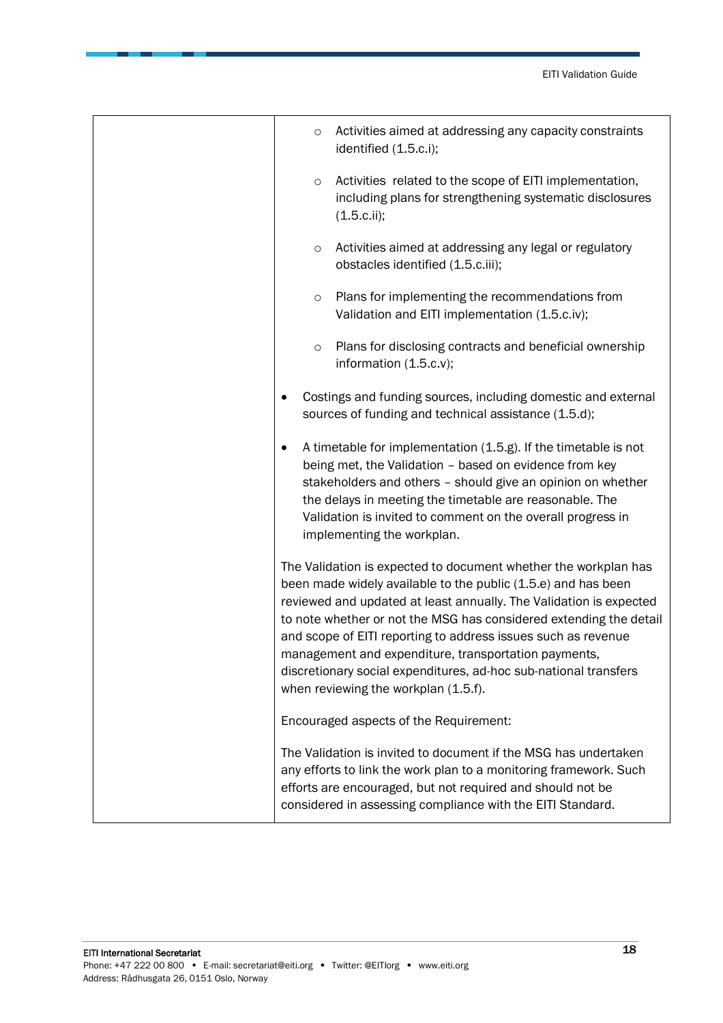| $\circ$   | Activities aimed at addressing any capacity constraints<br>identified (1.5.c.i);                                                                                                                                                                                                                                                                                                                                                                                                                                  |
|-----------|-------------------------------------------------------------------------------------------------------------------------------------------------------------------------------------------------------------------------------------------------------------------------------------------------------------------------------------------------------------------------------------------------------------------------------------------------------------------------------------------------------------------|
| $\circ$   | Activities related to the scope of EITI implementation,<br>including plans for strengthening systematic disclosures<br>(1.5.c.ii);                                                                                                                                                                                                                                                                                                                                                                                |
| $\circ$   | Activities aimed at addressing any legal or regulatory<br>obstacles identified (1.5.c.iii);                                                                                                                                                                                                                                                                                                                                                                                                                       |
| $\circ$   | Plans for implementing the recommendations from<br>Validation and EITI implementation (1.5.c.iv);                                                                                                                                                                                                                                                                                                                                                                                                                 |
| $\circ$   | Plans for disclosing contracts and beneficial ownership<br>information (1.5.c.v);                                                                                                                                                                                                                                                                                                                                                                                                                                 |
|           | Costings and funding sources, including domestic and external<br>sources of funding and technical assistance (1.5.d);                                                                                                                                                                                                                                                                                                                                                                                             |
| $\bullet$ | A timetable for implementation (1.5.g). If the timetable is not<br>being met, the Validation - based on evidence from key<br>stakeholders and others - should give an opinion on whether<br>the delays in meeting the timetable are reasonable. The<br>Validation is invited to comment on the overall progress in<br>implementing the workplan.                                                                                                                                                                  |
|           | The Validation is expected to document whether the workplan has<br>been made widely available to the public (1.5.e) and has been<br>reviewed and updated at least annually. The Validation is expected<br>to note whether or not the MSG has considered extending the detail<br>and scope of EITI reporting to address issues such as revenue<br>management and expenditure, transportation payments,<br>discretionary social expenditures, ad-hoc sub-national transfers<br>when reviewing the workplan (1.5.f). |
|           | Encouraged aspects of the Requirement:                                                                                                                                                                                                                                                                                                                                                                                                                                                                            |
|           | The Validation is invited to document if the MSG has undertaken<br>any efforts to link the work plan to a monitoring framework. Such<br>efforts are encouraged, but not required and should not be<br>considered in assessing compliance with the EITI Standard.                                                                                                                                                                                                                                                  |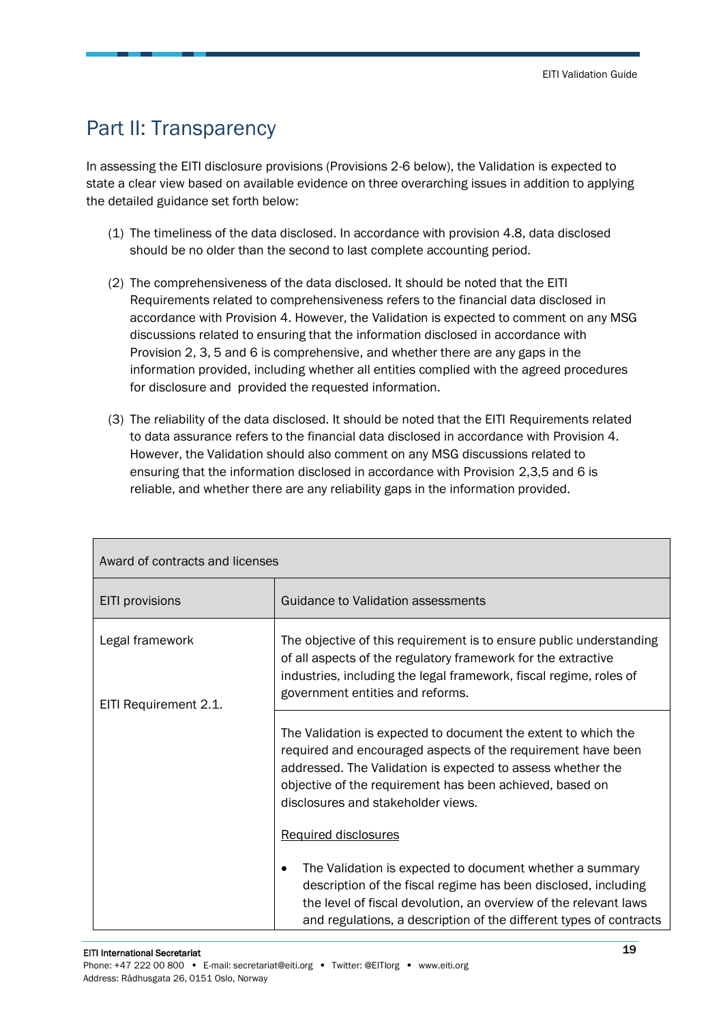### <span id="page-18-0"></span>Part II: Transparency

In assessing the EITI disclosure provisions (Provisions 2-6 below), the Validation is expected to state a clear view based on available evidence on three overarching issues in addition to applying the detailed guidance set forth below:

- (1) The timeliness of the data disclosed. In accordance with provision 4.8, data disclosed should be no older than the second to last complete accounting period.
- (2) The comprehensiveness of the data disclosed. It should be noted that the EITI Requirements related to comprehensiveness refers to the financial data disclosed in accordance with Provision 4. However, the Validation is expected to comment on any MSG discussions related to ensuring that the information disclosed in accordance with Provision 2, 3, 5 and 6 is comprehensive, and whether there are any gaps in the information provided, including whether all entities complied with the agreed procedures for disclosure and provided the requested information.
- (3) The reliability of the data disclosed. It should be noted that the EITI Requirements related to data assurance refers to the financial data disclosed in accordance with Provision 4. However, the Validation should also comment on any MSG discussions related to ensuring that the information disclosed in accordance with Provision 2,3,5 and 6 is reliable, and whether there are any reliability gaps in the information provided.

| Award of contracts and licenses          |                                                                                                                                                                                                                                                                                                                         |
|------------------------------------------|-------------------------------------------------------------------------------------------------------------------------------------------------------------------------------------------------------------------------------------------------------------------------------------------------------------------------|
| EITI provisions                          | Guidance to Validation assessments                                                                                                                                                                                                                                                                                      |
| Legal framework<br>EITI Requirement 2.1. | The objective of this requirement is to ensure public understanding<br>of all aspects of the regulatory framework for the extractive<br>industries, including the legal framework, fiscal regime, roles of<br>government entities and reforms.                                                                          |
|                                          | The Validation is expected to document the extent to which the<br>required and encouraged aspects of the requirement have been<br>addressed. The Validation is expected to assess whether the<br>objective of the requirement has been achieved, based on<br>disclosures and stakeholder views.<br>Required disclosures |
|                                          | The Validation is expected to document whether a summary<br>description of the fiscal regime has been disclosed, including<br>the level of fiscal devolution, an overview of the relevant laws<br>and regulations, a description of the different types of contracts                                                    |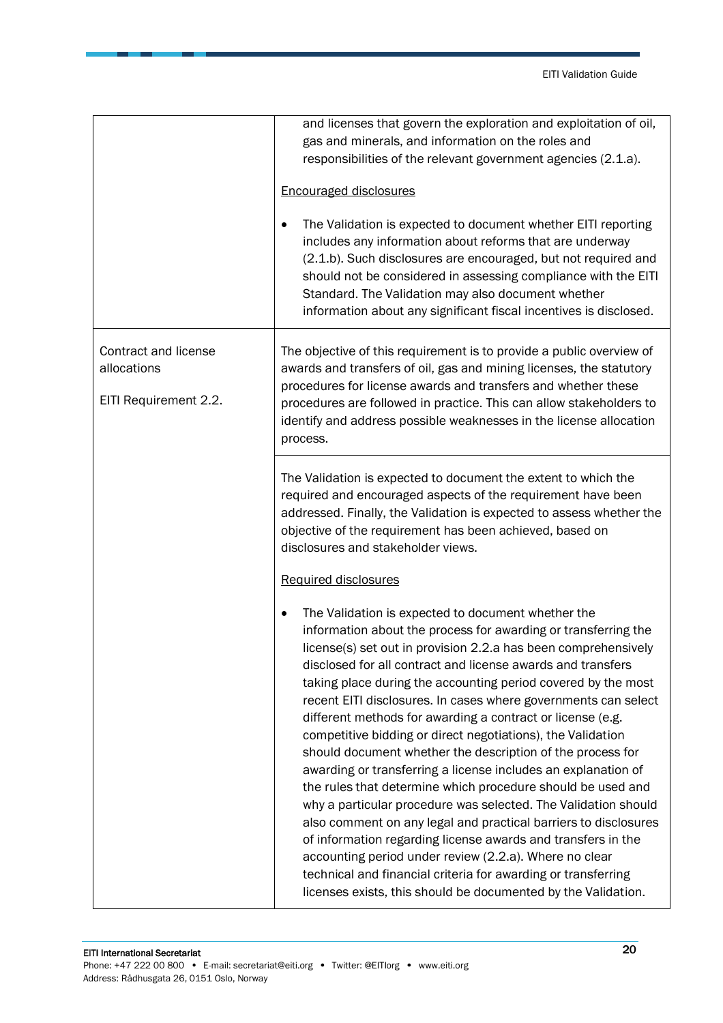|                                                              | and licenses that govern the exploration and exploitation of oil,<br>gas and minerals, and information on the roles and<br>responsibilities of the relevant government agencies (2.1.a).<br><b>Encouraged disclosures</b><br>The Validation is expected to document whether EITI reporting<br>includes any information about reforms that are underway<br>(2.1.b). Such disclosures are encouraged, but not required and<br>should not be considered in assessing compliance with the EITI<br>Standard. The Validation may also document whether<br>information about any significant fiscal incentives is disclosed.                                                                                                                                                                                                                                                                                                                                                                                                                                                                                                                        |
|--------------------------------------------------------------|----------------------------------------------------------------------------------------------------------------------------------------------------------------------------------------------------------------------------------------------------------------------------------------------------------------------------------------------------------------------------------------------------------------------------------------------------------------------------------------------------------------------------------------------------------------------------------------------------------------------------------------------------------------------------------------------------------------------------------------------------------------------------------------------------------------------------------------------------------------------------------------------------------------------------------------------------------------------------------------------------------------------------------------------------------------------------------------------------------------------------------------------|
| Contract and license<br>allocations<br>EITI Requirement 2.2. | The objective of this requirement is to provide a public overview of<br>awards and transfers of oil, gas and mining licenses, the statutory<br>procedures for license awards and transfers and whether these<br>procedures are followed in practice. This can allow stakeholders to<br>identify and address possible weaknesses in the license allocation<br>process.                                                                                                                                                                                                                                                                                                                                                                                                                                                                                                                                                                                                                                                                                                                                                                        |
|                                                              | The Validation is expected to document the extent to which the<br>required and encouraged aspects of the requirement have been<br>addressed. Finally, the Validation is expected to assess whether the<br>objective of the requirement has been achieved, based on<br>disclosures and stakeholder views.                                                                                                                                                                                                                                                                                                                                                                                                                                                                                                                                                                                                                                                                                                                                                                                                                                     |
|                                                              | Required disclosures<br>The Validation is expected to document whether the<br>information about the process for awarding or transferring the<br>license(s) set out in provision 2.2.a has been comprehensively<br>disclosed for all contract and license awards and transfers<br>taking place during the accounting period covered by the most<br>recent EITI disclosures. In cases where governments can select<br>different methods for awarding a contract or license (e.g.<br>competitive bidding or direct negotiations), the Validation<br>should document whether the description of the process for<br>awarding or transferring a license includes an explanation of<br>the rules that determine which procedure should be used and<br>why a particular procedure was selected. The Validation should<br>also comment on any legal and practical barriers to disclosures<br>of information regarding license awards and transfers in the<br>accounting period under review (2.2.a). Where no clear<br>technical and financial criteria for awarding or transferring<br>licenses exists, this should be documented by the Validation. |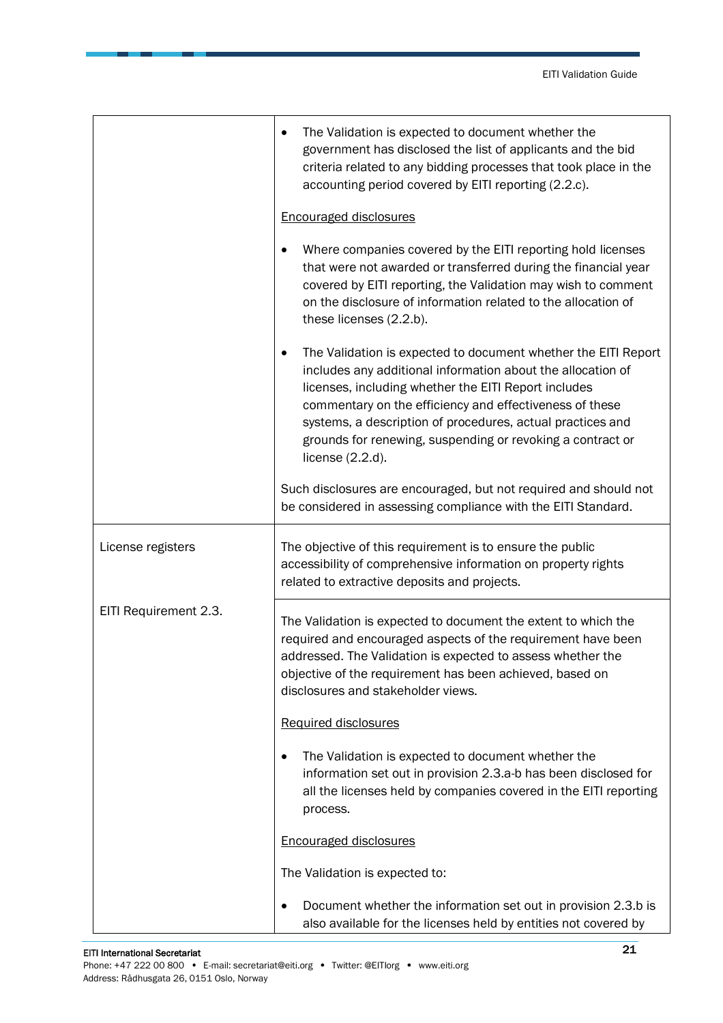|                       | The Validation is expected to document whether the<br>government has disclosed the list of applicants and the bid<br>criteria related to any bidding processes that took place in the<br>accounting period covered by EITI reporting (2.2.c).                                                                                                                                                            |
|-----------------------|----------------------------------------------------------------------------------------------------------------------------------------------------------------------------------------------------------------------------------------------------------------------------------------------------------------------------------------------------------------------------------------------------------|
|                       | <b>Encouraged disclosures</b>                                                                                                                                                                                                                                                                                                                                                                            |
|                       | Where companies covered by the EITI reporting hold licenses<br>that were not awarded or transferred during the financial year<br>covered by EITI reporting, the Validation may wish to comment<br>on the disclosure of information related to the allocation of<br>these licenses (2.2.b).                                                                                                               |
|                       | The Validation is expected to document whether the EITI Report<br>٠<br>includes any additional information about the allocation of<br>licenses, including whether the EITI Report includes<br>commentary on the efficiency and effectiveness of these<br>systems, a description of procedures, actual practices and<br>grounds for renewing, suspending or revoking a contract or<br>license $(2.2.d)$ . |
|                       | Such disclosures are encouraged, but not required and should not<br>be considered in assessing compliance with the EITI Standard.                                                                                                                                                                                                                                                                        |
| License registers     | The objective of this requirement is to ensure the public<br>accessibility of comprehensive information on property rights<br>related to extractive deposits and projects.                                                                                                                                                                                                                               |
| EITI Requirement 2.3. | The Validation is expected to document the extent to which the<br>required and encouraged aspects of the requirement have been<br>addressed. The Validation is expected to assess whether the<br>objective of the requirement has been achieved, based on<br>disclosures and stakeholder views.                                                                                                          |
|                       | Required disclosures                                                                                                                                                                                                                                                                                                                                                                                     |
|                       | The Validation is expected to document whether the<br>information set out in provision 2.3.a-b has been disclosed for<br>all the licenses held by companies covered in the EITI reporting<br>process.                                                                                                                                                                                                    |
|                       | <b>Encouraged disclosures</b>                                                                                                                                                                                                                                                                                                                                                                            |
|                       | The Validation is expected to:                                                                                                                                                                                                                                                                                                                                                                           |
|                       | Document whether the information set out in provision 2.3.b is<br>٠<br>also available for the licenses held by entities not covered by                                                                                                                                                                                                                                                                   |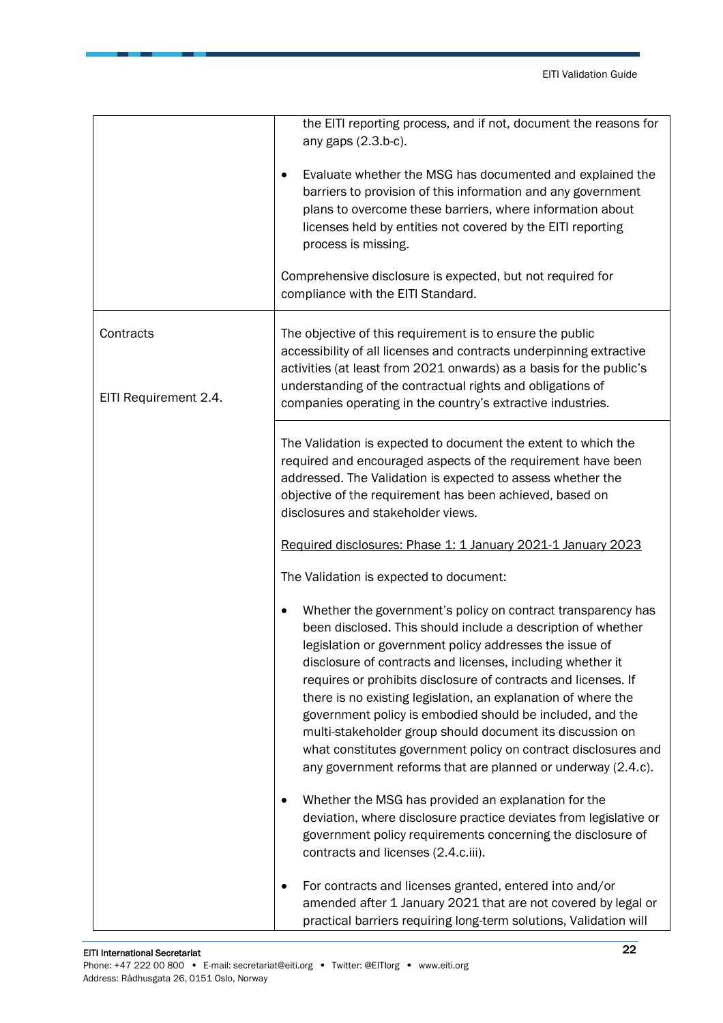|                                    | the EITI reporting process, and if not, document the reasons for<br>any gaps (2.3.b-c).<br>Evaluate whether the MSG has documented and explained the<br>٠<br>barriers to provision of this information and any government<br>plans to overcome these barriers, where information about<br>licenses held by entities not covered by the EITI reporting<br>process is missing.<br>Comprehensive disclosure is expected, but not required for<br>compliance with the EITI Standard.                                                                                                                                                                     |
|------------------------------------|------------------------------------------------------------------------------------------------------------------------------------------------------------------------------------------------------------------------------------------------------------------------------------------------------------------------------------------------------------------------------------------------------------------------------------------------------------------------------------------------------------------------------------------------------------------------------------------------------------------------------------------------------|
| Contracts<br>EITI Requirement 2.4. | The objective of this requirement is to ensure the public<br>accessibility of all licenses and contracts underpinning extractive<br>activities (at least from 2021 onwards) as a basis for the public's<br>understanding of the contractual rights and obligations of<br>companies operating in the country's extractive industries.                                                                                                                                                                                                                                                                                                                 |
|                                    | The Validation is expected to document the extent to which the<br>required and encouraged aspects of the requirement have been<br>addressed. The Validation is expected to assess whether the<br>objective of the requirement has been achieved, based on<br>disclosures and stakeholder views.<br>Required disclosures: Phase 1: 1 January 2021-1 January 2023                                                                                                                                                                                                                                                                                      |
|                                    | The Validation is expected to document:                                                                                                                                                                                                                                                                                                                                                                                                                                                                                                                                                                                                              |
|                                    | Whether the government's policy on contract transparency has<br>been disclosed. This should include a description of whether<br>legislation or government policy addresses the issue of<br>disclosure of contracts and licenses, including whether it<br>requires or prohibits disclosure of contracts and licenses. If<br>there is no existing legislation, an explanation of where the<br>government policy is embodied should be included, and the<br>multi-stakeholder group should document its discussion on<br>what constitutes government policy on contract disclosures and<br>any government reforms that are planned or underway (2.4.c). |
|                                    | Whether the MSG has provided an explanation for the<br>deviation, where disclosure practice deviates from legislative or<br>government policy requirements concerning the disclosure of<br>contracts and licenses (2.4.c.iii).                                                                                                                                                                                                                                                                                                                                                                                                                       |
|                                    | For contracts and licenses granted, entered into and/or<br>٠<br>amended after 1 January 2021 that are not covered by legal or<br>practical barriers requiring long-term solutions, Validation will                                                                                                                                                                                                                                                                                                                                                                                                                                                   |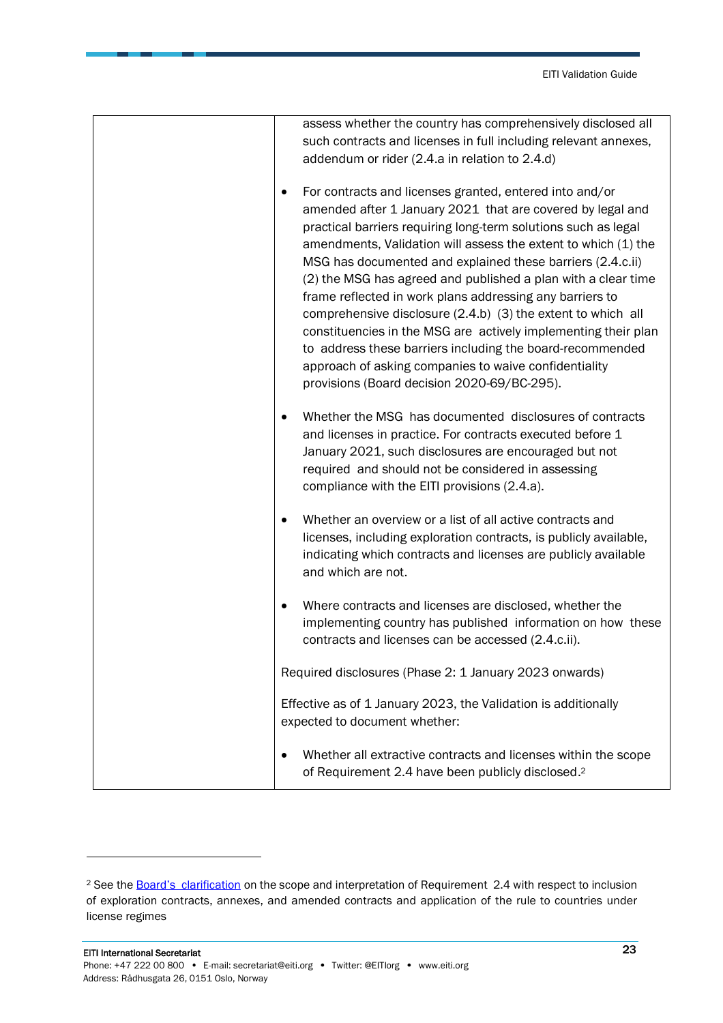| assess whether the country has comprehensively disclosed all         |
|----------------------------------------------------------------------|
| such contracts and licenses in full including relevant annexes,      |
| addendum or rider (2.4.a in relation to 2.4.d)                       |
|                                                                      |
| For contracts and licenses granted, entered into and/or              |
| amended after 1 January 2021 that are covered by legal and           |
| practical barriers requiring long-term solutions such as legal       |
| amendments, Validation will assess the extent to which (1) the       |
| MSG has documented and explained these barriers (2.4.c.ii)           |
| (2) the MSG has agreed and published a plan with a clear time        |
| frame reflected in work plans addressing any barriers to             |
| comprehensive disclosure (2.4.b) (3) the extent to which all         |
| constituencies in the MSG are actively implementing their plan       |
| to address these barriers including the board-recommended            |
| approach of asking companies to waive confidentiality                |
| provisions (Board decision 2020-69/BC-295).                          |
|                                                                      |
| Whether the MSG has documented disclosures of contracts              |
| and licenses in practice. For contracts executed before 1            |
| January 2021, such disclosures are encouraged but not                |
| required and should not be considered in assessing                   |
| compliance with the EITI provisions (2.4.a).                         |
|                                                                      |
| Whether an overview or a list of all active contracts and            |
| licenses, including exploration contracts, is publicly available,    |
| indicating which contracts and licenses are publicly available       |
| and which are not.                                                   |
|                                                                      |
| Where contracts and licenses are disclosed, whether the<br>$\bullet$ |
| implementing country has published information on how these          |
| contracts and licenses can be accessed (2.4.c.ii).                   |
| Required disclosures (Phase 2: 1 January 2023 onwards)               |
|                                                                      |
| Effective as of 1 January 2023, the Validation is additionally       |
| expected to document whether:                                        |
|                                                                      |
| Whether all extractive contracts and licenses within the scope       |
| of Requirement 2.4 have been publicly disclosed. <sup>2</sup>        |

<sup>&</sup>lt;sup>2</sup> See the **Board'[s clarification](https://eiti.org/board-decision/2020-69)** on the scope and interpretation of Requirement 2.4 with respect to inclusion of exploration contracts, annexes, and amended contracts and application of the rule to countries under license regimes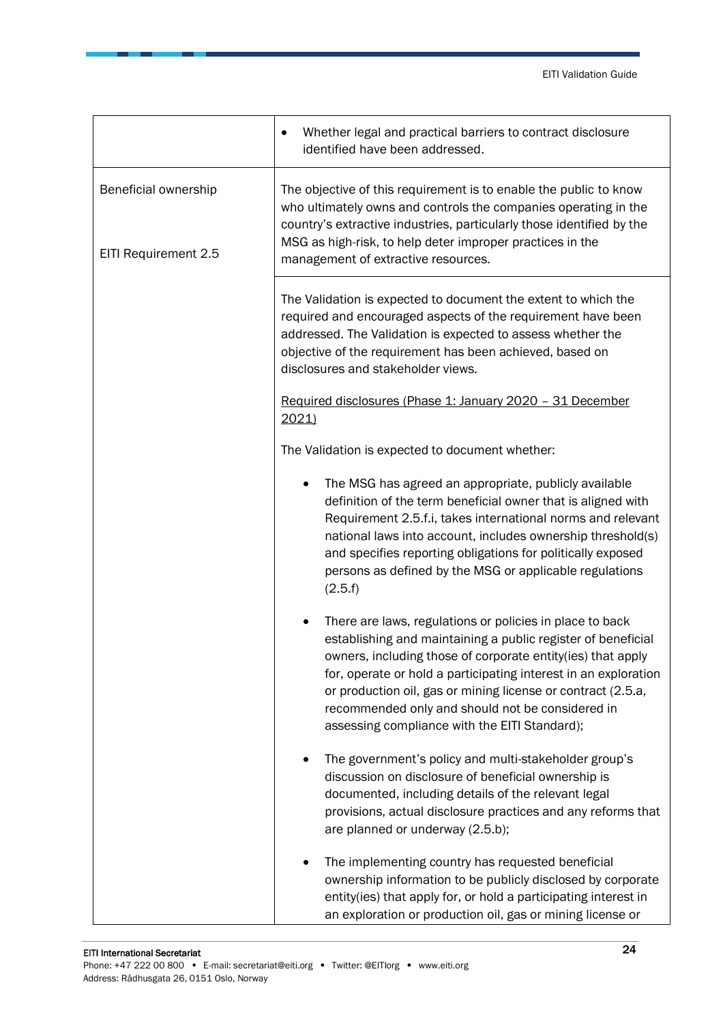|                                              | Whether legal and practical barriers to contract disclosure<br>identified have been addressed.                                                                                                                                                                                                                                                                                                                                  |
|----------------------------------------------|---------------------------------------------------------------------------------------------------------------------------------------------------------------------------------------------------------------------------------------------------------------------------------------------------------------------------------------------------------------------------------------------------------------------------------|
| Beneficial ownership<br>EITI Requirement 2.5 | The objective of this requirement is to enable the public to know<br>who ultimately owns and controls the companies operating in the<br>country's extractive industries, particularly those identified by the<br>MSG as high-risk, to help deter improper practices in the<br>management of extractive resources.                                                                                                               |
|                                              | The Validation is expected to document the extent to which the<br>required and encouraged aspects of the requirement have been<br>addressed. The Validation is expected to assess whether the<br>objective of the requirement has been achieved, based on<br>disclosures and stakeholder views.                                                                                                                                 |
|                                              | Required disclosures (Phase 1: January 2020 - 31 December<br>2021                                                                                                                                                                                                                                                                                                                                                               |
|                                              | The Validation is expected to document whether:                                                                                                                                                                                                                                                                                                                                                                                 |
|                                              | The MSG has agreed an appropriate, publicly available<br>definition of the term beneficial owner that is aligned with<br>Requirement 2.5.f.i, takes international norms and relevant<br>national laws into account, includes ownership threshold(s)<br>and specifies reporting obligations for politically exposed<br>persons as defined by the MSG or applicable regulations<br>(2.5.f)                                        |
|                                              | There are laws, regulations or policies in place to back<br>establishing and maintaining a public register of beneficial<br>owners, including those of corporate entity(ies) that apply<br>for, operate or hold a participating interest in an exploration<br>or production oil, gas or mining license or contract (2.5.a,<br>recommended only and should not be considered in<br>assessing compliance with the EITI Standard); |
|                                              | The government's policy and multi-stakeholder group's<br>discussion on disclosure of beneficial ownership is<br>documented, including details of the relevant legal<br>provisions, actual disclosure practices and any reforms that<br>are planned or underway (2.5.b);                                                                                                                                                         |
|                                              | The implementing country has requested beneficial<br>ownership information to be publicly disclosed by corporate<br>entity(ies) that apply for, or hold a participating interest in<br>an exploration or production oil, gas or mining license or                                                                                                                                                                               |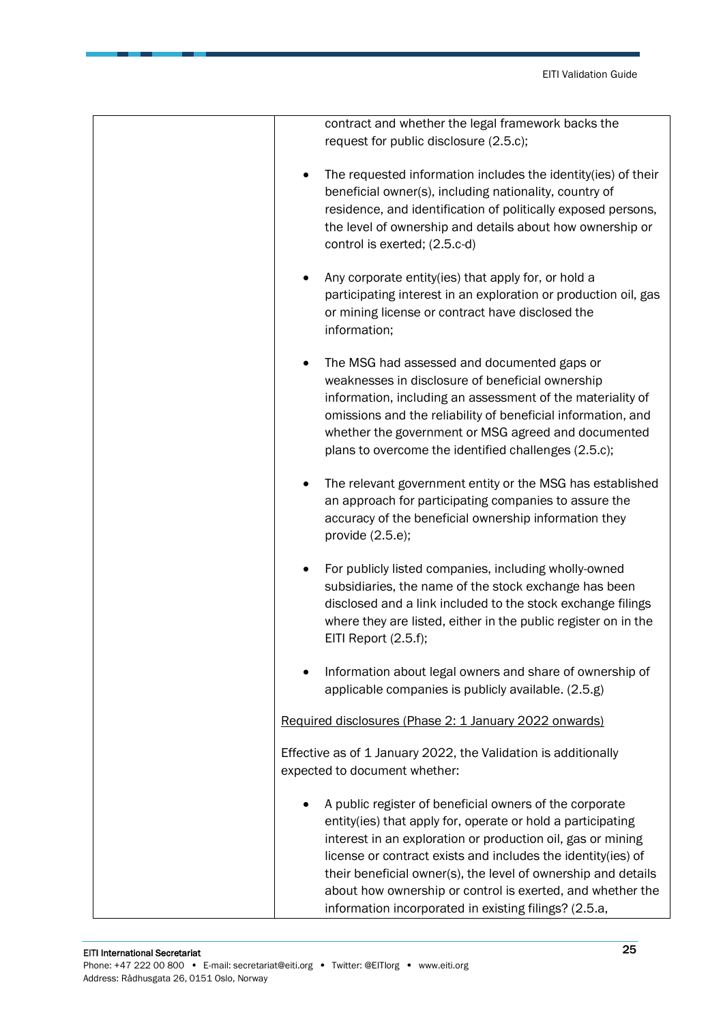| contract and whether the legal framework backs the<br>request for public disclosure (2.5.c);                                                                                                                                                                                                                                                                                                                                                  |
|-----------------------------------------------------------------------------------------------------------------------------------------------------------------------------------------------------------------------------------------------------------------------------------------------------------------------------------------------------------------------------------------------------------------------------------------------|
|                                                                                                                                                                                                                                                                                                                                                                                                                                               |
| The requested information includes the identity(ies) of their<br>beneficial owner(s), including nationality, country of<br>residence, and identification of politically exposed persons,<br>the level of ownership and details about how ownership or<br>control is exerted; (2.5.c-d)                                                                                                                                                        |
| Any corporate entity(ies) that apply for, or hold a<br>participating interest in an exploration or production oil, gas<br>or mining license or contract have disclosed the<br>information;                                                                                                                                                                                                                                                    |
| The MSG had assessed and documented gaps or<br>weaknesses in disclosure of beneficial ownership<br>information, including an assessment of the materiality of<br>omissions and the reliability of beneficial information, and<br>whether the government or MSG agreed and documented<br>plans to overcome the identified challenges (2.5.c);                                                                                                  |
| The relevant government entity or the MSG has established<br>an approach for participating companies to assure the<br>accuracy of the beneficial ownership information they<br>provide $(2.5.e)$ ;                                                                                                                                                                                                                                            |
| For publicly listed companies, including wholly-owned<br>subsidiaries, the name of the stock exchange has been<br>disclosed and a link included to the stock exchange filings<br>where they are listed, either in the public register on in the<br>EITI Report (2.5.f);                                                                                                                                                                       |
| Information about legal owners and share of ownership of<br>applicable companies is publicly available. (2.5.g)                                                                                                                                                                                                                                                                                                                               |
| Required disclosures (Phase 2: 1 January 2022 onwards)                                                                                                                                                                                                                                                                                                                                                                                        |
| Effective as of 1 January 2022, the Validation is additionally<br>expected to document whether:                                                                                                                                                                                                                                                                                                                                               |
| A public register of beneficial owners of the corporate<br>entity(ies) that apply for, operate or hold a participating<br>interest in an exploration or production oil, gas or mining<br>license or contract exists and includes the identity(ies) of<br>their beneficial owner(s), the level of ownership and details<br>about how ownership or control is exerted, and whether the<br>information incorporated in existing filings? (2.5.a, |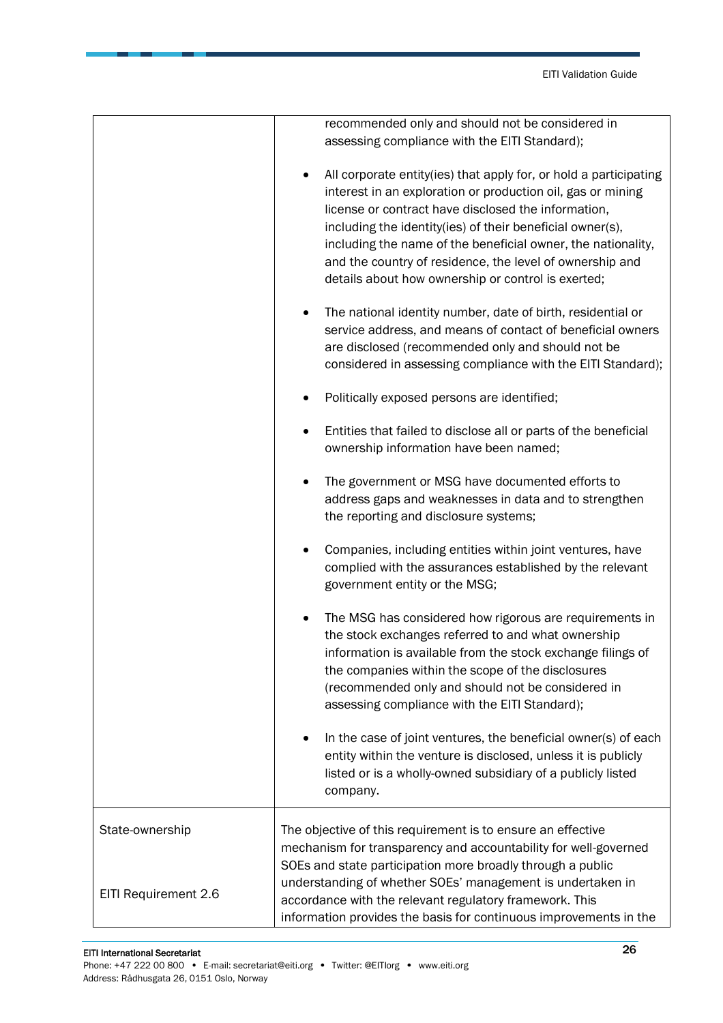|                      | recommended only and should not be considered in                                                                                                                                                     |
|----------------------|------------------------------------------------------------------------------------------------------------------------------------------------------------------------------------------------------|
|                      | assessing compliance with the EITI Standard);                                                                                                                                                        |
|                      | All corporate entity(ies) that apply for, or hold a participating<br>$\bullet$<br>interest in an exploration or production oil, gas or mining<br>license or contract have disclosed the information, |
|                      | including the identity(ies) of their beneficial owner(s),                                                                                                                                            |
|                      | including the name of the beneficial owner, the nationality,                                                                                                                                         |
|                      | and the country of residence, the level of ownership and                                                                                                                                             |
|                      | details about how ownership or control is exerted;                                                                                                                                                   |
|                      | The national identity number, date of birth, residential or                                                                                                                                          |
|                      | service address, and means of contact of beneficial owners                                                                                                                                           |
|                      | are disclosed (recommended only and should not be                                                                                                                                                    |
|                      | considered in assessing compliance with the EITI Standard);                                                                                                                                          |
|                      | Politically exposed persons are identified;                                                                                                                                                          |
|                      | Entities that failed to disclose all or parts of the beneficial                                                                                                                                      |
|                      | ownership information have been named;                                                                                                                                                               |
|                      | The government or MSG have documented efforts to                                                                                                                                                     |
|                      | address gaps and weaknesses in data and to strengthen                                                                                                                                                |
|                      | the reporting and disclosure systems;                                                                                                                                                                |
|                      | Companies, including entities within joint ventures, have                                                                                                                                            |
|                      | complied with the assurances established by the relevant                                                                                                                                             |
|                      | government entity or the MSG;                                                                                                                                                                        |
|                      | The MSG has considered how rigorous are requirements in                                                                                                                                              |
|                      | the stock exchanges referred to and what ownership                                                                                                                                                   |
|                      | information is available from the stock exchange filings of                                                                                                                                          |
|                      | the companies within the scope of the disclosures                                                                                                                                                    |
|                      | (recommended only and should not be considered in<br>assessing compliance with the EITI Standard);                                                                                                   |
|                      |                                                                                                                                                                                                      |
|                      | In the case of joint ventures, the beneficial owner(s) of each<br>$\bullet$                                                                                                                          |
|                      | entity within the venture is disclosed, unless it is publicly                                                                                                                                        |
|                      | listed or is a wholly-owned subsidiary of a publicly listed                                                                                                                                          |
|                      | company.                                                                                                                                                                                             |
| State-ownership      | The objective of this requirement is to ensure an effective                                                                                                                                          |
|                      | mechanism for transparency and accountability for well-governed                                                                                                                                      |
|                      | SOEs and state participation more broadly through a public                                                                                                                                           |
|                      | understanding of whether SOEs' management is undertaken in                                                                                                                                           |
| EITI Requirement 2.6 | accordance with the relevant regulatory framework. This                                                                                                                                              |
|                      | information provides the basis for continuous improvements in the                                                                                                                                    |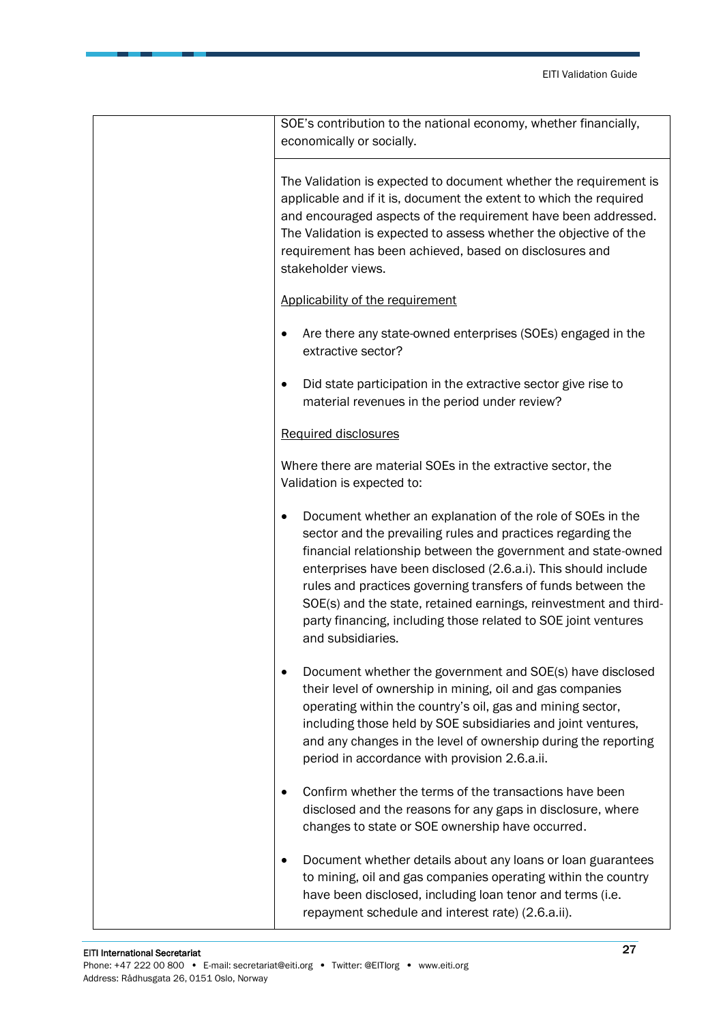| SOE's contribution to the national economy, whether financially,                                                                                                                                                                                                                                                                                                                                                                                                                             |
|----------------------------------------------------------------------------------------------------------------------------------------------------------------------------------------------------------------------------------------------------------------------------------------------------------------------------------------------------------------------------------------------------------------------------------------------------------------------------------------------|
| economically or socially.                                                                                                                                                                                                                                                                                                                                                                                                                                                                    |
|                                                                                                                                                                                                                                                                                                                                                                                                                                                                                              |
| The Validation is expected to document whether the requirement is<br>applicable and if it is, document the extent to which the required<br>and encouraged aspects of the requirement have been addressed.<br>The Validation is expected to assess whether the objective of the<br>requirement has been achieved, based on disclosures and<br>stakeholder views.                                                                                                                              |
| Applicability of the requirement                                                                                                                                                                                                                                                                                                                                                                                                                                                             |
| Are there any state-owned enterprises (SOEs) engaged in the<br>٠<br>extractive sector?                                                                                                                                                                                                                                                                                                                                                                                                       |
| Did state participation in the extractive sector give rise to<br>$\bullet$<br>material revenues in the period under review?                                                                                                                                                                                                                                                                                                                                                                  |
| <b>Required disclosures</b>                                                                                                                                                                                                                                                                                                                                                                                                                                                                  |
| Where there are material SOEs in the extractive sector, the<br>Validation is expected to:                                                                                                                                                                                                                                                                                                                                                                                                    |
| Document whether an explanation of the role of SOEs in the<br>٠<br>sector and the prevailing rules and practices regarding the<br>financial relationship between the government and state-owned<br>enterprises have been disclosed (2.6.a.i). This should include<br>rules and practices governing transfers of funds between the<br>SOE(s) and the state, retained earnings, reinvestment and third-<br>party financing, including those related to SOE joint ventures<br>and subsidiaries. |
| Document whether the government and SOE(s) have disclosed<br>their level of ownership in mining, oil and gas companies<br>operating within the country's oil, gas and mining sector,<br>including those held by SOE subsidiaries and joint ventures,<br>and any changes in the level of ownership during the reporting<br>period in accordance with provision 2.6.a.ii.                                                                                                                      |
| Confirm whether the terms of the transactions have been<br>disclosed and the reasons for any gaps in disclosure, where<br>changes to state or SOE ownership have occurred.                                                                                                                                                                                                                                                                                                                   |
| Document whether details about any loans or loan guarantees<br>to mining, oil and gas companies operating within the country<br>have been disclosed, including loan tenor and terms (i.e.<br>repayment schedule and interest rate) (2.6.a.ii).                                                                                                                                                                                                                                               |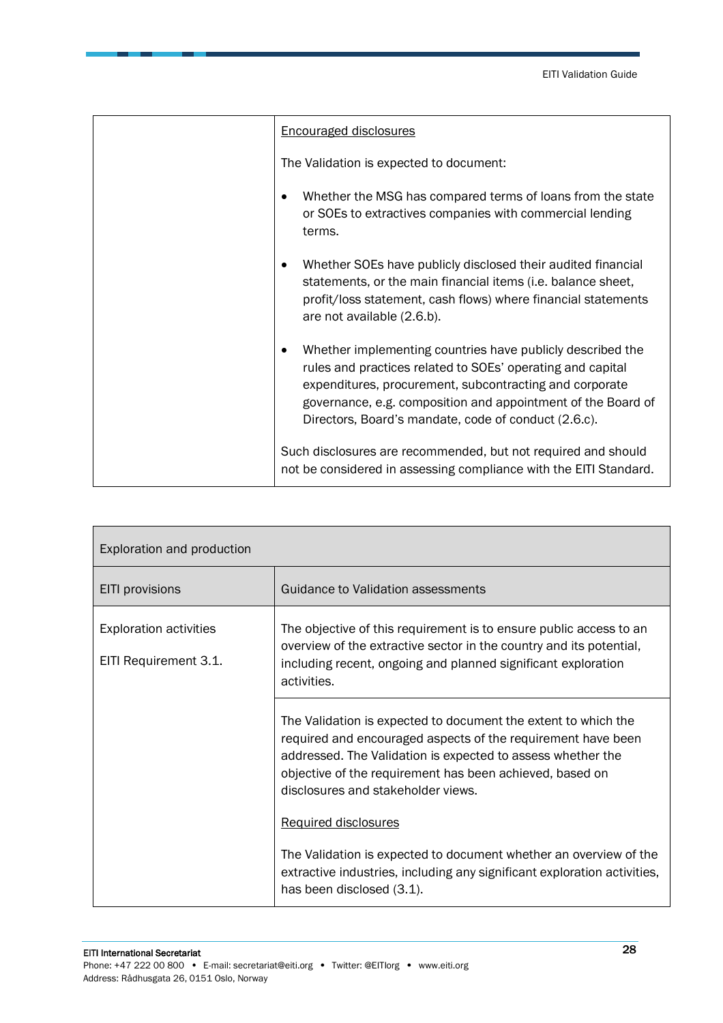| <b>Encouraged disclosures</b>                                                                                                                                                                                                                                                                               |
|-------------------------------------------------------------------------------------------------------------------------------------------------------------------------------------------------------------------------------------------------------------------------------------------------------------|
| The Validation is expected to document:                                                                                                                                                                                                                                                                     |
| Whether the MSG has compared terms of loans from the state<br>or SOEs to extractives companies with commercial lending<br>terms.                                                                                                                                                                            |
| Whether SOEs have publicly disclosed their audited financial<br>statements, or the main financial items (i.e. balance sheet,<br>profit/loss statement, cash flows) where financial statements<br>are not available (2.6.b).                                                                                 |
| Whether implementing countries have publicly described the<br>rules and practices related to SOEs' operating and capital<br>expenditures, procurement, subcontracting and corporate<br>governance, e.g. composition and appointment of the Board of<br>Directors, Board's mandate, code of conduct (2.6.c). |
| Such disclosures are recommended, but not required and should<br>not be considered in assessing compliance with the EITI Standard.                                                                                                                                                                          |

| Exploration and production                             |                                                                                                                                                                                                                                                                                                 |
|--------------------------------------------------------|-------------------------------------------------------------------------------------------------------------------------------------------------------------------------------------------------------------------------------------------------------------------------------------------------|
| <b>EITI</b> provisions                                 | Guidance to Validation assessments                                                                                                                                                                                                                                                              |
| <b>Exploration activities</b><br>EITI Requirement 3.1. | The objective of this requirement is to ensure public access to an<br>overview of the extractive sector in the country and its potential,<br>including recent, ongoing and planned significant exploration<br>activities.                                                                       |
|                                                        | The Validation is expected to document the extent to which the<br>required and encouraged aspects of the requirement have been<br>addressed. The Validation is expected to assess whether the<br>objective of the requirement has been achieved, based on<br>disclosures and stakeholder views. |
|                                                        | <b>Required disclosures</b>                                                                                                                                                                                                                                                                     |
|                                                        | The Validation is expected to document whether an overview of the<br>extractive industries, including any significant exploration activities,<br>has been disclosed (3.1).                                                                                                                      |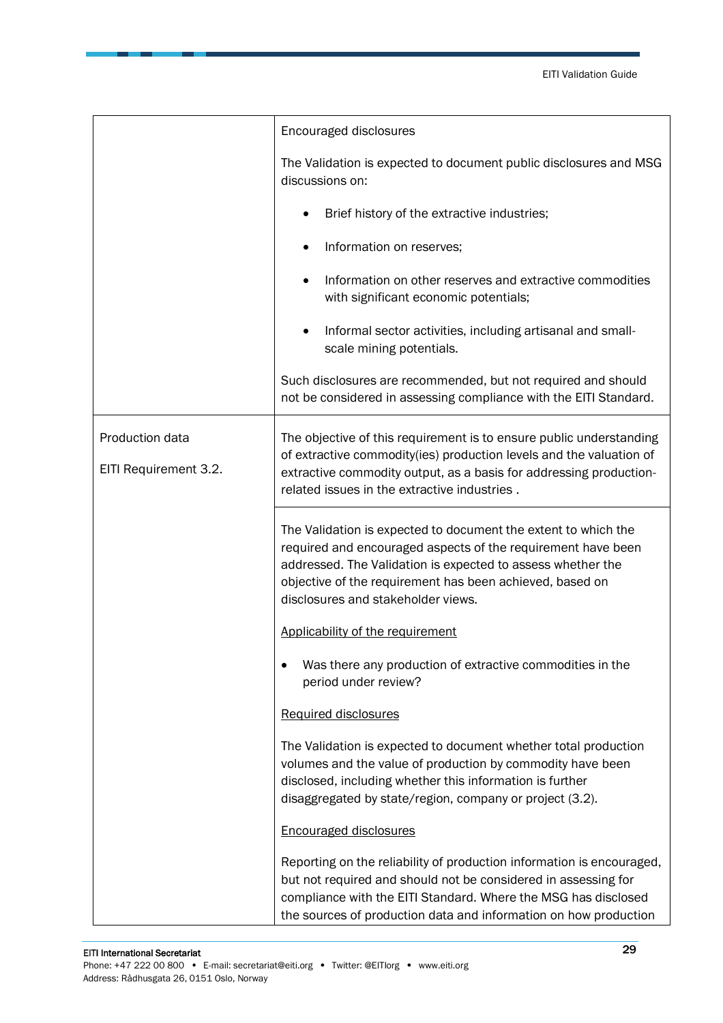|                                          | Encouraged disclosures                                                                                                                                                                                                                                                                          |
|------------------------------------------|-------------------------------------------------------------------------------------------------------------------------------------------------------------------------------------------------------------------------------------------------------------------------------------------------|
|                                          | The Validation is expected to document public disclosures and MSG<br>discussions on:                                                                                                                                                                                                            |
|                                          | Brief history of the extractive industries;                                                                                                                                                                                                                                                     |
|                                          | Information on reserves;                                                                                                                                                                                                                                                                        |
|                                          | Information on other reserves and extractive commodities<br>with significant economic potentials;                                                                                                                                                                                               |
|                                          | Informal sector activities, including artisanal and small-<br>scale mining potentials.                                                                                                                                                                                                          |
|                                          | Such disclosures are recommended, but not required and should<br>not be considered in assessing compliance with the EITI Standard.                                                                                                                                                              |
| Production data<br>EITI Requirement 3.2. | The objective of this requirement is to ensure public understanding<br>of extractive commodity(ies) production levels and the valuation of<br>extractive commodity output, as a basis for addressing production-<br>related issues in the extractive industries.                                |
|                                          | The Validation is expected to document the extent to which the<br>required and encouraged aspects of the requirement have been<br>addressed. The Validation is expected to assess whether the<br>objective of the requirement has been achieved, based on<br>disclosures and stakeholder views. |
|                                          | Applicability of the requirement                                                                                                                                                                                                                                                                |
|                                          | Was there any production of extractive commodities in the<br>period under review?                                                                                                                                                                                                               |
|                                          | <b>Required disclosures</b>                                                                                                                                                                                                                                                                     |
|                                          | The Validation is expected to document whether total production<br>volumes and the value of production by commodity have been<br>disclosed, including whether this information is further<br>disaggregated by state/region, company or project (3.2).                                           |
|                                          | <b>Encouraged disclosures</b>                                                                                                                                                                                                                                                                   |
|                                          | Reporting on the reliability of production information is encouraged,<br>but not required and should not be considered in assessing for<br>compliance with the EITI Standard. Where the MSG has disclosed<br>the sources of production data and information on how production                   |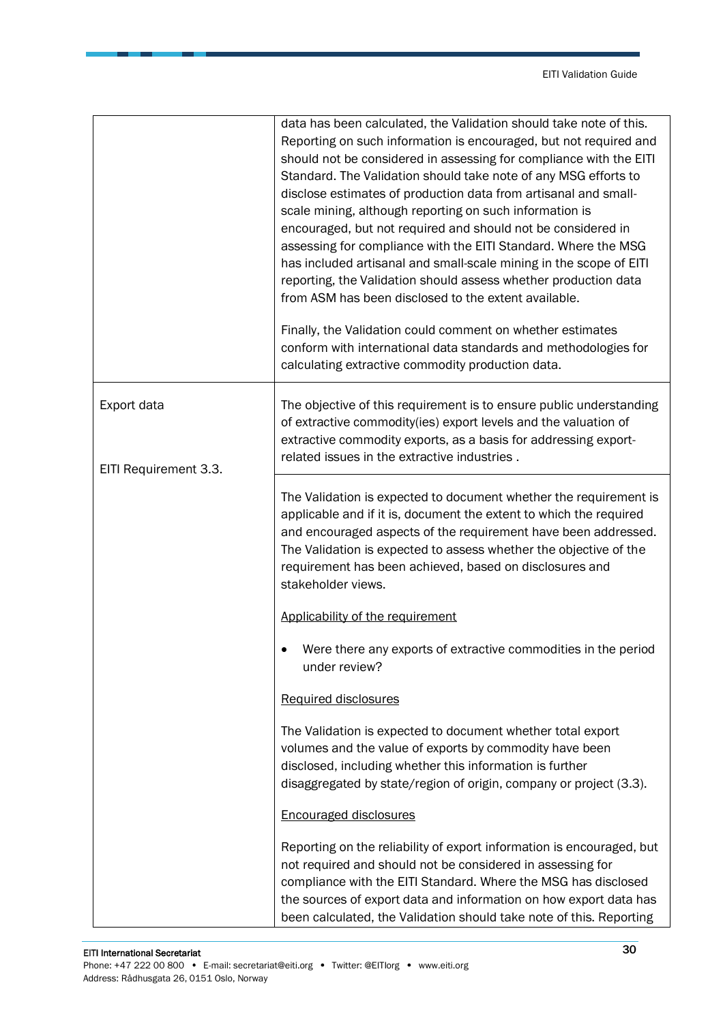|                                      | data has been calculated, the Validation should take note of this.<br>Reporting on such information is encouraged, but not required and<br>should not be considered in assessing for compliance with the EITI<br>Standard. The Validation should take note of any MSG efforts to<br>disclose estimates of production data from artisanal and small-<br>scale mining, although reporting on such information is<br>encouraged, but not required and should not be considered in<br>assessing for compliance with the EITI Standard. Where the MSG<br>has included artisanal and small-scale mining in the scope of EITI<br>reporting, the Validation should assess whether production data<br>from ASM has been disclosed to the extent available.<br>Finally, the Validation could comment on whether estimates<br>conform with international data standards and methodologies for<br>calculating extractive commodity production data. |
|--------------------------------------|-----------------------------------------------------------------------------------------------------------------------------------------------------------------------------------------------------------------------------------------------------------------------------------------------------------------------------------------------------------------------------------------------------------------------------------------------------------------------------------------------------------------------------------------------------------------------------------------------------------------------------------------------------------------------------------------------------------------------------------------------------------------------------------------------------------------------------------------------------------------------------------------------------------------------------------------|
| Export data<br>EITI Requirement 3.3. | The objective of this requirement is to ensure public understanding<br>of extractive commodity(ies) export levels and the valuation of<br>extractive commodity exports, as a basis for addressing export-<br>related issues in the extractive industries.                                                                                                                                                                                                                                                                                                                                                                                                                                                                                                                                                                                                                                                                               |
|                                      | The Validation is expected to document whether the requirement is<br>applicable and if it is, document the extent to which the required<br>and encouraged aspects of the requirement have been addressed.<br>The Validation is expected to assess whether the objective of the<br>requirement has been achieved, based on disclosures and<br>stakeholder views.                                                                                                                                                                                                                                                                                                                                                                                                                                                                                                                                                                         |
|                                      | Applicability of the requirement                                                                                                                                                                                                                                                                                                                                                                                                                                                                                                                                                                                                                                                                                                                                                                                                                                                                                                        |
|                                      | Were there any exports of extractive commodities in the period<br>under review?                                                                                                                                                                                                                                                                                                                                                                                                                                                                                                                                                                                                                                                                                                                                                                                                                                                         |
|                                      | Required disclosures                                                                                                                                                                                                                                                                                                                                                                                                                                                                                                                                                                                                                                                                                                                                                                                                                                                                                                                    |
|                                      | The Validation is expected to document whether total export<br>volumes and the value of exports by commodity have been<br>disclosed, including whether this information is further<br>disaggregated by state/region of origin, company or project (3.3).                                                                                                                                                                                                                                                                                                                                                                                                                                                                                                                                                                                                                                                                                |
|                                      | <b>Encouraged disclosures</b>                                                                                                                                                                                                                                                                                                                                                                                                                                                                                                                                                                                                                                                                                                                                                                                                                                                                                                           |
|                                      | Reporting on the reliability of export information is encouraged, but<br>not required and should not be considered in assessing for<br>compliance with the EITI Standard. Where the MSG has disclosed<br>the sources of export data and information on how export data has<br>been calculated, the Validation should take note of this. Reporting                                                                                                                                                                                                                                                                                                                                                                                                                                                                                                                                                                                       |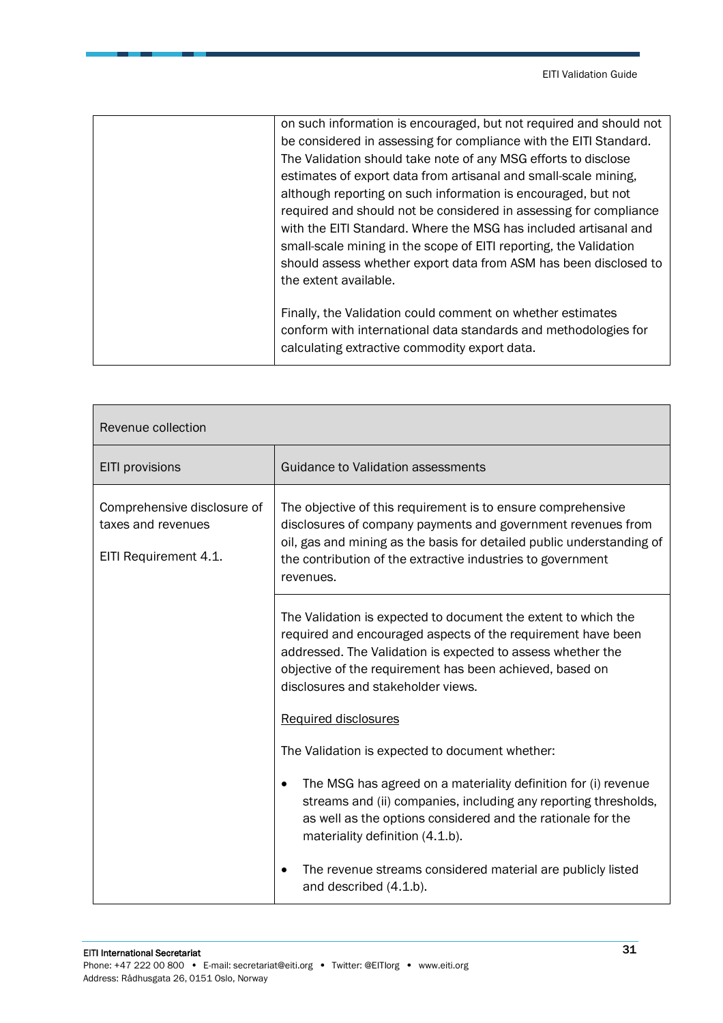| on such information is encouraged, but not required and should not |
|--------------------------------------------------------------------|
| be considered in assessing for compliance with the EITI Standard.  |
| The Validation should take note of any MSG efforts to disclose     |
| estimates of export data from artisanal and small-scale mining,    |
| although reporting on such information is encouraged, but not      |
| required and should not be considered in assessing for compliance  |
| with the EITI Standard. Where the MSG has included artisanal and   |
| small-scale mining in the scope of EITI reporting, the Validation  |
| should assess whether export data from ASM has been disclosed to   |
| the extent available.                                              |
|                                                                    |
| Finally, the Validation could comment on whether estimates         |
| conform with international data standards and methodologies for    |
| calculating extractive commodity export data.                      |
|                                                                    |

| Revenue collection                                                         |                                                                                                                                                                                                                                                                                                 |
|----------------------------------------------------------------------------|-------------------------------------------------------------------------------------------------------------------------------------------------------------------------------------------------------------------------------------------------------------------------------------------------|
| EITI provisions                                                            | Guidance to Validation assessments                                                                                                                                                                                                                                                              |
| Comprehensive disclosure of<br>taxes and revenues<br>EITI Requirement 4.1. | The objective of this requirement is to ensure comprehensive<br>disclosures of company payments and government revenues from<br>oil, gas and mining as the basis for detailed public understanding of<br>the contribution of the extractive industries to government<br>revenues.               |
|                                                                            | The Validation is expected to document the extent to which the<br>required and encouraged aspects of the requirement have been<br>addressed. The Validation is expected to assess whether the<br>objective of the requirement has been achieved, based on<br>disclosures and stakeholder views. |
|                                                                            | <b>Required disclosures</b>                                                                                                                                                                                                                                                                     |
|                                                                            | The Validation is expected to document whether:                                                                                                                                                                                                                                                 |
|                                                                            | The MSG has agreed on a materiality definition for (i) revenue<br>streams and (ii) companies, including any reporting thresholds,<br>as well as the options considered and the rationale for the<br>materiality definition (4.1.b).                                                             |
|                                                                            | The revenue streams considered material are publicly listed<br>and described (4.1.b).                                                                                                                                                                                                           |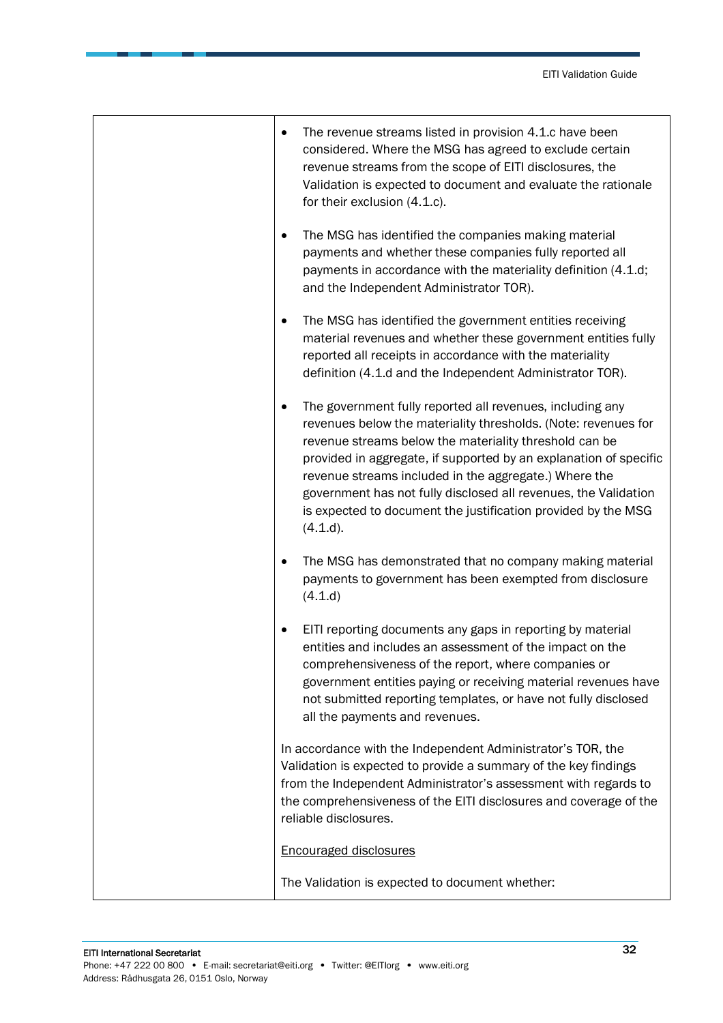| The revenue streams listed in provision 4.1.c have been<br>٠<br>considered. Where the MSG has agreed to exclude certain<br>revenue streams from the scope of EITI disclosures, the<br>Validation is expected to document and evaluate the rationale<br>for their exclusion (4.1.c).                                                                                                                                                                                              |
|----------------------------------------------------------------------------------------------------------------------------------------------------------------------------------------------------------------------------------------------------------------------------------------------------------------------------------------------------------------------------------------------------------------------------------------------------------------------------------|
| The MSG has identified the companies making material<br>payments and whether these companies fully reported all<br>payments in accordance with the materiality definition (4.1.d;<br>and the Independent Administrator TOR).                                                                                                                                                                                                                                                     |
| The MSG has identified the government entities receiving<br>٠<br>material revenues and whether these government entities fully<br>reported all receipts in accordance with the materiality<br>definition (4.1.d and the Independent Administrator TOR).                                                                                                                                                                                                                          |
| The government fully reported all revenues, including any<br>$\bullet$<br>revenues below the materiality thresholds. (Note: revenues for<br>revenue streams below the materiality threshold can be<br>provided in aggregate, if supported by an explanation of specific<br>revenue streams included in the aggregate.) Where the<br>government has not fully disclosed all revenues, the Validation<br>is expected to document the justification provided by the MSG<br>(4.1.d). |
| The MSG has demonstrated that no company making material<br>payments to government has been exempted from disclosure<br>(4.1.d)                                                                                                                                                                                                                                                                                                                                                  |
| EITI reporting documents any gaps in reporting by material<br>entities and includes an assessment of the impact on the<br>comprehensiveness of the report, where companies or<br>government entities paying or receiving material revenues have<br>not submitted reporting templates, or have not fully disclosed<br>all the payments and revenues.                                                                                                                              |
| In accordance with the Independent Administrator's TOR, the<br>Validation is expected to provide a summary of the key findings<br>from the Independent Administrator's assessment with regards to<br>the comprehensiveness of the EITI disclosures and coverage of the<br>reliable disclosures.                                                                                                                                                                                  |
| <b>Encouraged disclosures</b>                                                                                                                                                                                                                                                                                                                                                                                                                                                    |
| The Validation is expected to document whether:                                                                                                                                                                                                                                                                                                                                                                                                                                  |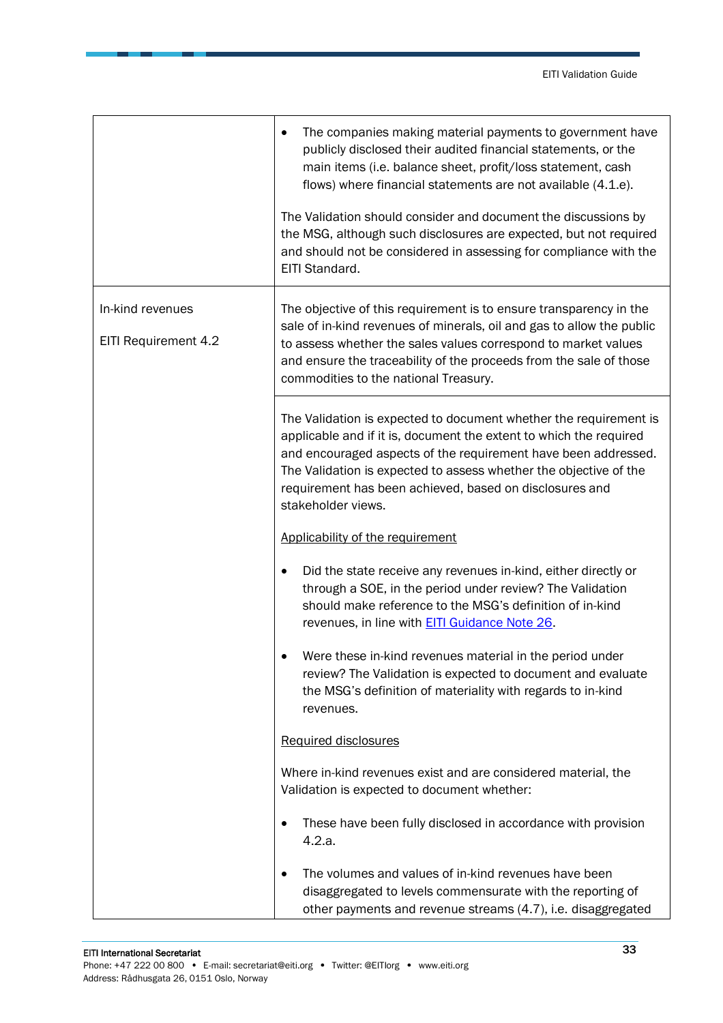|                                          | The companies making material payments to government have<br>٠<br>publicly disclosed their audited financial statements, or the<br>main items (i.e. balance sheet, profit/loss statement, cash<br>flows) where financial statements are not available (4.1.e).<br>The Validation should consider and document the discussions by<br>the MSG, although such disclosures are expected, but not required<br>and should not be considered in assessing for compliance with the<br>EITI Standard. |
|------------------------------------------|----------------------------------------------------------------------------------------------------------------------------------------------------------------------------------------------------------------------------------------------------------------------------------------------------------------------------------------------------------------------------------------------------------------------------------------------------------------------------------------------|
| In-kind revenues<br>EITI Requirement 4.2 | The objective of this requirement is to ensure transparency in the<br>sale of in-kind revenues of minerals, oil and gas to allow the public<br>to assess whether the sales values correspond to market values<br>and ensure the traceability of the proceeds from the sale of those<br>commodities to the national Treasury.                                                                                                                                                                 |
|                                          | The Validation is expected to document whether the requirement is<br>applicable and if it is, document the extent to which the required<br>and encouraged aspects of the requirement have been addressed.<br>The Validation is expected to assess whether the objective of the<br>requirement has been achieved, based on disclosures and<br>stakeholder views.                                                                                                                              |
|                                          | Applicability of the requirement                                                                                                                                                                                                                                                                                                                                                                                                                                                             |
|                                          | Did the state receive any revenues in-kind, either directly or<br>through a SOE, in the period under review? The Validation<br>should make reference to the MSG's definition of in-kind<br>revenues, in line with <b>EITI Guidance Note 26</b> .                                                                                                                                                                                                                                             |
|                                          | Were these in-kind revenues material in the period under<br>review? The Validation is expected to document and evaluate<br>the MSG's definition of materiality with regards to in-kind<br>revenues.                                                                                                                                                                                                                                                                                          |
|                                          | Required disclosures                                                                                                                                                                                                                                                                                                                                                                                                                                                                         |
|                                          | Where in-kind revenues exist and are considered material, the<br>Validation is expected to document whether:                                                                                                                                                                                                                                                                                                                                                                                 |
|                                          | These have been fully disclosed in accordance with provision<br>4.2.a.                                                                                                                                                                                                                                                                                                                                                                                                                       |
|                                          | The volumes and values of in-kind revenues have been<br>disaggregated to levels commensurate with the reporting of<br>other payments and revenue streams (4.7), i.e. disaggregated                                                                                                                                                                                                                                                                                                           |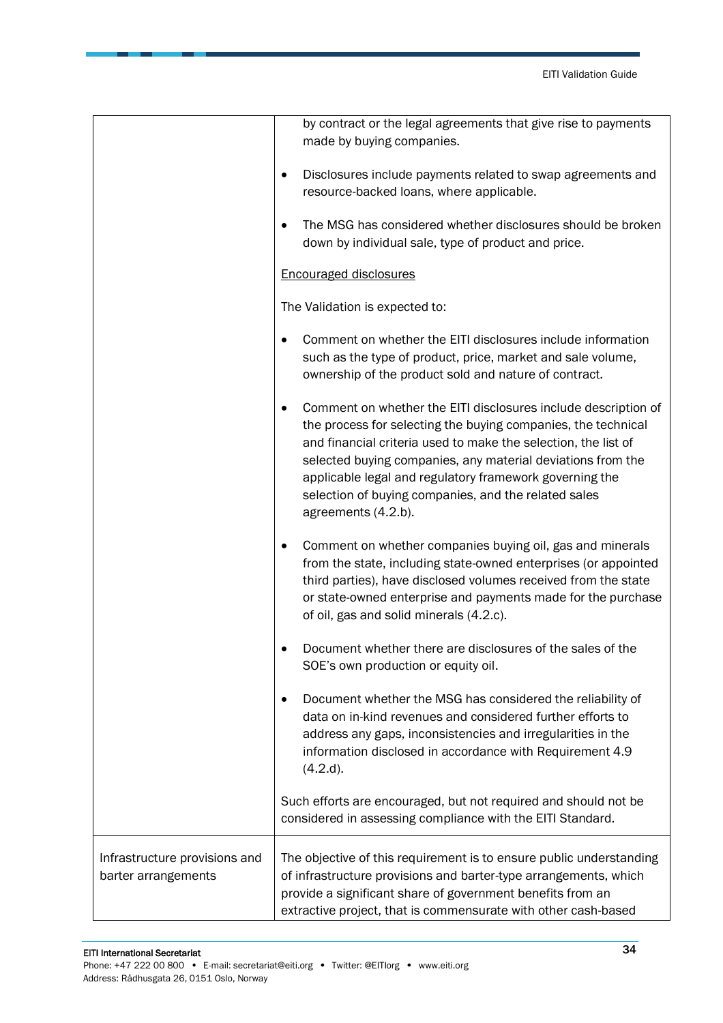|                                                      | by contract or the legal agreements that give rise to payments<br>made by buying companies.                                                                                                                                                                                                                                                                                                                |
|------------------------------------------------------|------------------------------------------------------------------------------------------------------------------------------------------------------------------------------------------------------------------------------------------------------------------------------------------------------------------------------------------------------------------------------------------------------------|
|                                                      | Disclosures include payments related to swap agreements and<br>resource-backed loans, where applicable.                                                                                                                                                                                                                                                                                                    |
|                                                      | The MSG has considered whether disclosures should be broken<br>down by individual sale, type of product and price.                                                                                                                                                                                                                                                                                         |
|                                                      | <b>Encouraged disclosures</b>                                                                                                                                                                                                                                                                                                                                                                              |
|                                                      | The Validation is expected to:                                                                                                                                                                                                                                                                                                                                                                             |
|                                                      | Comment on whether the EITI disclosures include information<br>such as the type of product, price, market and sale volume,<br>ownership of the product sold and nature of contract.                                                                                                                                                                                                                        |
|                                                      | Comment on whether the EITI disclosures include description of<br>the process for selecting the buying companies, the technical<br>and financial criteria used to make the selection, the list of<br>selected buying companies, any material deviations from the<br>applicable legal and regulatory framework governing the<br>selection of buying companies, and the related sales<br>agreements (4.2.b). |
|                                                      | Comment on whether companies buying oil, gas and minerals<br>from the state, including state-owned enterprises (or appointed<br>third parties), have disclosed volumes received from the state<br>or state-owned enterprise and payments made for the purchase<br>of oil, gas and solid minerals (4.2.c).                                                                                                  |
|                                                      | Document whether there are disclosures of the sales of the<br>SOE's own production or equity oil.                                                                                                                                                                                                                                                                                                          |
|                                                      | Document whether the MSG has considered the reliability of<br>$\bullet$<br>data on in-kind revenues and considered further efforts to<br>address any gaps, inconsistencies and irregularities in the<br>information disclosed in accordance with Requirement 4.9<br>(4.2.d).                                                                                                                               |
|                                                      | Such efforts are encouraged, but not required and should not be<br>considered in assessing compliance with the EITI Standard.                                                                                                                                                                                                                                                                              |
| Infrastructure provisions and<br>barter arrangements | The objective of this requirement is to ensure public understanding<br>of infrastructure provisions and barter-type arrangements, which<br>provide a significant share of government benefits from an<br>extractive project, that is commensurate with other cash-based                                                                                                                                    |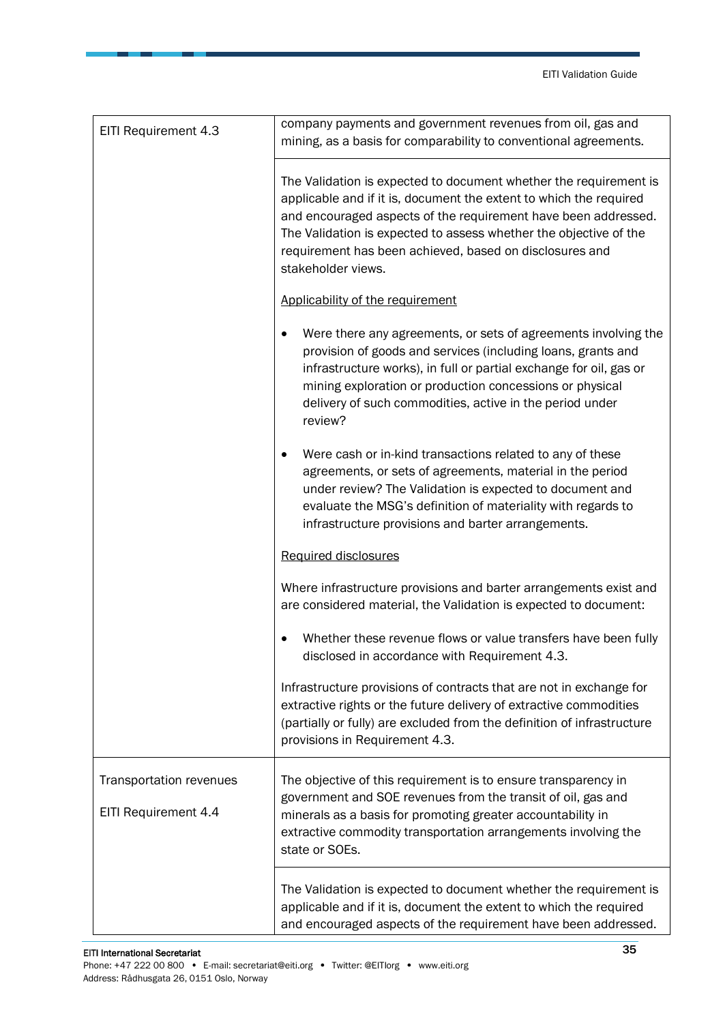| EITI Requirement 4.3                            | company payments and government revenues from oil, gas and<br>mining, as a basis for comparability to conventional agreements.                                                                                                                                                                                                                                  |
|-------------------------------------------------|-----------------------------------------------------------------------------------------------------------------------------------------------------------------------------------------------------------------------------------------------------------------------------------------------------------------------------------------------------------------|
|                                                 | The Validation is expected to document whether the requirement is<br>applicable and if it is, document the extent to which the required<br>and encouraged aspects of the requirement have been addressed.<br>The Validation is expected to assess whether the objective of the<br>requirement has been achieved, based on disclosures and<br>stakeholder views. |
|                                                 | Applicability of the requirement                                                                                                                                                                                                                                                                                                                                |
|                                                 | Were there any agreements, or sets of agreements involving the<br>provision of goods and services (including loans, grants and<br>infrastructure works), in full or partial exchange for oil, gas or<br>mining exploration or production concessions or physical<br>delivery of such commodities, active in the period under<br>review?                         |
|                                                 | Were cash or in-kind transactions related to any of these<br>agreements, or sets of agreements, material in the period<br>under review? The Validation is expected to document and<br>evaluate the MSG's definition of materiality with regards to<br>infrastructure provisions and barter arrangements.                                                        |
|                                                 | Required disclosures                                                                                                                                                                                                                                                                                                                                            |
|                                                 | Where infrastructure provisions and barter arrangements exist and<br>are considered material, the Validation is expected to document:                                                                                                                                                                                                                           |
|                                                 | Whether these revenue flows or value transfers have been fully<br>disclosed in accordance with Requirement 4.3.                                                                                                                                                                                                                                                 |
|                                                 | Infrastructure provisions of contracts that are not in exchange for<br>extractive rights or the future delivery of extractive commodities<br>(partially or fully) are excluded from the definition of infrastructure<br>provisions in Requirement 4.3.                                                                                                          |
| Transportation revenues<br>EITI Requirement 4.4 | The objective of this requirement is to ensure transparency in<br>government and SOE revenues from the transit of oil, gas and<br>minerals as a basis for promoting greater accountability in<br>extractive commodity transportation arrangements involving the<br>state or SOEs.                                                                               |
|                                                 | The Validation is expected to document whether the requirement is<br>applicable and if it is, document the extent to which the required<br>and encouraged aspects of the requirement have been addressed.                                                                                                                                                       |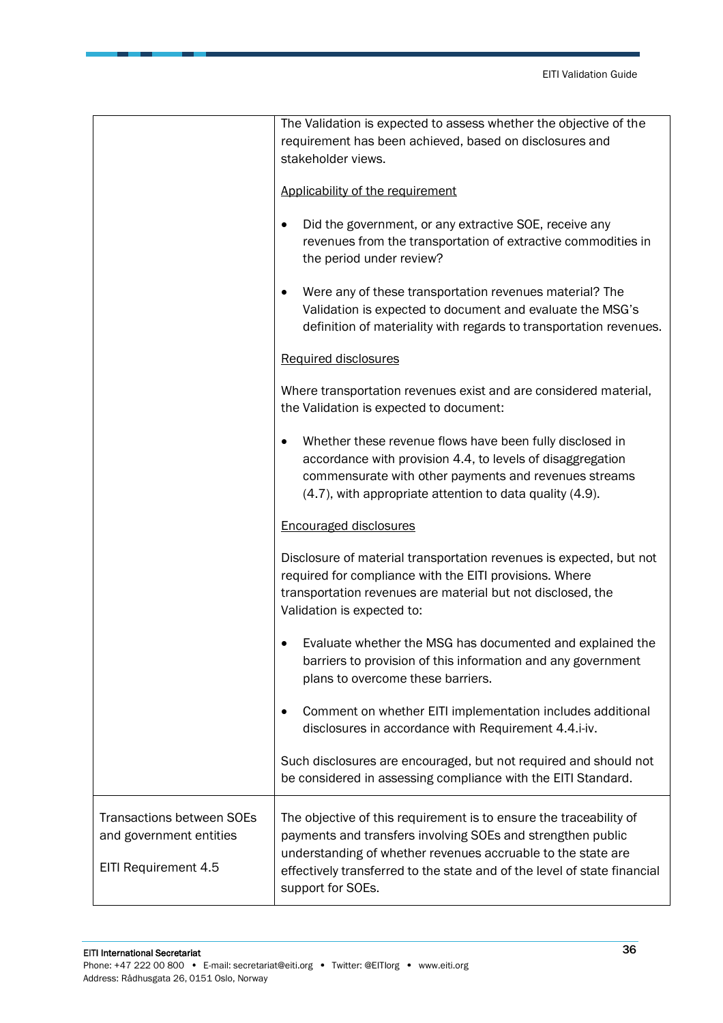|                                                                                     | The Validation is expected to assess whether the objective of the<br>requirement has been achieved, based on disclosures and<br>stakeholder views.<br>Applicability of the requirement<br>Did the government, or any extractive SOE, receive any<br>$\bullet$<br>revenues from the transportation of extractive commodities in |
|-------------------------------------------------------------------------------------|--------------------------------------------------------------------------------------------------------------------------------------------------------------------------------------------------------------------------------------------------------------------------------------------------------------------------------|
|                                                                                     | the period under review?<br>Were any of these transportation revenues material? The<br>٠<br>Validation is expected to document and evaluate the MSG's<br>definition of materiality with regards to transportation revenues.                                                                                                    |
|                                                                                     | Required disclosures<br>Where transportation revenues exist and are considered material,<br>the Validation is expected to document:                                                                                                                                                                                            |
|                                                                                     | Whether these revenue flows have been fully disclosed in<br>accordance with provision 4.4, to levels of disaggregation<br>commensurate with other payments and revenues streams<br>(4.7), with appropriate attention to data quality (4.9).                                                                                    |
|                                                                                     | <b>Encouraged disclosures</b>                                                                                                                                                                                                                                                                                                  |
|                                                                                     | Disclosure of material transportation revenues is expected, but not<br>required for compliance with the EITI provisions. Where<br>transportation revenues are material but not disclosed, the<br>Validation is expected to:                                                                                                    |
|                                                                                     | Evaluate whether the MSG has documented and explained the<br>barriers to provision of this information and any government<br>plans to overcome these barriers.                                                                                                                                                                 |
|                                                                                     | Comment on whether EITI implementation includes additional<br>$\bullet$<br>disclosures in accordance with Requirement 4.4.i-iv.                                                                                                                                                                                                |
|                                                                                     | Such disclosures are encouraged, but not required and should not<br>be considered in assessing compliance with the EITI Standard.                                                                                                                                                                                              |
| <b>Transactions between SOEs</b><br>and government entities<br>EITI Requirement 4.5 | The objective of this requirement is to ensure the traceability of<br>payments and transfers involving SOEs and strengthen public<br>understanding of whether revenues accruable to the state are<br>effectively transferred to the state and of the level of state financial<br>support for SOEs.                             |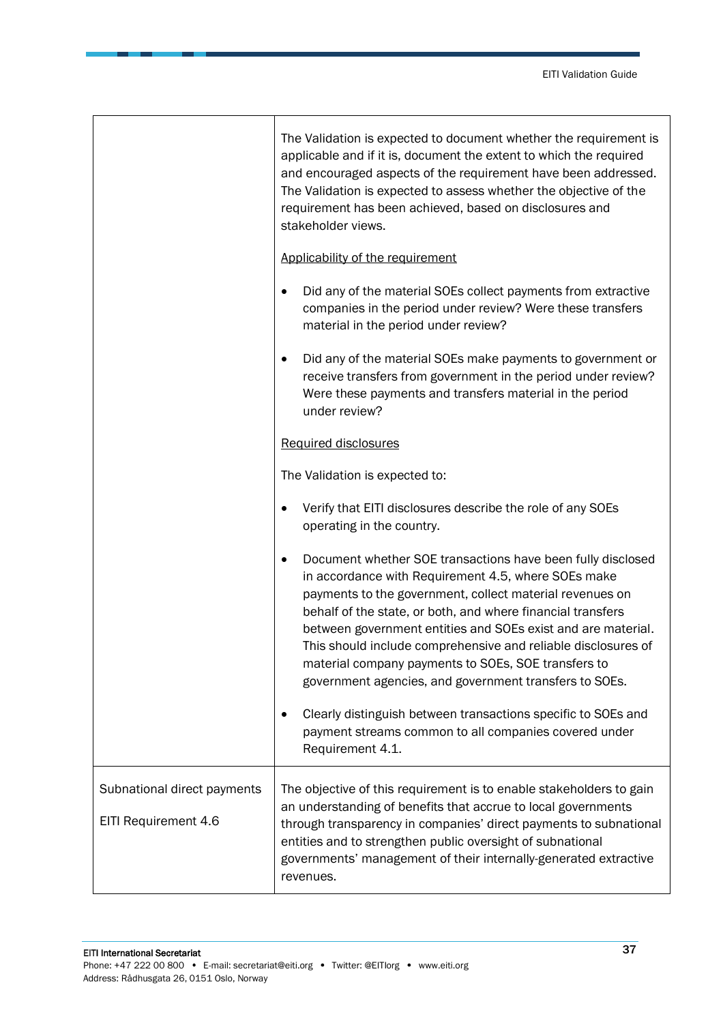٦

|                                                     | The Validation is expected to document whether the requirement is<br>applicable and if it is, document the extent to which the required<br>and encouraged aspects of the requirement have been addressed.<br>The Validation is expected to assess whether the objective of the<br>requirement has been achieved, based on disclosures and<br>stakeholder views.                                                                                                                                                                                                               |
|-----------------------------------------------------|-------------------------------------------------------------------------------------------------------------------------------------------------------------------------------------------------------------------------------------------------------------------------------------------------------------------------------------------------------------------------------------------------------------------------------------------------------------------------------------------------------------------------------------------------------------------------------|
|                                                     | Applicability of the requirement                                                                                                                                                                                                                                                                                                                                                                                                                                                                                                                                              |
|                                                     | Did any of the material SOEs collect payments from extractive<br>$\bullet$<br>companies in the period under review? Were these transfers<br>material in the period under review?                                                                                                                                                                                                                                                                                                                                                                                              |
|                                                     | Did any of the material SOEs make payments to government or<br>٠<br>receive transfers from government in the period under review?<br>Were these payments and transfers material in the period<br>under review?                                                                                                                                                                                                                                                                                                                                                                |
|                                                     | Required disclosures                                                                                                                                                                                                                                                                                                                                                                                                                                                                                                                                                          |
|                                                     | The Validation is expected to:                                                                                                                                                                                                                                                                                                                                                                                                                                                                                                                                                |
|                                                     | Verify that EITI disclosures describe the role of any SOEs<br>$\bullet$<br>operating in the country.                                                                                                                                                                                                                                                                                                                                                                                                                                                                          |
|                                                     | Document whether SOE transactions have been fully disclosed<br>$\bullet$<br>in accordance with Requirement 4.5, where SOEs make<br>payments to the government, collect material revenues on<br>behalf of the state, or both, and where financial transfers<br>between government entities and SOEs exist and are material.<br>This should include comprehensive and reliable disclosures of<br>material company payments to SOEs, SOE transfers to<br>government agencies, and government transfers to SOEs.<br>Clearly distinguish between transactions specific to SOEs and |
|                                                     | payment streams common to all companies covered under<br>Requirement 4.1.                                                                                                                                                                                                                                                                                                                                                                                                                                                                                                     |
| Subnational direct payments<br>EITI Requirement 4.6 | The objective of this requirement is to enable stakeholders to gain<br>an understanding of benefits that accrue to local governments<br>through transparency in companies' direct payments to subnational<br>entities and to strengthen public oversight of subnational<br>governments' management of their internally-generated extractive<br>revenues.                                                                                                                                                                                                                      |

 $\mathbf{I}$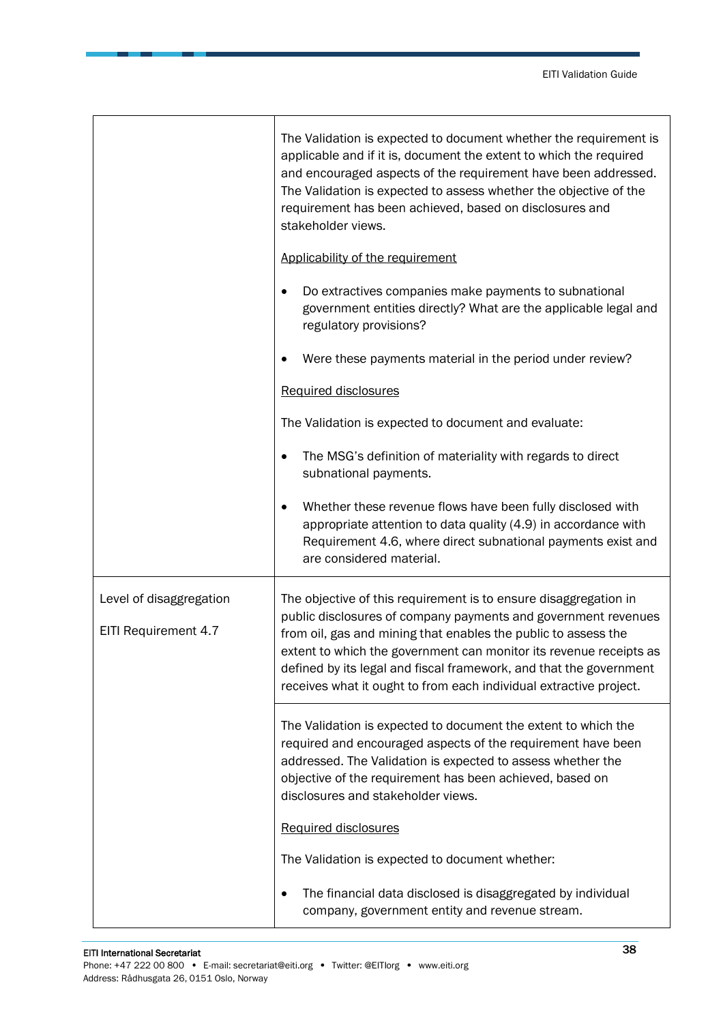|                                                 | The Validation is expected to document whether the requirement is<br>applicable and if it is, document the extent to which the required<br>and encouraged aspects of the requirement have been addressed.<br>The Validation is expected to assess whether the objective of the<br>requirement has been achieved, based on disclosures and<br>stakeholder views.                                                        |
|-------------------------------------------------|------------------------------------------------------------------------------------------------------------------------------------------------------------------------------------------------------------------------------------------------------------------------------------------------------------------------------------------------------------------------------------------------------------------------|
|                                                 | Applicability of the requirement                                                                                                                                                                                                                                                                                                                                                                                       |
|                                                 | Do extractives companies make payments to subnational<br>government entities directly? What are the applicable legal and<br>regulatory provisions?                                                                                                                                                                                                                                                                     |
|                                                 | Were these payments material in the period under review?                                                                                                                                                                                                                                                                                                                                                               |
|                                                 | Required disclosures                                                                                                                                                                                                                                                                                                                                                                                                   |
|                                                 | The Validation is expected to document and evaluate:                                                                                                                                                                                                                                                                                                                                                                   |
|                                                 | The MSG's definition of materiality with regards to direct<br>subnational payments.                                                                                                                                                                                                                                                                                                                                    |
|                                                 | Whether these revenue flows have been fully disclosed with<br>appropriate attention to data quality (4.9) in accordance with<br>Requirement 4.6, where direct subnational payments exist and<br>are considered material.                                                                                                                                                                                               |
| Level of disaggregation<br>EITI Requirement 4.7 | The objective of this requirement is to ensure disaggregation in<br>public disclosures of company payments and government revenues<br>from oil, gas and mining that enables the public to assess the<br>extent to which the government can monitor its revenue receipts as<br>defined by its legal and fiscal framework, and that the government<br>receives what it ought to from each individual extractive project. |
|                                                 | The Validation is expected to document the extent to which the<br>required and encouraged aspects of the requirement have been<br>addressed. The Validation is expected to assess whether the<br>objective of the requirement has been achieved, based on<br>disclosures and stakeholder views.                                                                                                                        |
|                                                 | Required disclosures                                                                                                                                                                                                                                                                                                                                                                                                   |
|                                                 | The Validation is expected to document whether:                                                                                                                                                                                                                                                                                                                                                                        |
|                                                 | The financial data disclosed is disaggregated by individual<br>company, government entity and revenue stream.                                                                                                                                                                                                                                                                                                          |

 $\mathbf{r}$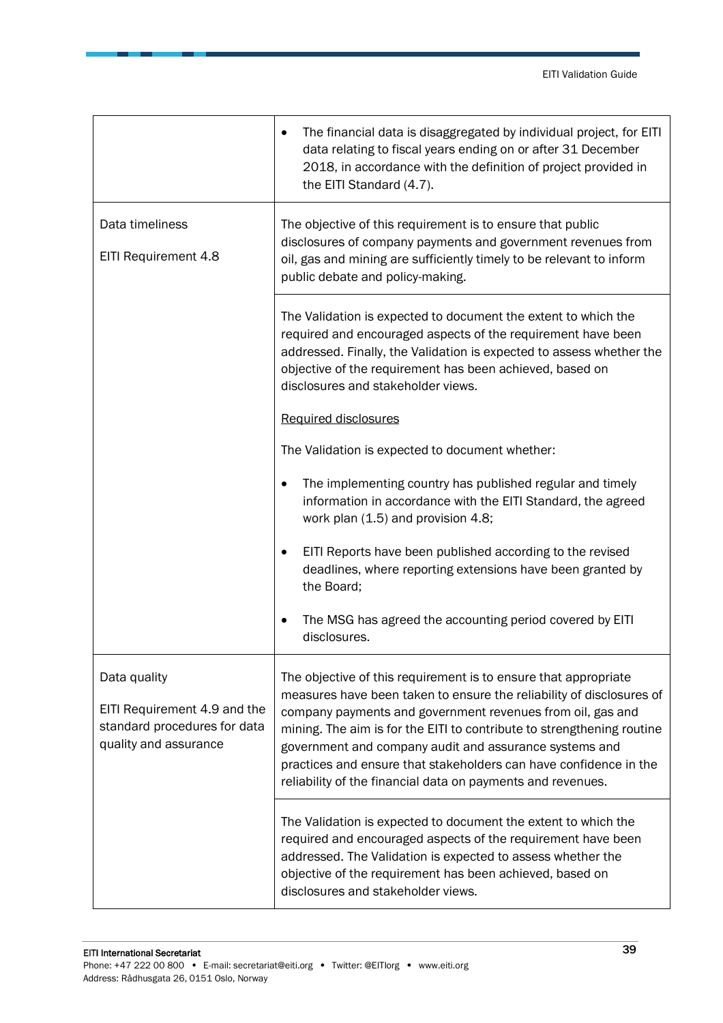|                                                                                                       | The financial data is disaggregated by individual project, for EITI<br>data relating to fiscal years ending on or after 31 December<br>2018, in accordance with the definition of project provided in<br>the EITI Standard (4.7).                                                                                                                                                                                                                                             |
|-------------------------------------------------------------------------------------------------------|-------------------------------------------------------------------------------------------------------------------------------------------------------------------------------------------------------------------------------------------------------------------------------------------------------------------------------------------------------------------------------------------------------------------------------------------------------------------------------|
| Data timeliness<br>EITI Requirement 4.8                                                               | The objective of this requirement is to ensure that public<br>disclosures of company payments and government revenues from<br>oil, gas and mining are sufficiently timely to be relevant to inform<br>public debate and policy-making.                                                                                                                                                                                                                                        |
|                                                                                                       | The Validation is expected to document the extent to which the<br>required and encouraged aspects of the requirement have been<br>addressed. Finally, the Validation is expected to assess whether the<br>objective of the requirement has been achieved, based on<br>disclosures and stakeholder views.                                                                                                                                                                      |
|                                                                                                       | Required disclosures<br>The Validation is expected to document whether:                                                                                                                                                                                                                                                                                                                                                                                                       |
|                                                                                                       | The implementing country has published regular and timely<br>information in accordance with the EITI Standard, the agreed<br>work plan (1.5) and provision 4.8;                                                                                                                                                                                                                                                                                                               |
|                                                                                                       | EITI Reports have been published according to the revised<br>deadlines, where reporting extensions have been granted by<br>the Board;                                                                                                                                                                                                                                                                                                                                         |
|                                                                                                       | The MSG has agreed the accounting period covered by EITI<br>disclosures.                                                                                                                                                                                                                                                                                                                                                                                                      |
| Data quality<br>EITI Requirement 4.9 and the<br>standard procedures for data<br>quality and assurance | The objective of this requirement is to ensure that appropriate<br>measures have been taken to ensure the reliability of disclosures of<br>company payments and government revenues from oil, gas and<br>mining. The aim is for the EITI to contribute to strengthening routine<br>government and company audit and assurance systems and<br>practices and ensure that stakeholders can have confidence in the<br>reliability of the financial data on payments and revenues. |
|                                                                                                       | The Validation is expected to document the extent to which the<br>required and encouraged aspects of the requirement have been<br>addressed. The Validation is expected to assess whether the<br>objective of the requirement has been achieved, based on<br>disclosures and stakeholder views.                                                                                                                                                                               |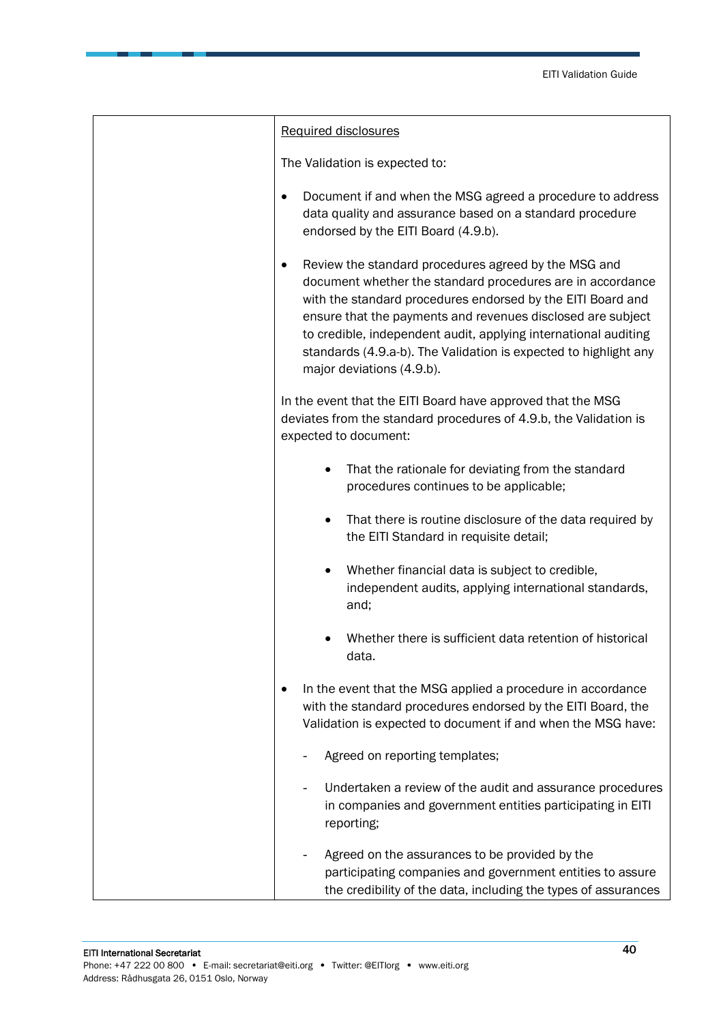| Required disclosures                                                                                                                                                                                                                                                                                                                                                                                                              |
|-----------------------------------------------------------------------------------------------------------------------------------------------------------------------------------------------------------------------------------------------------------------------------------------------------------------------------------------------------------------------------------------------------------------------------------|
| The Validation is expected to:                                                                                                                                                                                                                                                                                                                                                                                                    |
| Document if and when the MSG agreed a procedure to address<br>$\bullet$<br>data quality and assurance based on a standard procedure<br>endorsed by the EITI Board (4.9.b).                                                                                                                                                                                                                                                        |
| Review the standard procedures agreed by the MSG and<br>$\bullet$<br>document whether the standard procedures are in accordance<br>with the standard procedures endorsed by the EITI Board and<br>ensure that the payments and revenues disclosed are subject<br>to credible, independent audit, applying international auditing<br>standards (4.9.a-b). The Validation is expected to highlight any<br>major deviations (4.9.b). |
| In the event that the EITI Board have approved that the MSG<br>deviates from the standard procedures of 4.9.b, the Validation is<br>expected to document:                                                                                                                                                                                                                                                                         |
| That the rationale for deviating from the standard<br>$\bullet$<br>procedures continues to be applicable;                                                                                                                                                                                                                                                                                                                         |
| That there is routine disclosure of the data required by<br>$\bullet$<br>the EITI Standard in requisite detail;                                                                                                                                                                                                                                                                                                                   |
| Whether financial data is subject to credible,<br>$\bullet$<br>independent audits, applying international standards,<br>and;                                                                                                                                                                                                                                                                                                      |
| Whether there is sufficient data retention of historical<br>data                                                                                                                                                                                                                                                                                                                                                                  |
| In the event that the MSG applied a procedure in accordance<br>with the standard procedures endorsed by the EITI Board, the<br>Validation is expected to document if and when the MSG have:                                                                                                                                                                                                                                       |
| Agreed on reporting templates;                                                                                                                                                                                                                                                                                                                                                                                                    |
| Undertaken a review of the audit and assurance procedures<br>in companies and government entities participating in EITI<br>reporting;                                                                                                                                                                                                                                                                                             |
| Agreed on the assurances to be provided by the<br>participating companies and government entities to assure<br>the credibility of the data, including the types of assurances                                                                                                                                                                                                                                                     |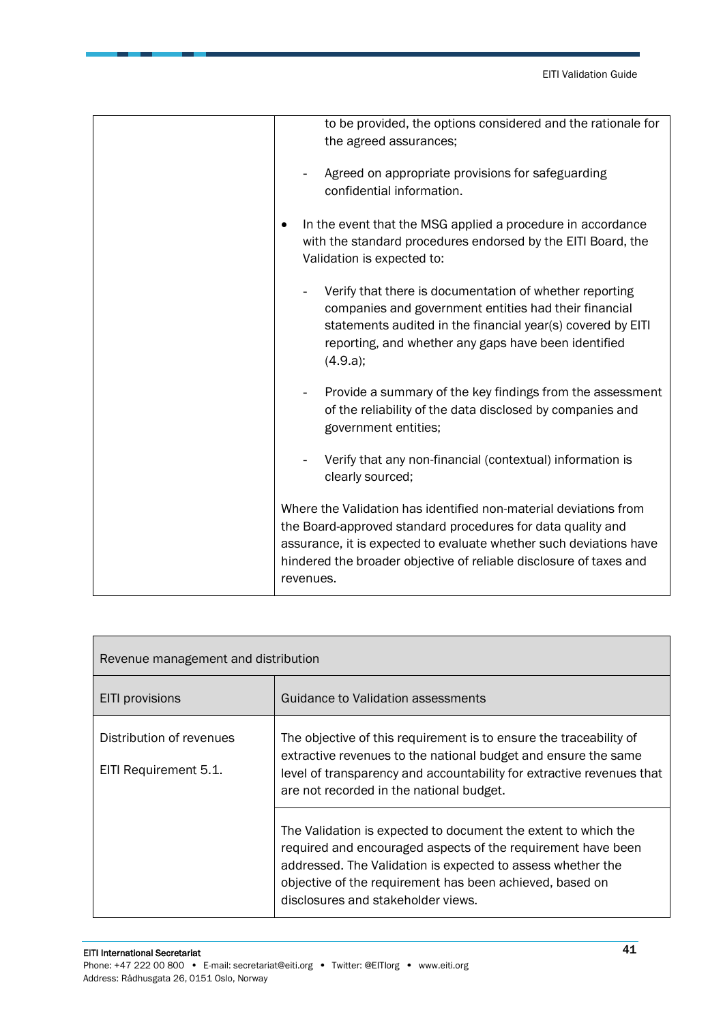|  | to be provided, the options considered and the rationale for<br>the agreed assurances;                                                                                                                                                                                                   |
|--|------------------------------------------------------------------------------------------------------------------------------------------------------------------------------------------------------------------------------------------------------------------------------------------|
|  | Agreed on appropriate provisions for safeguarding<br>confidential information.                                                                                                                                                                                                           |
|  | In the event that the MSG applied a procedure in accordance<br>with the standard procedures endorsed by the EITI Board, the<br>Validation is expected to:                                                                                                                                |
|  | Verify that there is documentation of whether reporting<br>companies and government entities had their financial<br>statements audited in the financial year(s) covered by EITI<br>reporting, and whether any gaps have been identified<br>(4.9.a);                                      |
|  | Provide a summary of the key findings from the assessment<br>of the reliability of the data disclosed by companies and<br>government entities;                                                                                                                                           |
|  | Verify that any non-financial (contextual) information is<br>clearly sourced;                                                                                                                                                                                                            |
|  | Where the Validation has identified non-material deviations from<br>the Board-approved standard procedures for data quality and<br>assurance, it is expected to evaluate whether such deviations have<br>hindered the broader objective of reliable disclosure of taxes and<br>revenues. |

| Revenue management and distribution |                                                                                                                                                                                                                                                                                                 |
|-------------------------------------|-------------------------------------------------------------------------------------------------------------------------------------------------------------------------------------------------------------------------------------------------------------------------------------------------|
| <b>EITI</b> provisions              | Guidance to Validation assessments                                                                                                                                                                                                                                                              |
| Distribution of revenues            | The objective of this requirement is to ensure the traceability of<br>extractive revenues to the national budget and ensure the same                                                                                                                                                            |
| EITI Requirement 5.1.               | level of transparency and accountability for extractive revenues that<br>are not recorded in the national budget.                                                                                                                                                                               |
|                                     | The Validation is expected to document the extent to which the<br>required and encouraged aspects of the requirement have been<br>addressed. The Validation is expected to assess whether the<br>objective of the requirement has been achieved, based on<br>disclosures and stakeholder views. |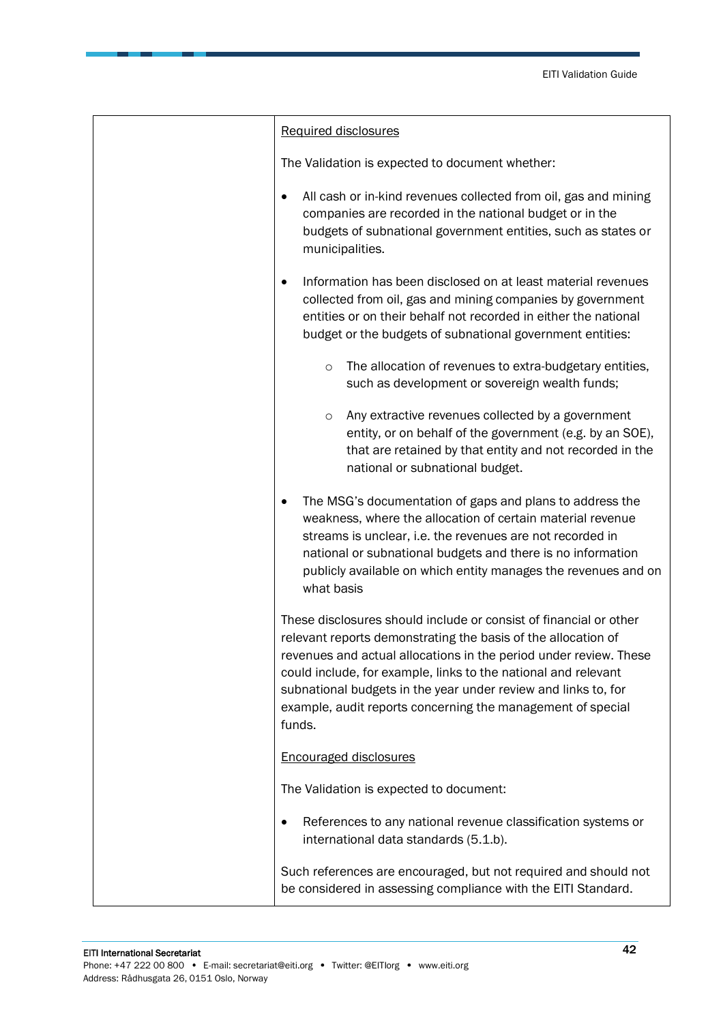| Required disclosures                                                                                                                                                                                                                                                                                                                                                                                                 |
|----------------------------------------------------------------------------------------------------------------------------------------------------------------------------------------------------------------------------------------------------------------------------------------------------------------------------------------------------------------------------------------------------------------------|
| The Validation is expected to document whether:                                                                                                                                                                                                                                                                                                                                                                      |
| All cash or in-kind revenues collected from oil, gas and mining<br>$\bullet$<br>companies are recorded in the national budget or in the<br>budgets of subnational government entities, such as states or<br>municipalities.                                                                                                                                                                                          |
| Information has been disclosed on at least material revenues<br>$\bullet$<br>collected from oil, gas and mining companies by government<br>entities or on their behalf not recorded in either the national<br>budget or the budgets of subnational government entities:                                                                                                                                              |
| The allocation of revenues to extra-budgetary entities,<br>$\circ$<br>such as development or sovereign wealth funds;                                                                                                                                                                                                                                                                                                 |
| Any extractive revenues collected by a government<br>$\circ$<br>entity, or on behalf of the government (e.g. by an SOE),<br>that are retained by that entity and not recorded in the<br>national or subnational budget.                                                                                                                                                                                              |
| The MSG's documentation of gaps and plans to address the<br>٠<br>weakness, where the allocation of certain material revenue<br>streams is unclear, i.e. the revenues are not recorded in<br>national or subnational budgets and there is no information<br>publicly available on which entity manages the revenues and on<br>what basis                                                                              |
| These disclosures should include or consist of financial or other<br>relevant reports demonstrating the basis of the allocation of<br>revenues and actual allocations in the period under review. These<br>could include, for example, links to the national and relevant<br>subnational budgets in the year under review and links to, for<br>example, audit reports concerning the management of special<br>funds. |
| <b>Encouraged disclosures</b>                                                                                                                                                                                                                                                                                                                                                                                        |
| The Validation is expected to document:                                                                                                                                                                                                                                                                                                                                                                              |
| References to any national revenue classification systems or<br>٠<br>international data standards (5.1.b).                                                                                                                                                                                                                                                                                                           |
| Such references are encouraged, but not required and should not<br>be considered in assessing compliance with the EITI Standard.                                                                                                                                                                                                                                                                                     |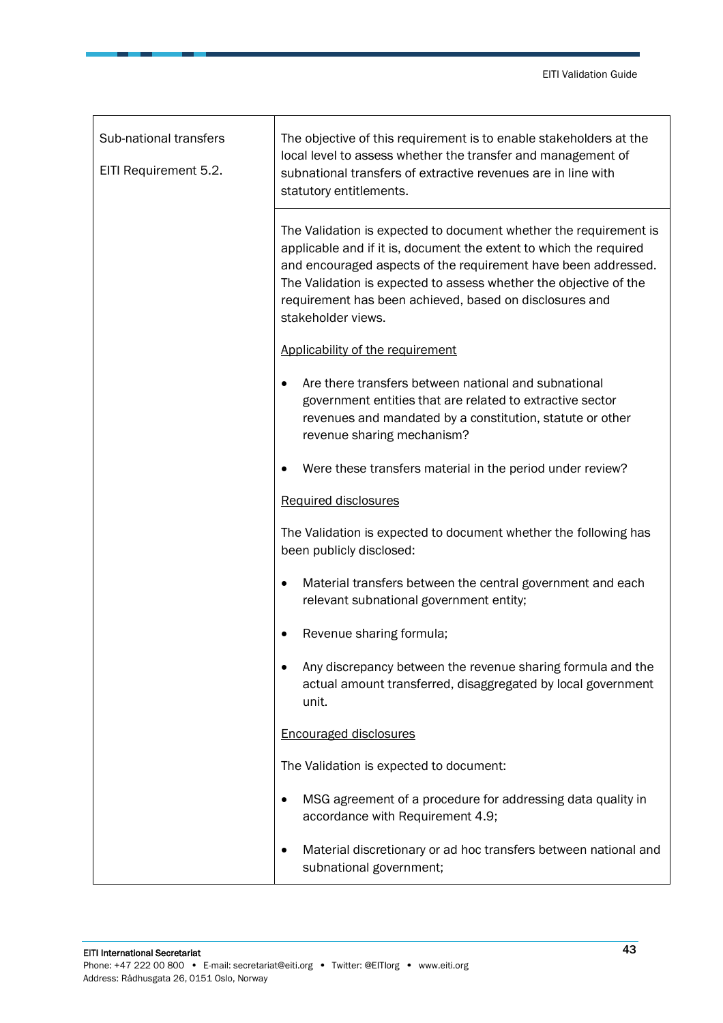| Sub-national transfers<br>EITI Requirement 5.2. | The objective of this requirement is to enable stakeholders at the<br>local level to assess whether the transfer and management of<br>subnational transfers of extractive revenues are in line with<br>statutory entitlements.                                                                                                                                  |
|-------------------------------------------------|-----------------------------------------------------------------------------------------------------------------------------------------------------------------------------------------------------------------------------------------------------------------------------------------------------------------------------------------------------------------|
|                                                 | The Validation is expected to document whether the requirement is<br>applicable and if it is, document the extent to which the required<br>and encouraged aspects of the requirement have been addressed.<br>The Validation is expected to assess whether the objective of the<br>requirement has been achieved, based on disclosures and<br>stakeholder views. |
|                                                 | Applicability of the requirement                                                                                                                                                                                                                                                                                                                                |
|                                                 | Are there transfers between national and subnational<br>government entities that are related to extractive sector<br>revenues and mandated by a constitution, statute or other<br>revenue sharing mechanism?                                                                                                                                                    |
|                                                 | Were these transfers material in the period under review?<br>$\bullet$                                                                                                                                                                                                                                                                                          |
|                                                 | Required disclosures                                                                                                                                                                                                                                                                                                                                            |
|                                                 | The Validation is expected to document whether the following has<br>been publicly disclosed:                                                                                                                                                                                                                                                                    |
|                                                 | Material transfers between the central government and each<br>relevant subnational government entity;                                                                                                                                                                                                                                                           |
|                                                 | Revenue sharing formula;                                                                                                                                                                                                                                                                                                                                        |
|                                                 | Any discrepancy between the revenue sharing formula and the<br>actual amount transferred, disaggregated by local government<br>unit.                                                                                                                                                                                                                            |
|                                                 | <b>Encouraged disclosures</b>                                                                                                                                                                                                                                                                                                                                   |
|                                                 | The Validation is expected to document:                                                                                                                                                                                                                                                                                                                         |
|                                                 | MSG agreement of a procedure for addressing data quality in<br>accordance with Requirement 4.9;                                                                                                                                                                                                                                                                 |
|                                                 | Material discretionary or ad hoc transfers between national and<br>٠<br>subnational government;                                                                                                                                                                                                                                                                 |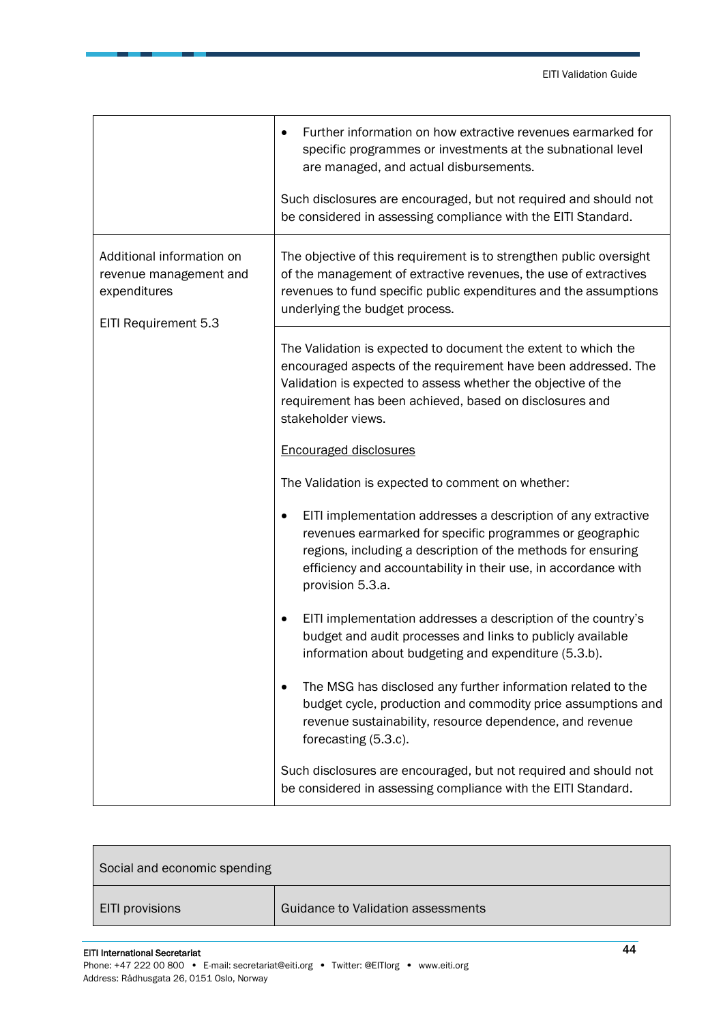|                                                                                             | Further information on how extractive revenues earmarked for<br>specific programmes or investments at the subnational level<br>are managed, and actual disbursements.                                                                                                                        |
|---------------------------------------------------------------------------------------------|----------------------------------------------------------------------------------------------------------------------------------------------------------------------------------------------------------------------------------------------------------------------------------------------|
|                                                                                             | Such disclosures are encouraged, but not required and should not<br>be considered in assessing compliance with the EITI Standard.                                                                                                                                                            |
| Additional information on<br>revenue management and<br>expenditures<br>EITI Requirement 5.3 | The objective of this requirement is to strengthen public oversight<br>of the management of extractive revenues, the use of extractives<br>revenues to fund specific public expenditures and the assumptions<br>underlying the budget process.                                               |
|                                                                                             | The Validation is expected to document the extent to which the<br>encouraged aspects of the requirement have been addressed. The<br>Validation is expected to assess whether the objective of the<br>requirement has been achieved, based on disclosures and<br>stakeholder views.           |
|                                                                                             | <b>Encouraged disclosures</b>                                                                                                                                                                                                                                                                |
|                                                                                             | The Validation is expected to comment on whether:                                                                                                                                                                                                                                            |
|                                                                                             | EITI implementation addresses a description of any extractive<br>$\bullet$<br>revenues earmarked for specific programmes or geographic<br>regions, including a description of the methods for ensuring<br>efficiency and accountability in their use, in accordance with<br>provision 5.3.a. |
|                                                                                             | EITI implementation addresses a description of the country's<br>budget and audit processes and links to publicly available<br>information about budgeting and expenditure (5.3.b).                                                                                                           |
|                                                                                             | The MSG has disclosed any further information related to the<br>budget cycle, production and commodity price assumptions and<br>revenue sustainability, resource dependence, and revenue<br>forecasting (5.3.c).                                                                             |
|                                                                                             | Such disclosures are encouraged, but not required and should not<br>be considered in assessing compliance with the EITI Standard.                                                                                                                                                            |

| Social and economic spending |                                    |
|------------------------------|------------------------------------|
| EITI provisions              | Guidance to Validation assessments |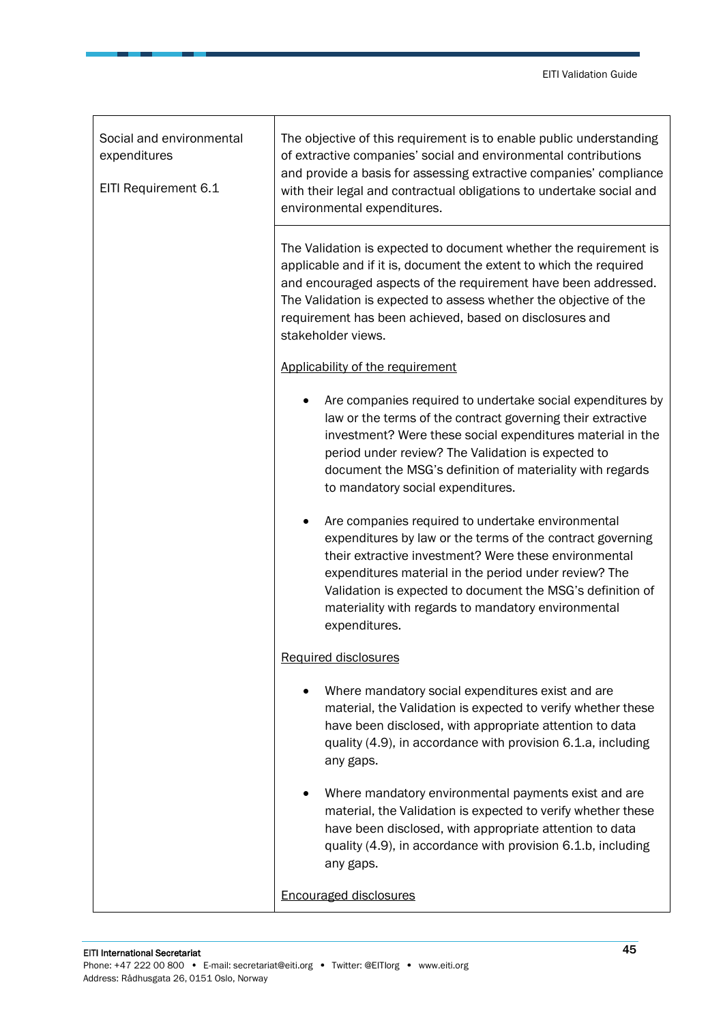| Social and environmental<br>expenditures<br>EITI Requirement 6.1 | The objective of this requirement is to enable public understanding<br>of extractive companies' social and environmental contributions<br>and provide a basis for assessing extractive companies' compliance<br>with their legal and contractual obligations to undertake social and<br>environmental expenditures.                                                     |
|------------------------------------------------------------------|-------------------------------------------------------------------------------------------------------------------------------------------------------------------------------------------------------------------------------------------------------------------------------------------------------------------------------------------------------------------------|
|                                                                  | The Validation is expected to document whether the requirement is<br>applicable and if it is, document the extent to which the required<br>and encouraged aspects of the requirement have been addressed.<br>The Validation is expected to assess whether the objective of the<br>requirement has been achieved, based on disclosures and<br>stakeholder views.         |
|                                                                  | Applicability of the requirement                                                                                                                                                                                                                                                                                                                                        |
|                                                                  | Are companies required to undertake social expenditures by<br>law or the terms of the contract governing their extractive<br>investment? Were these social expenditures material in the<br>period under review? The Validation is expected to<br>document the MSG's definition of materiality with regards<br>to mandatory social expenditures.                         |
|                                                                  | Are companies required to undertake environmental<br>expenditures by law or the terms of the contract governing<br>their extractive investment? Were these environmental<br>expenditures material in the period under review? The<br>Validation is expected to document the MSG's definition of<br>materiality with regards to mandatory environmental<br>expenditures. |
|                                                                  | <b>Required disclosures</b>                                                                                                                                                                                                                                                                                                                                             |
|                                                                  | Where mandatory social expenditures exist and are<br>material, the Validation is expected to verify whether these<br>have been disclosed, with appropriate attention to data<br>quality (4.9), in accordance with provision 6.1.a, including<br>any gaps.                                                                                                               |
|                                                                  | Where mandatory environmental payments exist and are<br>material, the Validation is expected to verify whether these<br>have been disclosed, with appropriate attention to data<br>quality (4.9), in accordance with provision 6.1.b, including<br>any gaps.                                                                                                            |
|                                                                  | <b>Encouraged disclosures</b>                                                                                                                                                                                                                                                                                                                                           |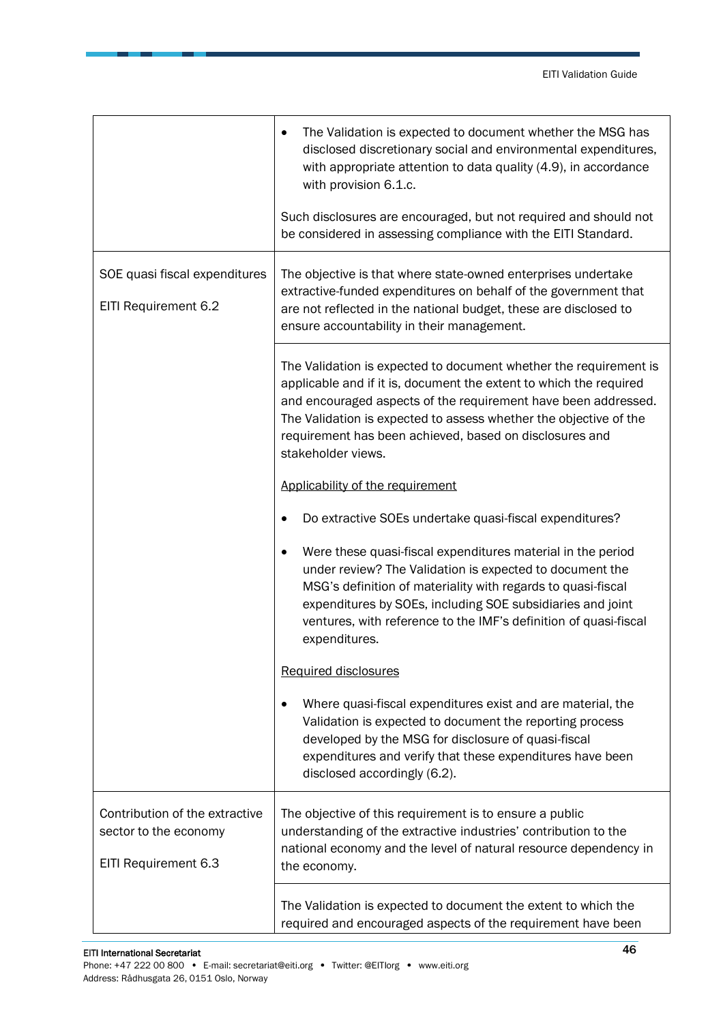|                                                                                 | The Validation is expected to document whether the MSG has<br>$\bullet$<br>disclosed discretionary social and environmental expenditures,<br>with appropriate attention to data quality (4.9), in accordance<br>with provision 6.1.c.<br>Such disclosures are encouraged, but not required and should not<br>be considered in assessing compliance with the EITI Standard. |
|---------------------------------------------------------------------------------|----------------------------------------------------------------------------------------------------------------------------------------------------------------------------------------------------------------------------------------------------------------------------------------------------------------------------------------------------------------------------|
| SOE quasi fiscal expenditures<br>EITI Requirement 6.2                           | The objective is that where state-owned enterprises undertake<br>extractive-funded expenditures on behalf of the government that<br>are not reflected in the national budget, these are disclosed to<br>ensure accountability in their management.                                                                                                                         |
|                                                                                 | The Validation is expected to document whether the requirement is<br>applicable and if it is, document the extent to which the required<br>and encouraged aspects of the requirement have been addressed.<br>The Validation is expected to assess whether the objective of the<br>requirement has been achieved, based on disclosures and<br>stakeholder views.            |
|                                                                                 | Applicability of the requirement                                                                                                                                                                                                                                                                                                                                           |
|                                                                                 | Do extractive SOEs undertake quasi-fiscal expenditures?                                                                                                                                                                                                                                                                                                                    |
|                                                                                 | Were these quasi-fiscal expenditures material in the period<br>$\bullet$<br>under review? The Validation is expected to document the<br>MSG's definition of materiality with regards to quasi-fiscal<br>expenditures by SOEs, including SOE subsidiaries and joint<br>ventures, with reference to the IMF's definition of quasi-fiscal<br>expenditures.                    |
|                                                                                 | Required disclosures                                                                                                                                                                                                                                                                                                                                                       |
|                                                                                 | Where quasi-fiscal expenditures exist and are material, the<br>Validation is expected to document the reporting process<br>developed by the MSG for disclosure of quasi-fiscal<br>expenditures and verify that these expenditures have been<br>disclosed accordingly (6.2).                                                                                                |
| Contribution of the extractive<br>sector to the economy<br>EITI Requirement 6.3 | The objective of this requirement is to ensure a public<br>understanding of the extractive industries' contribution to the<br>national economy and the level of natural resource dependency in<br>the economy.                                                                                                                                                             |
|                                                                                 | The Validation is expected to document the extent to which the<br>required and encouraged aspects of the requirement have been                                                                                                                                                                                                                                             |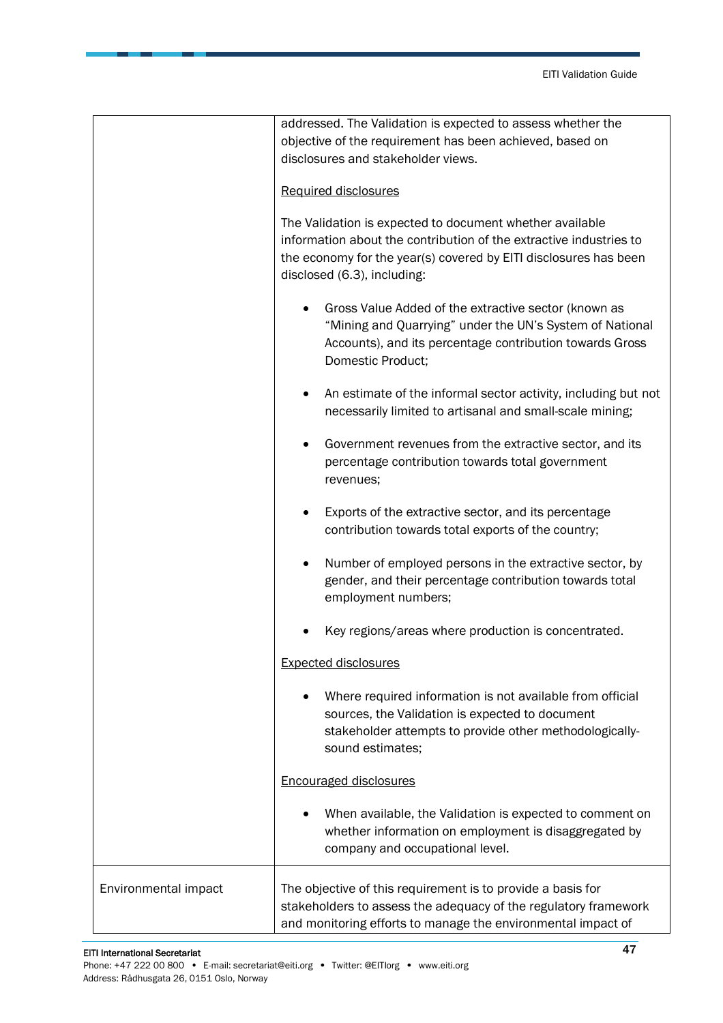|                      | addressed. The Validation is expected to assess whether the<br>objective of the requirement has been achieved, based on<br>disclosures and stakeholder views.<br><b>Required disclosures</b><br>The Validation is expected to document whether available<br>information about the contribution of the extractive industries to<br>the economy for the year(s) covered by EITI disclosures has been<br>disclosed (6.3), including: |
|----------------------|-----------------------------------------------------------------------------------------------------------------------------------------------------------------------------------------------------------------------------------------------------------------------------------------------------------------------------------------------------------------------------------------------------------------------------------|
|                      | Gross Value Added of the extractive sector (known as<br>"Mining and Quarrying" under the UN's System of National<br>Accounts), and its percentage contribution towards Gross<br>Domestic Product;                                                                                                                                                                                                                                 |
|                      | An estimate of the informal sector activity, including but not<br>necessarily limited to artisanal and small-scale mining;                                                                                                                                                                                                                                                                                                        |
|                      | Government revenues from the extractive sector, and its<br>percentage contribution towards total government<br>revenues;                                                                                                                                                                                                                                                                                                          |
|                      | Exports of the extractive sector, and its percentage<br>contribution towards total exports of the country;                                                                                                                                                                                                                                                                                                                        |
|                      | Number of employed persons in the extractive sector, by<br>$\bullet$<br>gender, and their percentage contribution towards total<br>employment numbers;                                                                                                                                                                                                                                                                            |
|                      | Key regions/areas where production is concentrated.                                                                                                                                                                                                                                                                                                                                                                               |
|                      | <b>Expected disclosures</b>                                                                                                                                                                                                                                                                                                                                                                                                       |
|                      | Where required information is not available from official<br>sources, the Validation is expected to document<br>stakeholder attempts to provide other methodologically-<br>sound estimates;                                                                                                                                                                                                                                       |
|                      | <b>Encouraged disclosures</b>                                                                                                                                                                                                                                                                                                                                                                                                     |
|                      | When available, the Validation is expected to comment on<br>whether information on employment is disaggregated by<br>company and occupational level.                                                                                                                                                                                                                                                                              |
| Environmental impact | The objective of this requirement is to provide a basis for<br>stakeholders to assess the adequacy of the regulatory framework<br>and monitoring efforts to manage the environmental impact of                                                                                                                                                                                                                                    |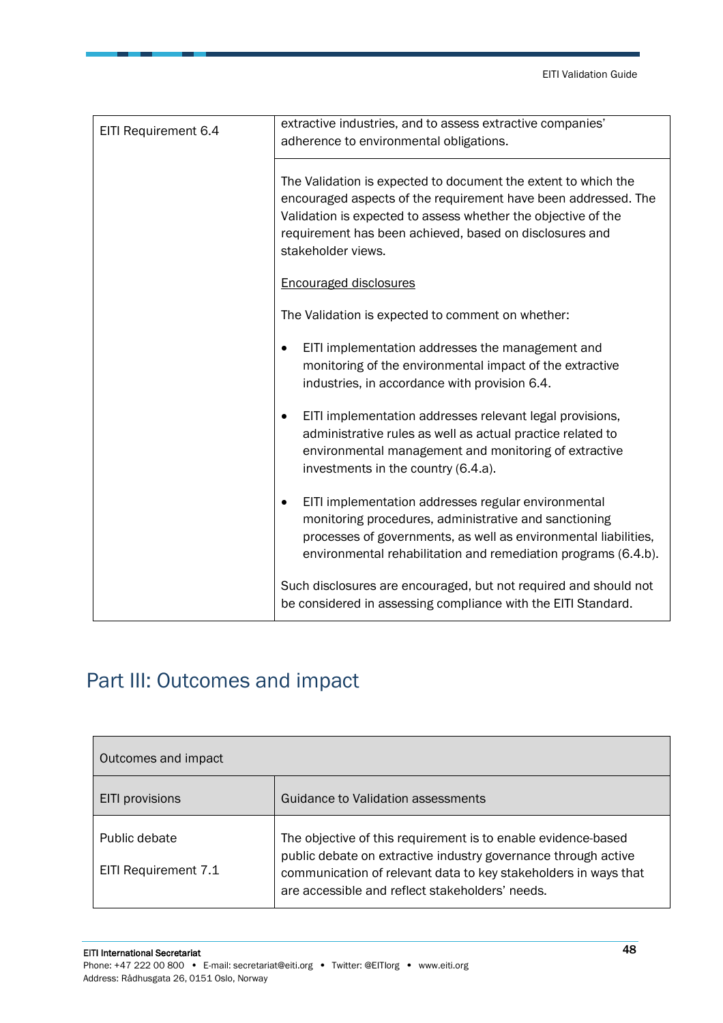| EITI Requirement 6.4 | extractive industries, and to assess extractive companies'<br>adherence to environmental obligations.                                                                                                                                                                              |
|----------------------|------------------------------------------------------------------------------------------------------------------------------------------------------------------------------------------------------------------------------------------------------------------------------------|
|                      | The Validation is expected to document the extent to which the<br>encouraged aspects of the requirement have been addressed. The<br>Validation is expected to assess whether the objective of the<br>requirement has been achieved, based on disclosures and<br>stakeholder views. |
|                      | <b>Encouraged disclosures</b>                                                                                                                                                                                                                                                      |
|                      | The Validation is expected to comment on whether:                                                                                                                                                                                                                                  |
|                      | EITI implementation addresses the management and<br>monitoring of the environmental impact of the extractive<br>industries, in accordance with provision 6.4.                                                                                                                      |
|                      | EITI implementation addresses relevant legal provisions,<br>administrative rules as well as actual practice related to<br>environmental management and monitoring of extractive<br>investments in the country (6.4.a).                                                             |
|                      | EITI implementation addresses regular environmental<br>$\bullet$<br>monitoring procedures, administrative and sanctioning<br>processes of governments, as well as environmental liabilities,<br>environmental rehabilitation and remediation programs (6.4.b).                     |
|                      | Such disclosures are encouraged, but not required and should not<br>be considered in assessing compliance with the EITI Standard.                                                                                                                                                  |

## <span id="page-47-0"></span>Part III: Outcomes and impact

| Outcomes and impact                   |                                                                                                                                                                                                                                                       |  |
|---------------------------------------|-------------------------------------------------------------------------------------------------------------------------------------------------------------------------------------------------------------------------------------------------------|--|
| <b>EITI</b> provisions                | Guidance to Validation assessments                                                                                                                                                                                                                    |  |
| Public debate<br>EITI Requirement 7.1 | The objective of this requirement is to enable evidence-based<br>public debate on extractive industry governance through active<br>communication of relevant data to key stakeholders in ways that<br>are accessible and reflect stakeholders' needs. |  |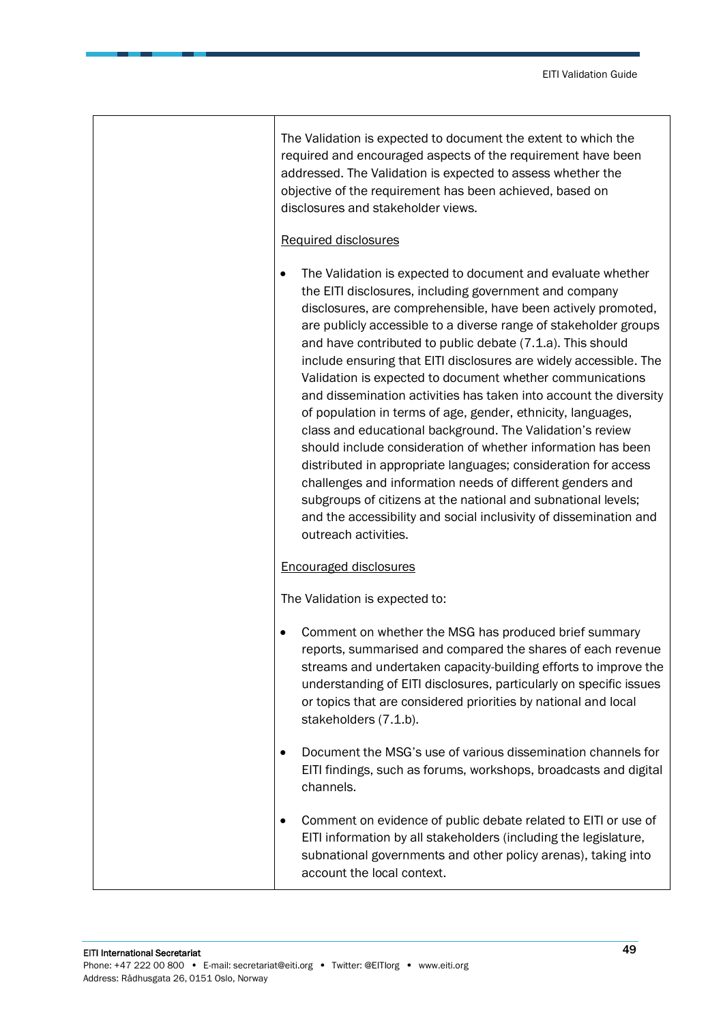٦

|           | The Validation is expected to document the extent to which the<br>required and encouraged aspects of the requirement have been<br>addressed. The Validation is expected to assess whether the<br>objective of the requirement has been achieved, based on<br>disclosures and stakeholder views.                                                                                                                                                                                                                                                                                                                                                                                                                                                                                                                                                                                                                                                                                                                           |
|-----------|---------------------------------------------------------------------------------------------------------------------------------------------------------------------------------------------------------------------------------------------------------------------------------------------------------------------------------------------------------------------------------------------------------------------------------------------------------------------------------------------------------------------------------------------------------------------------------------------------------------------------------------------------------------------------------------------------------------------------------------------------------------------------------------------------------------------------------------------------------------------------------------------------------------------------------------------------------------------------------------------------------------------------|
|           | Required disclosures                                                                                                                                                                                                                                                                                                                                                                                                                                                                                                                                                                                                                                                                                                                                                                                                                                                                                                                                                                                                      |
| $\bullet$ | The Validation is expected to document and evaluate whether<br>the EITI disclosures, including government and company<br>disclosures, are comprehensible, have been actively promoted,<br>are publicly accessible to a diverse range of stakeholder groups<br>and have contributed to public debate (7.1.a). This should<br>include ensuring that EITI disclosures are widely accessible. The<br>Validation is expected to document whether communications<br>and dissemination activities has taken into account the diversity<br>of population in terms of age, gender, ethnicity, languages,<br>class and educational background. The Validation's review<br>should include consideration of whether information has been<br>distributed in appropriate languages; consideration for access<br>challenges and information needs of different genders and<br>subgroups of citizens at the national and subnational levels;<br>and the accessibility and social inclusivity of dissemination and<br>outreach activities. |
|           | <b>Encouraged disclosures</b>                                                                                                                                                                                                                                                                                                                                                                                                                                                                                                                                                                                                                                                                                                                                                                                                                                                                                                                                                                                             |
|           | The Validation is expected to:                                                                                                                                                                                                                                                                                                                                                                                                                                                                                                                                                                                                                                                                                                                                                                                                                                                                                                                                                                                            |
| $\bullet$ | Comment on whether the MSG has produced brief summary<br>reports, summarised and compared the shares of each revenue<br>streams and undertaken capacity-building efforts to improve the<br>understanding of EITI disclosures, particularly on specific issues<br>or topics that are considered priorities by national and local<br>stakeholders (7.1.b).                                                                                                                                                                                                                                                                                                                                                                                                                                                                                                                                                                                                                                                                  |
|           | Document the MSG's use of various dissemination channels for<br>EITI findings, such as forums, workshops, broadcasts and digital<br>channels.                                                                                                                                                                                                                                                                                                                                                                                                                                                                                                                                                                                                                                                                                                                                                                                                                                                                             |
| $\bullet$ | Comment on evidence of public debate related to EITI or use of<br>EITI information by all stakeholders (including the legislature,<br>subnational governments and other policy arenas), taking into<br>account the local context.                                                                                                                                                                                                                                                                                                                                                                                                                                                                                                                                                                                                                                                                                                                                                                                         |

Т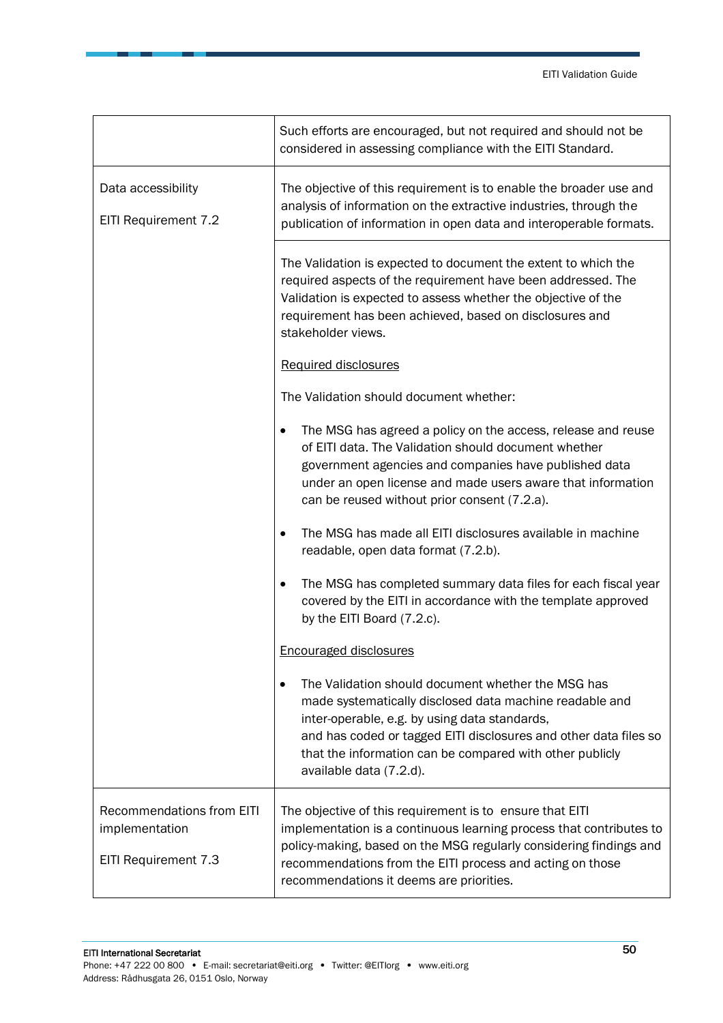|                                                                            | Such efforts are encouraged, but not required and should not be<br>considered in assessing compliance with the EITI Standard.                                                                                                                                                                                             |
|----------------------------------------------------------------------------|---------------------------------------------------------------------------------------------------------------------------------------------------------------------------------------------------------------------------------------------------------------------------------------------------------------------------|
| Data accessibility<br>EITI Requirement 7.2                                 | The objective of this requirement is to enable the broader use and<br>analysis of information on the extractive industries, through the<br>publication of information in open data and interoperable formats.                                                                                                             |
|                                                                            | The Validation is expected to document the extent to which the<br>required aspects of the requirement have been addressed. The<br>Validation is expected to assess whether the objective of the<br>requirement has been achieved, based on disclosures and<br>stakeholder views.                                          |
|                                                                            | <b>Required disclosures</b>                                                                                                                                                                                                                                                                                               |
|                                                                            | The Validation should document whether:                                                                                                                                                                                                                                                                                   |
|                                                                            | The MSG has agreed a policy on the access, release and reuse<br>٠<br>of EITI data. The Validation should document whether<br>government agencies and companies have published data<br>under an open license and made users aware that information<br>can be reused without prior consent (7.2.a).                         |
|                                                                            | The MSG has made all EITI disclosures available in machine<br>$\bullet$<br>readable, open data format (7.2.b).                                                                                                                                                                                                            |
|                                                                            | The MSG has completed summary data files for each fiscal year<br>$\bullet$<br>covered by the EITI in accordance with the template approved<br>by the EITI Board (7.2.c).                                                                                                                                                  |
|                                                                            | <b>Encouraged disclosures</b>                                                                                                                                                                                                                                                                                             |
|                                                                            | The Validation should document whether the MSG has<br>made systematically disclosed data machine readable and<br>inter-operable, e.g. by using data standards,<br>and has coded or tagged EITI disclosures and other data files so<br>that the information can be compared with other publicly<br>available data (7.2.d). |
| <b>Recommendations from EITI</b><br>implementation<br>EITI Requirement 7.3 | The objective of this requirement is to ensure that EITI<br>implementation is a continuous learning process that contributes to<br>policy-making, based on the MSG regularly considering findings and<br>recommendations from the EITI process and acting on those<br>recommendations it deems are priorities.            |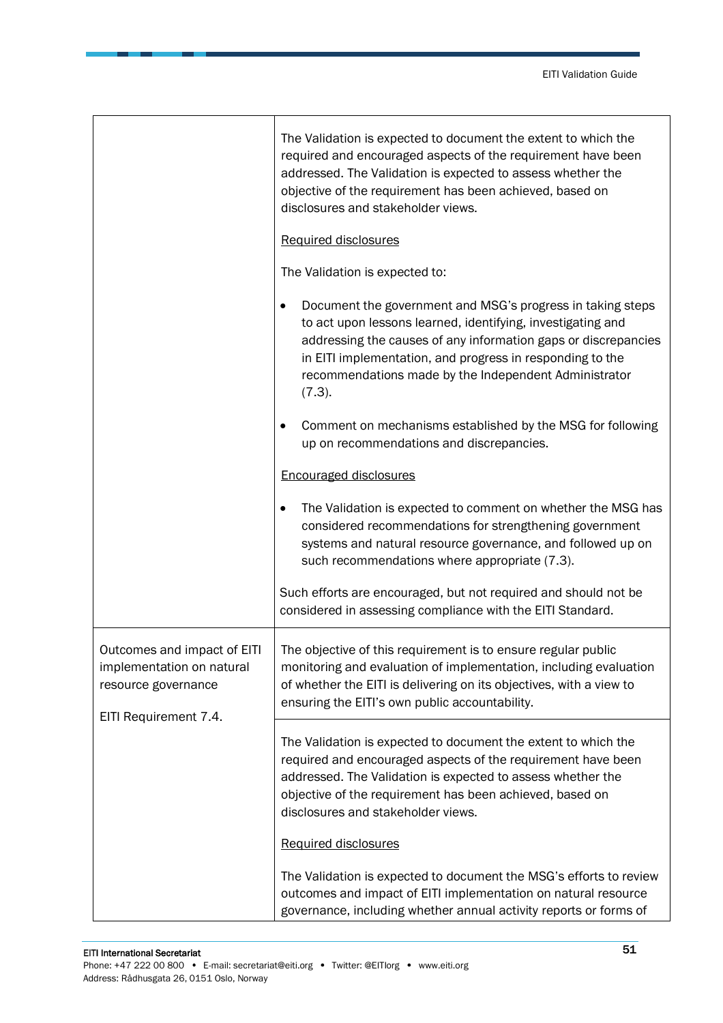|                                                                                                          | The Validation is expected to document the extent to which the<br>required and encouraged aspects of the requirement have been<br>addressed. The Validation is expected to assess whether the<br>objective of the requirement has been achieved, based on<br>disclosures and stakeholder views.                             |
|----------------------------------------------------------------------------------------------------------|-----------------------------------------------------------------------------------------------------------------------------------------------------------------------------------------------------------------------------------------------------------------------------------------------------------------------------|
|                                                                                                          | Required disclosures                                                                                                                                                                                                                                                                                                        |
|                                                                                                          | The Validation is expected to:                                                                                                                                                                                                                                                                                              |
|                                                                                                          | Document the government and MSG's progress in taking steps<br>to act upon lessons learned, identifying, investigating and<br>addressing the causes of any information gaps or discrepancies<br>in EITI implementation, and progress in responding to the<br>recommendations made by the Independent Administrator<br>(7.3). |
|                                                                                                          | Comment on mechanisms established by the MSG for following<br>up on recommendations and discrepancies.                                                                                                                                                                                                                      |
|                                                                                                          | <b>Encouraged disclosures</b>                                                                                                                                                                                                                                                                                               |
|                                                                                                          | The Validation is expected to comment on whether the MSG has<br>considered recommendations for strengthening government<br>systems and natural resource governance, and followed up on<br>such recommendations where appropriate (7.3).                                                                                     |
|                                                                                                          | Such efforts are encouraged, but not required and should not be<br>considered in assessing compliance with the EITI Standard.                                                                                                                                                                                               |
| Outcomes and impact of EITI<br>implementation on natural<br>resource governance<br>EITI Requirement 7.4. | The objective of this requirement is to ensure regular public<br>monitoring and evaluation of implementation, including evaluation<br>of whether the EITI is delivering on its objectives, with a view to<br>ensuring the EITI's own public accountability.                                                                 |
|                                                                                                          | The Validation is expected to document the extent to which the<br>required and encouraged aspects of the requirement have been<br>addressed. The Validation is expected to assess whether the<br>objective of the requirement has been achieved, based on<br>disclosures and stakeholder views.                             |
|                                                                                                          | Required disclosures                                                                                                                                                                                                                                                                                                        |
|                                                                                                          | The Validation is expected to document the MSG's efforts to review<br>outcomes and impact of EITI implementation on natural resource<br>governance, including whether annual activity reports or forms of                                                                                                                   |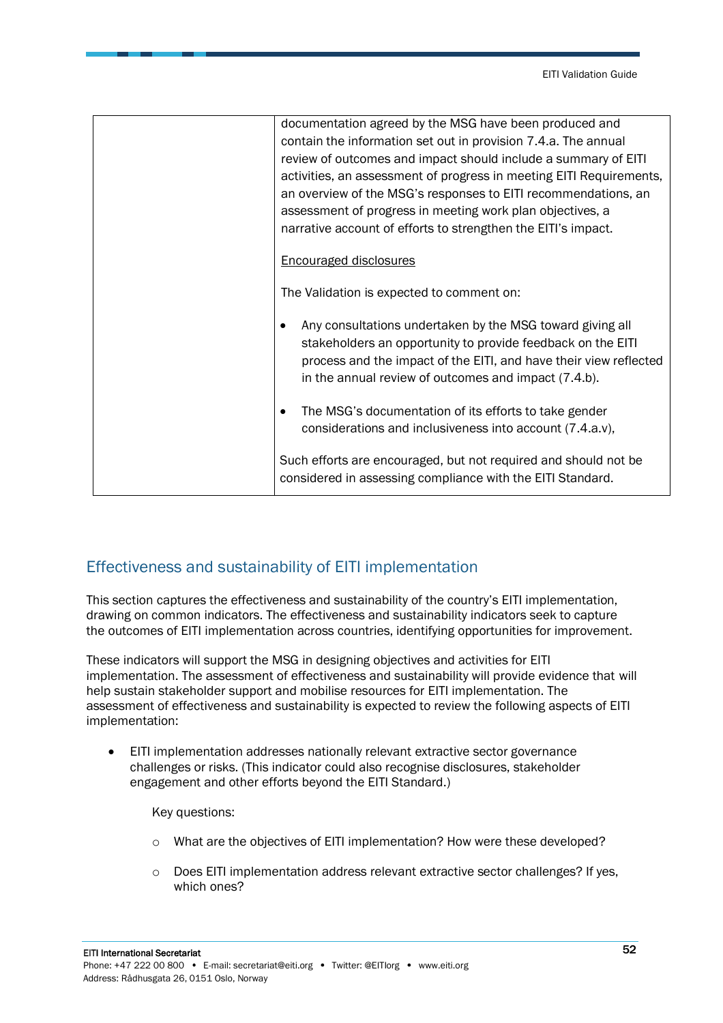| documentation agreed by the MSG have been produced and<br>contain the information set out in provision 7.4.a. The annual<br>review of outcomes and impact should include a summary of EITI<br>activities, an assessment of progress in meeting EITI Requirements,<br>an overview of the MSG's responses to EITI recommendations, an<br>assessment of progress in meeting work plan objectives, a<br>narrative account of efforts to strengthen the EITI's impact. |
|-------------------------------------------------------------------------------------------------------------------------------------------------------------------------------------------------------------------------------------------------------------------------------------------------------------------------------------------------------------------------------------------------------------------------------------------------------------------|
| <b>Encouraged disclosures</b>                                                                                                                                                                                                                                                                                                                                                                                                                                     |
| The Validation is expected to comment on:                                                                                                                                                                                                                                                                                                                                                                                                                         |
| Any consultations undertaken by the MSG toward giving all<br>stakeholders an opportunity to provide feedback on the EITI<br>process and the impact of the EITI, and have their view reflected<br>in the annual review of outcomes and impact (7.4.b).                                                                                                                                                                                                             |
| The MSG's documentation of its efforts to take gender<br>considerations and inclusiveness into account (7.4.a.v),                                                                                                                                                                                                                                                                                                                                                 |
| Such efforts are encouraged, but not required and should not be<br>considered in assessing compliance with the EITI Standard.                                                                                                                                                                                                                                                                                                                                     |

#### <span id="page-51-0"></span>Effectiveness and sustainability of EITI implementation

This section captures the effectiveness and sustainability of the country's EITI implementation, drawing on common indicators. The effectiveness and sustainability indicators seek to capture the outcomes of EITI implementation across countries, identifying opportunities for improvement.

These indicators will support the MSG in designing objectives and activities for EITI implementation. The assessment of effectiveness and sustainability will provide evidence that will help sustain stakeholder support and mobilise resources for EITI implementation. The assessment of effectiveness and sustainability is expected to review the following aspects of EITI implementation:

• EITI implementation addresses nationally relevant extractive sector governance challenges or risks. (This indicator could also recognise disclosures, stakeholder engagement and other efforts beyond the EITI Standard.)

Key questions:

- o What are the objectives of EITI implementation? How were these developed?
- $\circ$  Does EITI implementation address relevant extractive sector challenges? If yes, which ones?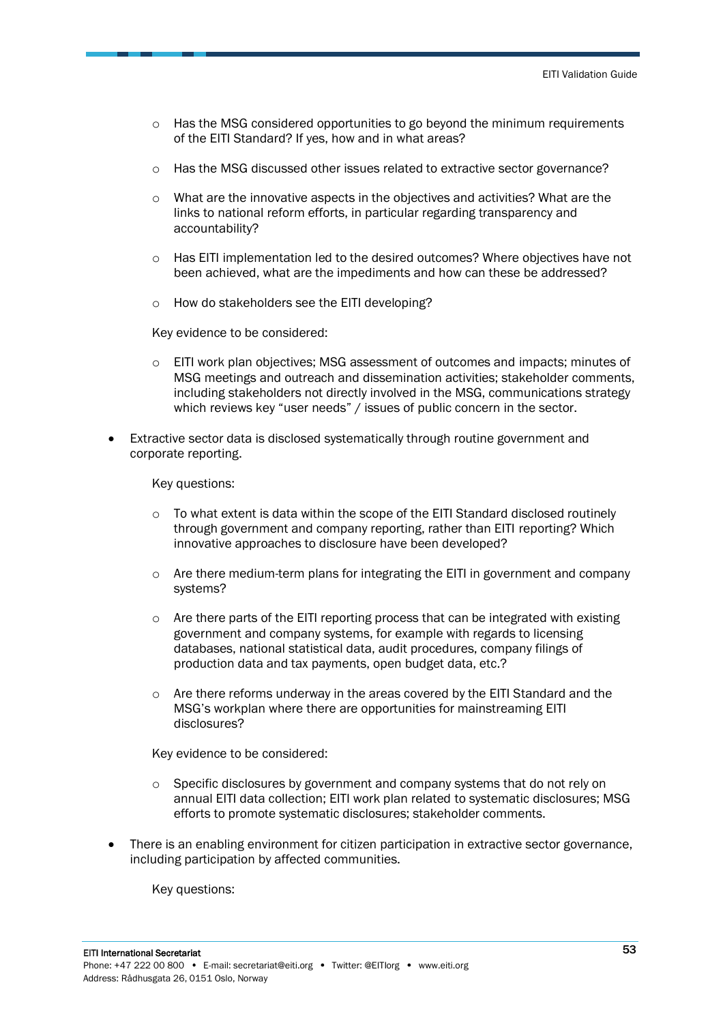- $\circ$  Has the MSG considered opportunities to go beyond the minimum requirements of the EITI Standard? If yes, how and in what areas?
- o Has the MSG discussed other issues related to extractive sector governance?
- $\circ$  What are the innovative aspects in the objectives and activities? What are the links to national reform efforts, in particular regarding transparency and accountability?
- o Has EITI implementation led to the desired outcomes? Where objectives have not been achieved, what are the impediments and how can these be addressed?
- o How do stakeholders see the EITI developing?

Key evidence to be considered:

- $\circ$  EITI work plan objectives; MSG assessment of outcomes and impacts; minutes of MSG meetings and outreach and dissemination activities; stakeholder comments, including stakeholders not directly involved in the MSG, communications strategy which reviews key "user needs" / issues of public concern in the sector.
- Extractive sector data is disclosed systematically through routine government and corporate reporting.

Key questions:

- $\circ$  To what extent is data within the scope of the EITI Standard disclosed routinely through government and company reporting, rather than EITI reporting? Which innovative approaches to disclosure have been developed?
- $\circ$  Are there medium-term plans for integrating the EITI in government and company systems?
- o Are there parts of the EITI reporting process that can be integrated with existing government and company systems, for example with regards to licensing databases, national statistical data, audit procedures, company filings of production data and tax payments, open budget data, etc.?
- $\circ$  Are there reforms underway in the areas covered by the EITI Standard and the MSG's workplan where there are opportunities for mainstreaming EITI disclosures?

Key evidence to be considered:

- $\circ$  Specific disclosures by government and company systems that do not rely on annual EITI data collection; EITI work plan related to systematic disclosures; MSG efforts to promote systematic disclosures; stakeholder comments.
- There is an enabling environment for citizen participation in extractive sector governance, including participation by affected communities.

Key questions: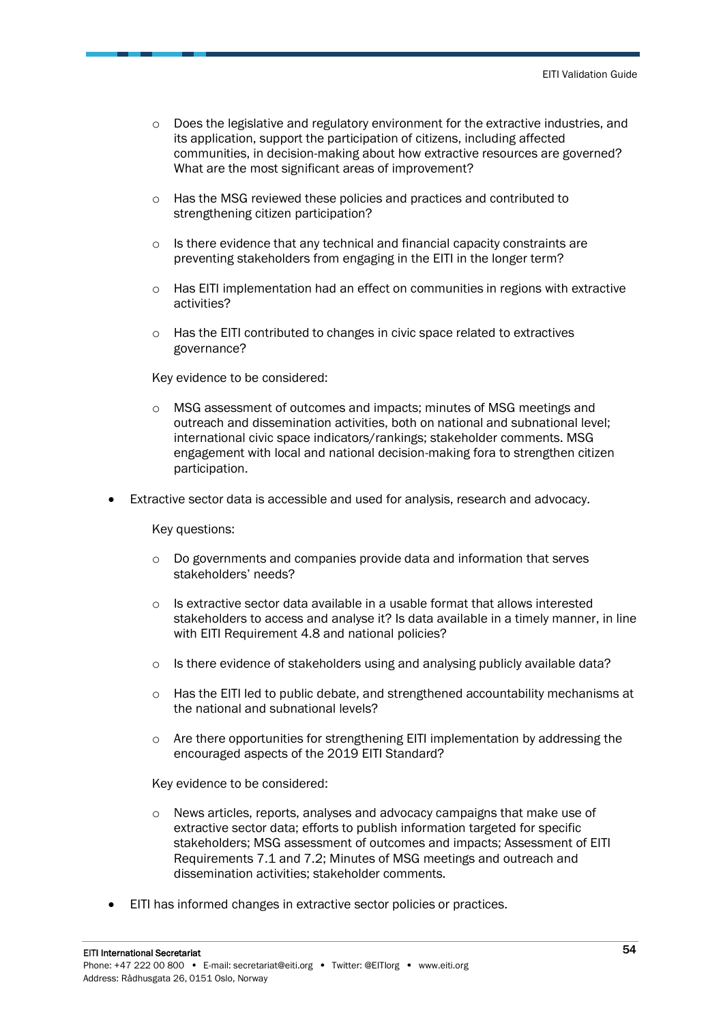- $\circ$  Does the legislative and regulatory environment for the extractive industries, and its application, support the participation of citizens, including affected communities, in decision-making about how extractive resources are governed? What are the most significant areas of improvement?
- o Has the MSG reviewed these policies and practices and contributed to strengthening citizen participation?
- o Is there evidence that any technical and financial capacity constraints are preventing stakeholders from engaging in the EITI in the longer term?
- $\circ$  Has EITI implementation had an effect on communities in regions with extractive activities?
- $\circ$  Has the EITI contributed to changes in civic space related to extractives governance?

Key evidence to be considered:

- o MSG assessment of outcomes and impacts; minutes of MSG meetings and outreach and dissemination activities, both on national and subnational level; international civic space indicators/rankings; stakeholder comments. MSG engagement with local and national decision-making fora to strengthen citizen participation.
- Extractive sector data is accessible and used for analysis, research and advocacy.

Key questions:

- $\circ$  Do governments and companies provide data and information that serves stakeholders' needs?
- $\circ$  Is extractive sector data available in a usable format that allows interested stakeholders to access and analyse it? Is data available in a timely manner, in line with EITI Requirement 4.8 and national policies?
- $\circ$  Is there evidence of stakeholders using and analysing publicly available data?
- $\circ$  Has the EITI led to public debate, and strengthened accountability mechanisms at the national and subnational levels?
- $\circ$  Are there opportunities for strengthening EITI implementation by addressing the encouraged aspects of the 2019 EITI Standard?

Key evidence to be considered:

- o News articles, reports, analyses and advocacy campaigns that make use of extractive sector data; efforts to publish information targeted for specific stakeholders; MSG assessment of outcomes and impacts; Assessment of EITI Requirements 7.1 and 7.2; Minutes of MSG meetings and outreach and dissemination activities; stakeholder comments.
- EITI has informed changes in extractive sector policies or practices.